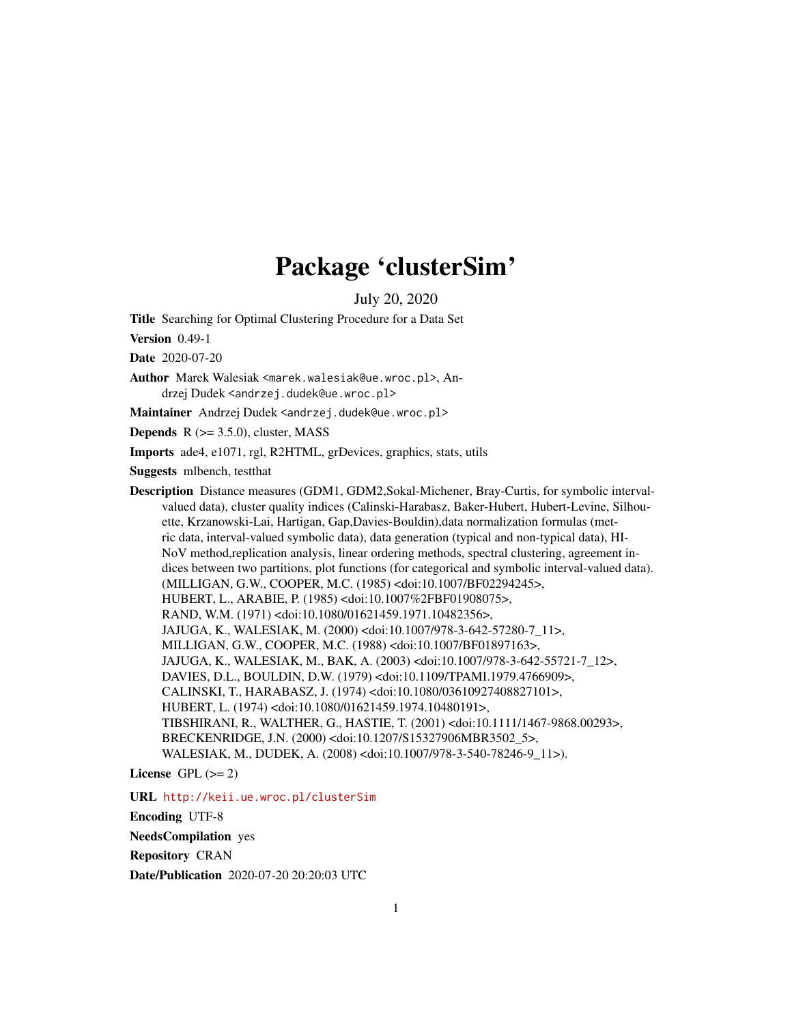# Package 'clusterSim'

July 20, 2020

<span id="page-0-0"></span>Title Searching for Optimal Clustering Procedure for a Data Set

Version 0.49-1

Date 2020-07-20

Author Marek Walesiak <marek.walesiak@ue.wroc.pl>, Andrzej Dudek <andrzej.dudek@ue.wroc.pl>

Maintainer Andrzej Dudek <andrzej.dudek@ue.wroc.pl>

**Depends**  $R$  ( $>= 3.5.0$ ), cluster, MASS

Imports ade4, e1071, rgl, R2HTML, grDevices, graphics, stats, utils

Suggests mlbench, testthat

Description Distance measures (GDM1, GDM2,Sokal-Michener, Bray-Curtis, for symbolic intervalvalued data), cluster quality indices (Calinski-Harabasz, Baker-Hubert, Hubert-Levine, Silhouette, Krzanowski-Lai, Hartigan, Gap,Davies-Bouldin),data normalization formulas (metric data, interval-valued symbolic data), data generation (typical and non-typical data), HI-NoV method,replication analysis, linear ordering methods, spectral clustering, agreement indices between two partitions, plot functions (for categorical and symbolic interval-valued data). (MILLIGAN, G.W., COOPER, M.C. (1985) <doi:10.1007/BF02294245>, HUBERT, L., ARABIE, P. (1985) <doi:10.1007%2FBF01908075>, RAND, W.M. (1971) <doi:10.1080/01621459.1971.10482356>, JAJUGA, K., WALESIAK, M. (2000) <doi:10.1007/978-3-642-57280-7\_11>, MILLIGAN, G.W., COOPER, M.C. (1988) <doi:10.1007/BF01897163>, JAJUGA, K., WALESIAK, M., BAK, A. (2003) <doi:10.1007/978-3-642-55721-7\_12>, DAVIES, D.L., BOULDIN, D.W. (1979) <doi:10.1109/TPAMI.1979.4766909>, CALINSKI, T., HARABASZ, J. (1974) <doi:10.1080/03610927408827101>, HUBERT, L. (1974) <doi:10.1080/01621459.1974.10480191>, TIBSHIRANI, R., WALTHER, G., HASTIE, T. (2001) <doi:10.1111/1467-9868.00293>, BRECKENRIDGE, J.N. (2000) <doi:10.1207/S15327906MBR3502\_5>, WALESIAK, M., DUDEK, A. (2008) <doi:10.1007/978-3-540-78246-9\_11>).

License GPL  $(>= 2)$ 

URL <http://keii.ue.wroc.pl/clusterSim>

Encoding UTF-8

NeedsCompilation yes

Repository CRAN

Date/Publication 2020-07-20 20:20:03 UTC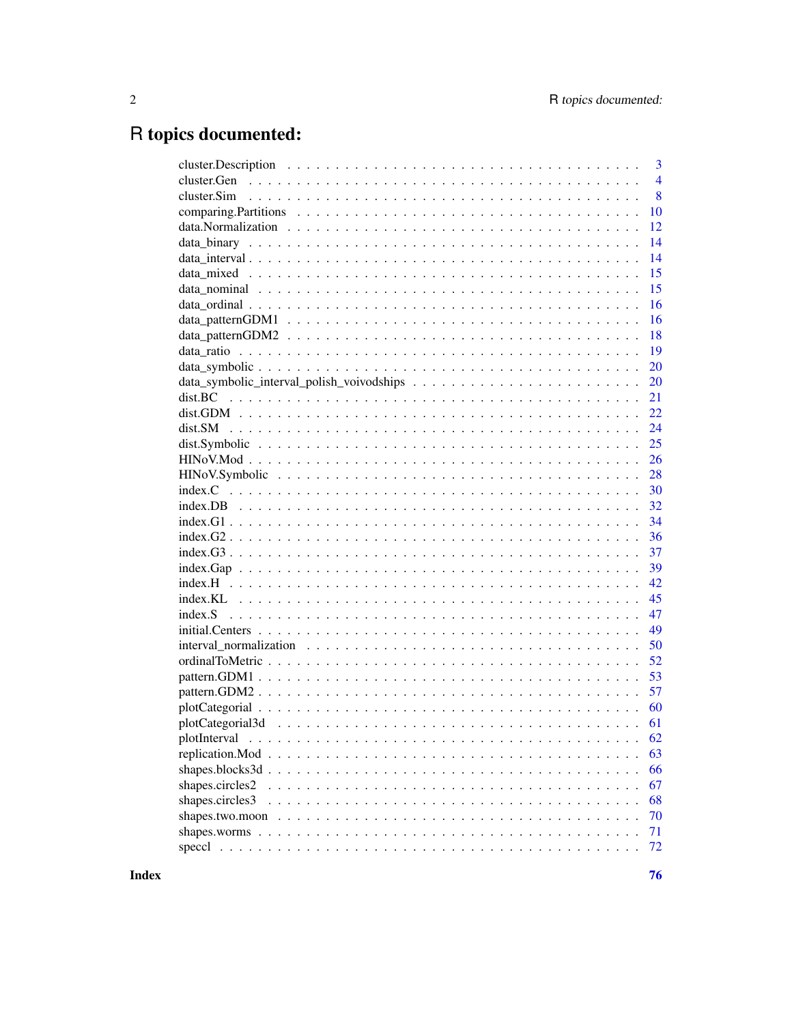# R topics documented:

|                   | $\overline{3}$ |
|-------------------|----------------|
|                   | $\overline{4}$ |
|                   | 8              |
|                   | 10             |
|                   | 12             |
|                   | 14             |
|                   | 14             |
|                   | 15             |
|                   | 15             |
|                   | 16             |
|                   | 16             |
|                   | 18             |
|                   | 19             |
|                   | 20             |
|                   | 20             |
|                   | 21             |
|                   | 22             |
|                   | 24             |
|                   | 25             |
|                   | 26             |
|                   | 28             |
|                   | 30             |
|                   | 32             |
|                   | 34             |
| $index.G2$        | 36             |
|                   | 37             |
|                   | 39             |
|                   | 42             |
|                   | 45             |
|                   | 47             |
| $initial.Centers$ | 49             |
|                   | 50             |
|                   | 52             |
|                   | 53             |
|                   | 57             |
|                   | 60             |
|                   | 61             |
|                   |                |
|                   | 63             |
|                   | 66             |
| shapes.circles2   | 67             |
| shapes.circles3   | 68             |
|                   | 70             |
|                   | 71             |
|                   | 72             |
|                   |                |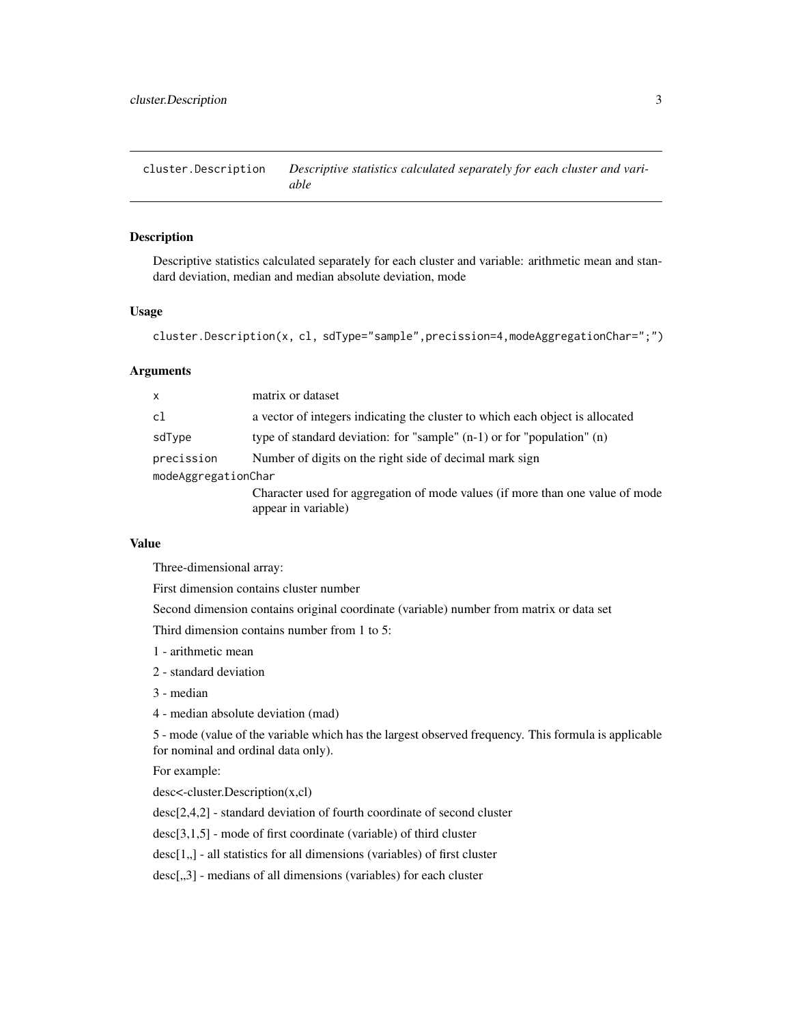<span id="page-2-0"></span>cluster.Description *Descriptive statistics calculated separately for each cluster and variable*

## Description

Descriptive statistics calculated separately for each cluster and variable: arithmetic mean and standard deviation, median and median absolute deviation, mode

## Usage

```
cluster.Description(x, cl, sdType="sample",precission=4,modeAggregationChar=";")
```
#### Arguments

| X                   | matrix or dataset                                                             |  |
|---------------------|-------------------------------------------------------------------------------|--|
| cl                  | a vector of integers indicating the cluster to which each object is allocated |  |
| sdType              | type of standard deviation: for "sample" $(n-1)$ or for "population" $(n)$    |  |
| precission          | Number of digits on the right side of decimal mark sign                       |  |
| modeAggregationChar |                                                                               |  |
|                     | Character used for aggregation of mode values (if more than one value of mode |  |
|                     | appear in variable)                                                           |  |

## Value

Three-dimensional array:

First dimension contains cluster number

Second dimension contains original coordinate (variable) number from matrix or data set

Third dimension contains number from 1 to 5:

- 1 arithmetic mean
- 2 standard deviation
- 3 median
- 4 median absolute deviation (mad)

5 - mode (value of the variable which has the largest observed frequency. This formula is applicable for nominal and ordinal data only).

For example:

desc<-cluster.Description(x,cl)

desc[2,4,2] - standard deviation of fourth coordinate of second cluster

desc[3,1,5] - mode of first coordinate (variable) of third cluster

 $desc[1, ]$  - all statistics for all dimensions (variables) of first cluster

desc[,,3] - medians of all dimensions (variables) for each cluster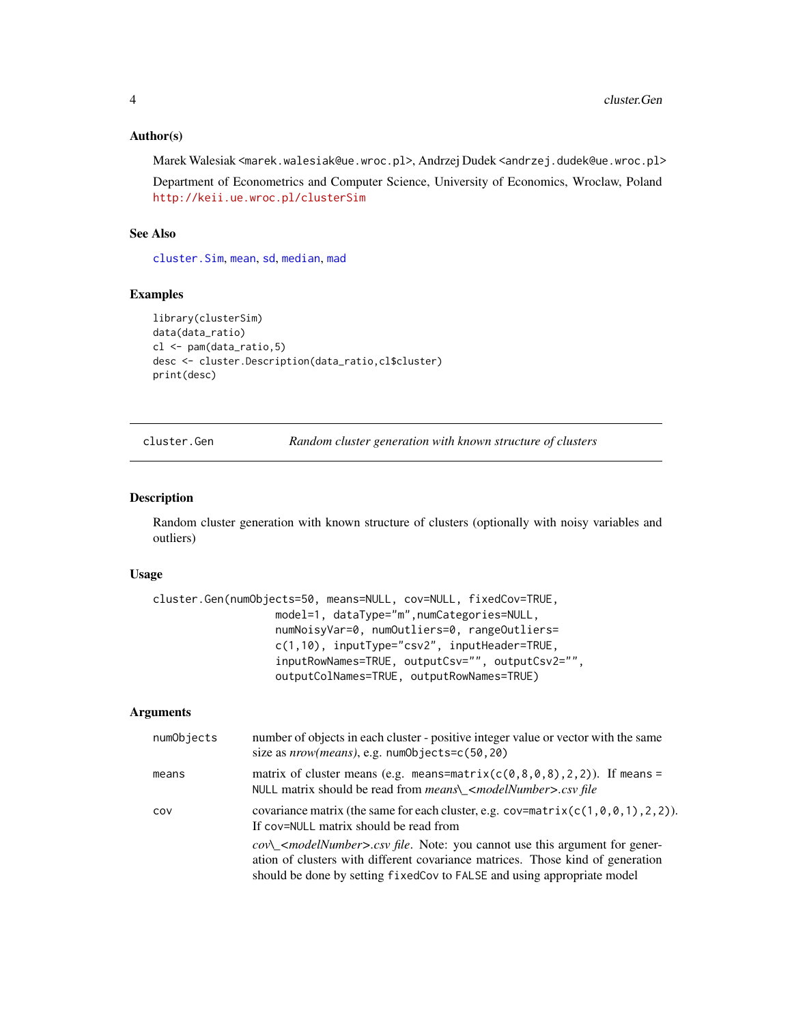## <span id="page-3-0"></span>Author(s)

Marek Walesiak <marek.walesiak@ue.wroc.pl>, Andrzej Dudek <andrzej.dudek@ue.wroc.pl>

Department of Econometrics and Computer Science, University of Economics, Wroclaw, Poland <http://keii.ue.wroc.pl/clusterSim>

# See Also

[cluster.Sim](#page-7-1), [mean](#page-0-0), [sd](#page-0-0), [median](#page-0-0), [mad](#page-0-0)

## Examples

```
library(clusterSim)
data(data_ratio)
cl <- pam(data_ratio,5)
desc <- cluster.Description(data_ratio,cl$cluster)
print(desc)
```
cluster.Gen *Random cluster generation with known structure of clusters*

## Description

Random cluster generation with known structure of clusters (optionally with noisy variables and outliers)

# Usage

```
cluster.Gen(numObjects=50, means=NULL, cov=NULL, fixedCov=TRUE,
                   model=1, dataType="m",numCategories=NULL,
                   numNoisyVar=0, numOutliers=0, rangeOutliers=
                   c(1,10), inputType="csv2", inputHeader=TRUE,
                   inputRowNames=TRUE, outputCsv="", outputCsv2="",
                   outputColNames=TRUE, outputRowNames=TRUE)
```
## Arguments

| numObjects | number of objects in each cluster - positive integer value or vector with the same<br>size as $nrow(means)$ , e.g. $numObjectsc(50, 20)$                                                                                                                                                       |
|------------|------------------------------------------------------------------------------------------------------------------------------------------------------------------------------------------------------------------------------------------------------------------------------------------------|
| means      | matrix of cluster means (e.g. means=matrix( $c(0,8,0,8)$ , 2, 2)). If means =<br>NULL matrix should be read from <i>means</i> \_ <i><modelnumber>.csv file</modelnumber></i>                                                                                                                   |
| COV        | covariance matrix (the same for each cluster, e.g. $cov=\text{matrix}(c(1, 0, 0, 1), 2, 2)$ ).<br>If cov=NULL matrix should be read from                                                                                                                                                       |
|            | $cov\_{\mathcal{A}}$ cov $\_{\mathcal{A}}$ cov $\_{\mathcal{A}}$ covers cover file. Note: you cannot use this argument for gener-<br>ation of clusters with different covariance matrices. Those kind of generation<br>should be done by setting fixedCov to FALSE and using appropriate model |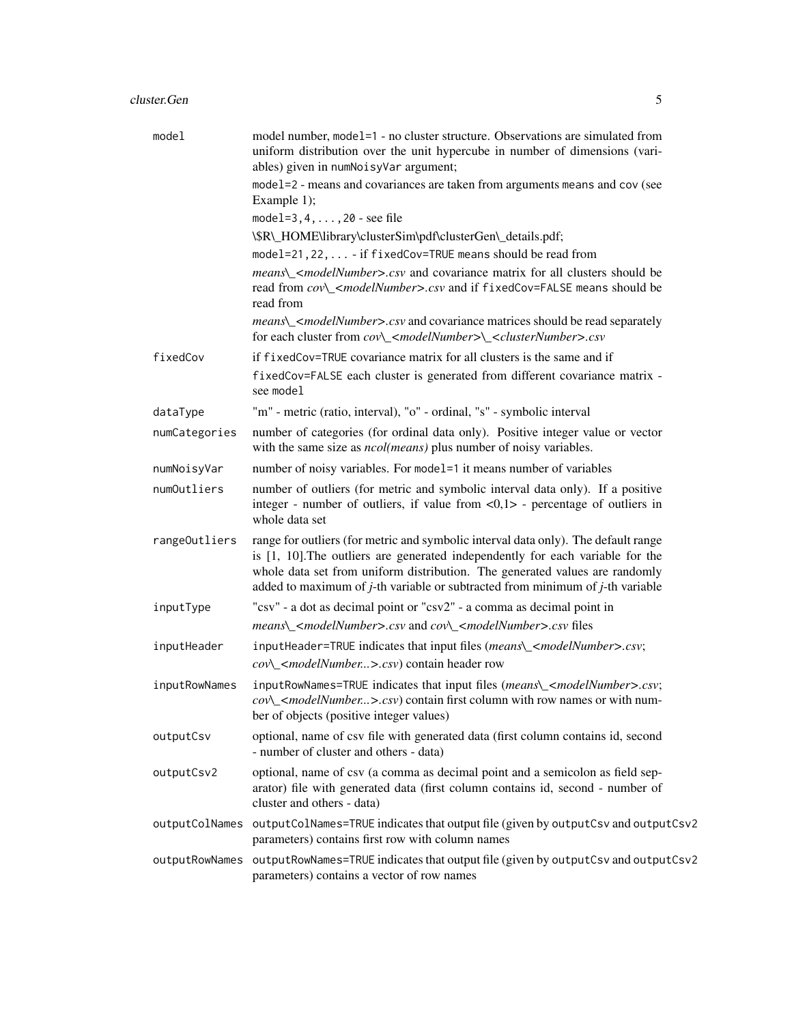| model          | model number, model=1 - no cluster structure. Observations are simulated from<br>uniform distribution over the unit hypercube in number of dimensions (vari-<br>ables) given in numNoisyVar argument;                                                                                                                                      |
|----------------|--------------------------------------------------------------------------------------------------------------------------------------------------------------------------------------------------------------------------------------------------------------------------------------------------------------------------------------------|
|                | model=2 - means and covariances are taken from arguments means and cov (see<br>Example $1$ ;                                                                                                                                                                                                                                               |
|                | model= $3, 4, \ldots, 20$ - see file                                                                                                                                                                                                                                                                                                       |
|                | \\$R\_HOME\library\clusterSim\pdf\clusterGen\_details.pdf;                                                                                                                                                                                                                                                                                 |
|                | model=21, 22,  - if fixedCov=TRUE means should be read from                                                                                                                                                                                                                                                                                |
|                | means\_ <modelnumber>.csv and covariance matrix for all clusters should be<br/>read from cov\_<modelnumber>.csv and if fixedCov=FALSE means should be<br/>read from</modelnumber></modelnumber>                                                                                                                                            |
|                | means\_ <modelnumber>.csv and covariance matrices should be read separately<br/>for each cluster from cov\_<modelnumber>\_<clusternumber>.csv</clusternumber></modelnumber></modelnumber>                                                                                                                                                  |
| fixedCov       | if fixedCov=TRUE covariance matrix for all clusters is the same and if<br>fixedCov=FALSE each cluster is generated from different covariance matrix -<br>see model                                                                                                                                                                         |
| dataType       | "m" - metric (ratio, interval), "o" - ordinal, "s" - symbolic interval                                                                                                                                                                                                                                                                     |
| numCategories  | number of categories (for ordinal data only). Positive integer value or vector<br>with the same size as <i>ncol(means)</i> plus number of noisy variables.                                                                                                                                                                                 |
| numNoisyVar    | number of noisy variables. For model=1 it means number of variables                                                                                                                                                                                                                                                                        |
| numOutliers    | number of outliers (for metric and symbolic interval data only). If a positive<br>integer - number of outliers, if value from $\langle 0, 1 \rangle$ - percentage of outliers in<br>whole data set                                                                                                                                         |
| rangeOutliers  | range for outliers (for metric and symbolic interval data only). The default range<br>is [1, 10]. The outliers are generated independently for each variable for the<br>whole data set from uniform distribution. The generated values are randomly<br>added to maximum of $j$ -th variable or subtracted from minimum of $j$ -th variable |
| inputType      | "csv" - a dot as decimal point or "csv2" - a comma as decimal point in                                                                                                                                                                                                                                                                     |
|                | means\_ <modelnumber>.csv and cov\_<modelnumber>.csv files</modelnumber></modelnumber>                                                                                                                                                                                                                                                     |
| inputHeader    | inputHeader=TRUE indicates that input files (means\_ <modelnumber>.csv;</modelnumber>                                                                                                                                                                                                                                                      |
|                | cov\_ <modelnumber>.csv) contain header row</modelnumber>                                                                                                                                                                                                                                                                                  |
| inputRowNames  | inputRowNames=TRUE indicates that input files (means\_ <modelnumber>.csv;<br/><math>cov\_{\mathcal{A}}</math> &lt;<i>modelNumber&gt;.csv</i>) contain first column with row names or with num-<br/>ber of objects (positive integer values)</modelnumber>                                                                                  |
| outputCsv      | optional, name of csv file with generated data (first column contains id, second<br>- number of cluster and others - data)                                                                                                                                                                                                                 |
| outputCsv2     | optional, name of csv (a comma as decimal point and a semicolon as field sep-<br>arator) file with generated data (first column contains id, second - number of<br>cluster and others - data)                                                                                                                                              |
|                | outputColNames outputColNames=TRUE indicates that output file (given by outputCsv and outputCsv2<br>parameters) contains first row with column names                                                                                                                                                                                       |
| outputRowNames | outputRowNames=TRUE indicates that output file (given by outputCsv and outputCsv2<br>parameters) contains a vector of row names                                                                                                                                                                                                            |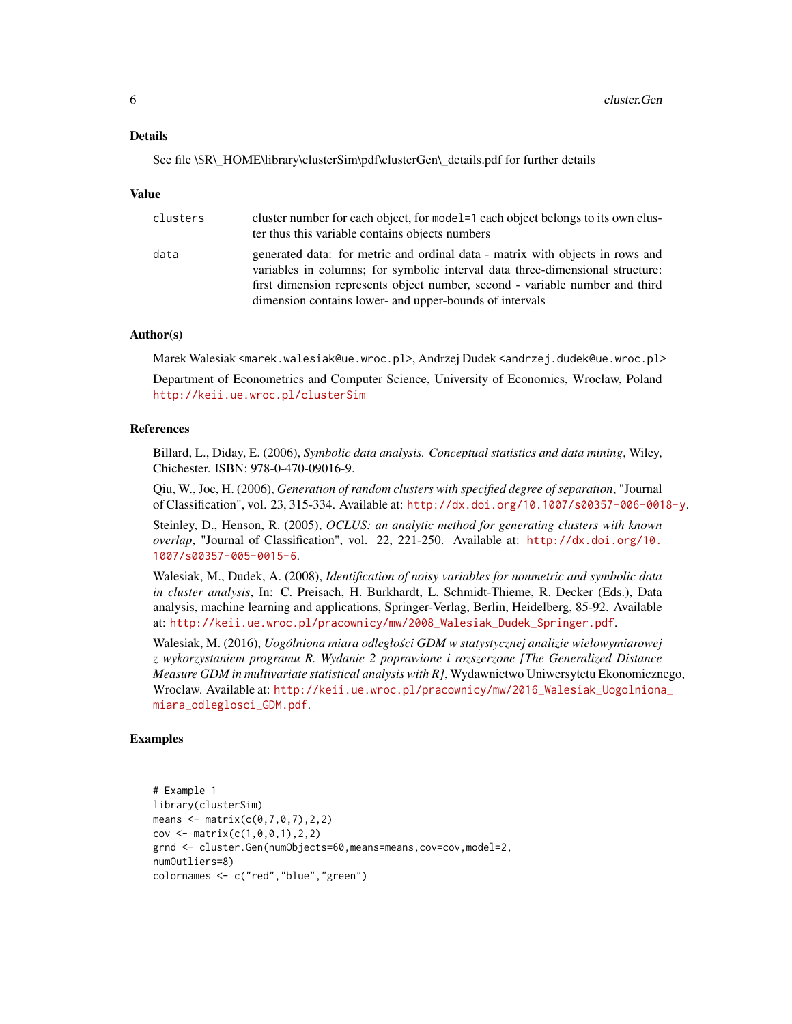#### Details

See file \\$R\\_HOME\library\clusterSim\pdf\clusterGen\\_details.pdf for further details

#### Value

| clusters | cluster number for each object, for model = 1 each object belongs to its own clus-<br>ter thus this variable contains objects numbers                                                                                                                                                                     |
|----------|-----------------------------------------------------------------------------------------------------------------------------------------------------------------------------------------------------------------------------------------------------------------------------------------------------------|
| data     | generated data: for metric and ordinal data - matrix with objects in rows and<br>variables in columns; for symbolic interval data three-dimensional structure:<br>first dimension represents object number, second - variable number and third<br>dimension contains lower- and upper-bounds of intervals |

## Author(s)

Marek Walesiak <marek.walesiak@ue.wroc.pl>, Andrzej Dudek <andrzej.dudek@ue.wroc.pl>

Department of Econometrics and Computer Science, University of Economics, Wroclaw, Poland <http://keii.ue.wroc.pl/clusterSim>

#### References

Billard, L., Diday, E. (2006), *Symbolic data analysis. Conceptual statistics and data mining*, Wiley, Chichester. ISBN: 978-0-470-09016-9.

Qiu, W., Joe, H. (2006), *Generation of random clusters with specified degree of separation*, "Journal of Classification", vol. 23, 315-334. Available at: <http://dx.doi.org/10.1007/s00357-006-0018-y>.

Steinley, D., Henson, R. (2005), *OCLUS: an analytic method for generating clusters with known overlap*, "Journal of Classification", vol. 22, 221-250. Available at: [http://dx.doi.org/10.](http://dx.doi.org/10.1007/s00357-005-0015-6) [1007/s00357-005-0015-6](http://dx.doi.org/10.1007/s00357-005-0015-6).

Walesiak, M., Dudek, A. (2008), *Identification of noisy variables for nonmetric and symbolic data in cluster analysis*, In: C. Preisach, H. Burkhardt, L. Schmidt-Thieme, R. Decker (Eds.), Data analysis, machine learning and applications, Springer-Verlag, Berlin, Heidelberg, 85-92. Available at: [http://keii.ue.wroc.pl/pracownicy/mw/2008\\_Walesiak\\_Dudek\\_Springer.pdf](http://keii.ue.wroc.pl/pracownicy/mw/2008_Walesiak_Dudek_Springer.pdf).

Walesiak, M. (2016), *Uogólniona miara odległosci GDM w statystycznej analizie wielowymiarowej ´ z wykorzystaniem programu R. Wydanie 2 poprawione i rozszerzone [The Generalized Distance Measure GDM in multivariate statistical analysis with R]*, Wydawnictwo Uniwersytetu Ekonomicznego, Wroclaw. Available at: [http://keii.ue.wroc.pl/pracownicy/mw/2016\\_Walesiak\\_Uogolniona](http://keii.ue.wroc.pl/pracownicy/mw/2016_Walesiak_Uogolniona_miara_odleglosci_GDM.pdf)\_ [miara\\_odleglosci\\_GDM.pdf](http://keii.ue.wroc.pl/pracownicy/mw/2016_Walesiak_Uogolniona_miara_odleglosci_GDM.pdf).

```
# Example 1
library(clusterSim)
means \leq matrix(c(0, 7, 0, 7), 2, 2)
cov \le matrix(c(1, 0, 0, 1), 2, 2)grnd <- cluster.Gen(numObjects=60,means=means,cov=cov,model=2,
numOutliers=8)
colornames <- c("red","blue","green")
```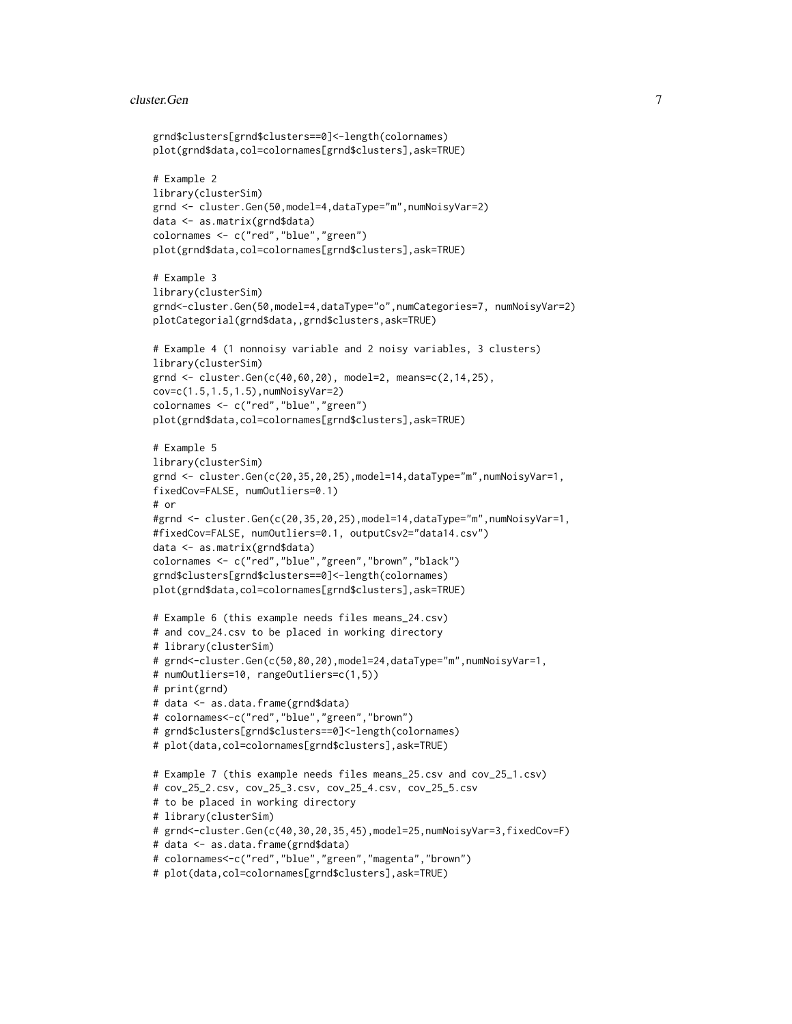#### cluster.Gen 7 and 7 and 7 and 7 and 7 and 7 and 7 and 7 and 7 and 7 and 7 and 7 and 7 and 7 and 7 and 7 and 7 and 7 and 7 and 7 and 7 and 7 and 7 and 7 and 7 and 7 and 7 and 7 and 7 and 7 and 7 and 7 and 7 and 7 and 7 and

```
grnd$clusters[grnd$clusters==0]<-length(colornames)
plot(grnd$data,col=colornames[grnd$clusters],ask=TRUE)
# Example 2
library(clusterSim)
grnd <- cluster.Gen(50,model=4,dataType="m",numNoisyVar=2)
data <- as.matrix(grnd$data)
colornames <- c("red","blue","green")
plot(grnd$data,col=colornames[grnd$clusters],ask=TRUE)
# Example 3
library(clusterSim)
grnd<-cluster.Gen(50,model=4,dataType="o",numCategories=7, numNoisyVar=2)
plotCategorial(grnd$data,,grnd$clusters,ask=TRUE)
# Example 4 (1 nonnoisy variable and 2 noisy variables, 3 clusters)
library(clusterSim)
grnd <- cluster.Gen(c(40,60,20), model=2, means=c(2,14,25),
cov=c(1.5,1.5,1.5),numNoisyVar=2)
colornames <- c("red","blue","green")
plot(grnd$data,col=colornames[grnd$clusters],ask=TRUE)
# Example 5
library(clusterSim)
grnd <- cluster.Gen(c(20,35,20,25),model=14,dataType="m",numNoisyVar=1,
fixedCov=FALSE, numOutliers=0.1)
# or
#grnd <- cluster.Gen(c(20,35,20,25),model=14,dataType="m",numNoisyVar=1,
#fixedCov=FALSE, numOutliers=0.1, outputCsv2="data14.csv")
data <- as.matrix(grnd$data)
colornames <- c("red","blue","green","brown","black")
grnd$clusters[grnd$clusters==0]<-length(colornames)
plot(grnd$data,col=colornames[grnd$clusters],ask=TRUE)
# Example 6 (this example needs files means_24.csv)
# and cov_24.csv to be placed in working directory
# library(clusterSim)
# grnd<-cluster.Gen(c(50,80,20),model=24,dataType="m",numNoisyVar=1,
# numOutliers=10, rangeOutliers=c(1,5))
# print(grnd)
# data <- as.data.frame(grnd$data)
# colornames<-c("red","blue","green","brown")
# grnd$clusters[grnd$clusters==0]<-length(colornames)
# plot(data,col=colornames[grnd$clusters],ask=TRUE)
# Example 7 (this example needs files means_25.csv and cov_25_1.csv)
# cov_25_2.csv, cov_25_3.csv, cov_25_4.csv, cov_25_5.csv
# to be placed in working directory
# library(clusterSim)
# grnd<-cluster.Gen(c(40,30,20,35,45),model=25,numNoisyVar=3,fixedCov=F)
# data <- as.data.frame(grnd$data)
# colornames<-c("red","blue","green","magenta","brown")
# plot(data,col=colornames[grnd$clusters],ask=TRUE)
```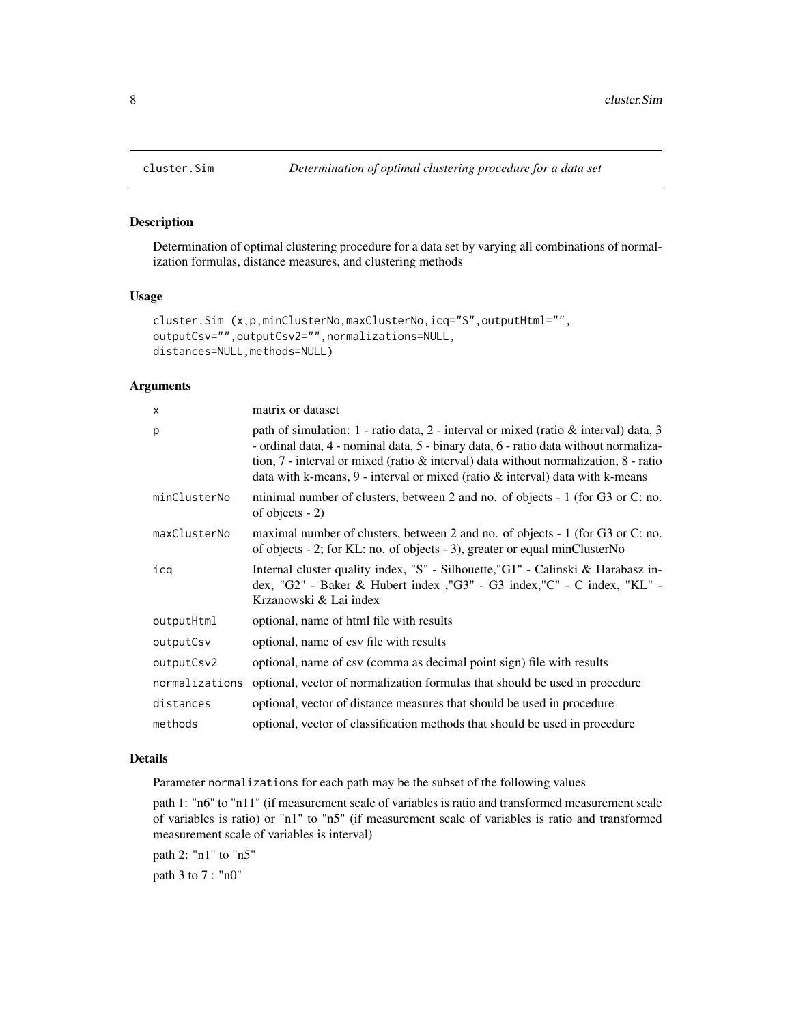# Description

Determination of optimal clustering procedure for a data set by varying all combinations of normalization formulas, distance measures, and clustering methods

#### Usage

```
cluster.Sim (x,p,minClusterNo,maxClusterNo,icq="S",outputHtml="",
outputCsv="",outputCsv2="",normalizations=NULL,
distances=NULL,methods=NULL)
```
#### Arguments

| X              | matrix or dataset                                                                                                                                                                                                                                                                                                                                                       |
|----------------|-------------------------------------------------------------------------------------------------------------------------------------------------------------------------------------------------------------------------------------------------------------------------------------------------------------------------------------------------------------------------|
| p              | path of simulation: $1$ - ratio data, $2$ - interval or mixed (ratio & interval) data, $3$<br>- ordinal data, 4 - nominal data, 5 - binary data, 6 - ratio data without normaliza-<br>tion, $7$ - interval or mixed (ratio $\&$ interval) data without normalization, $8$ - ratio<br>data with k-means, $9$ - interval or mixed (ratio $\&$ interval) data with k-means |
| minClusterNo   | minimal number of clusters, between 2 and no. of objects - 1 (for G3 or C: no.<br>of objects $-2$ )                                                                                                                                                                                                                                                                     |
| maxClusterNo   | maximal number of clusters, between 2 and no. of objects - 1 (for G3 or C: no.<br>of objects - 2; for KL: no. of objects - 3), greater or equal minClusterNo                                                                                                                                                                                                            |
| icq            | Internal cluster quality index, "S" - Silhouette, "G1" - Calinski & Harabasz in-<br>dex, "G2" - Baker & Hubert index, "G3" - G3 index, "C" - C index, "KL" -<br>Krzanowski & Lai index                                                                                                                                                                                  |
| outputHtml     | optional, name of html file with results                                                                                                                                                                                                                                                                                                                                |
| outputCsv      | optional, name of csy file with results                                                                                                                                                                                                                                                                                                                                 |
| outputCsv2     | optional, name of csv (comma as decimal point sign) file with results                                                                                                                                                                                                                                                                                                   |
| normalizations | optional, vector of normalization formulas that should be used in procedure                                                                                                                                                                                                                                                                                             |
| distances      | optional, vector of distance measures that should be used in procedure                                                                                                                                                                                                                                                                                                  |
| methods        | optional, vector of classification methods that should be used in procedure                                                                                                                                                                                                                                                                                             |

## Details

Parameter normalizations for each path may be the subset of the following values

path 1: "n6" to "n11" (if measurement scale of variables is ratio and transformed measurement scale of variables is ratio) or "n1" to "n5" (if measurement scale of variables is ratio and transformed measurement scale of variables is interval)

path 2: "n1" to "n5" path 3 to 7 : "n0"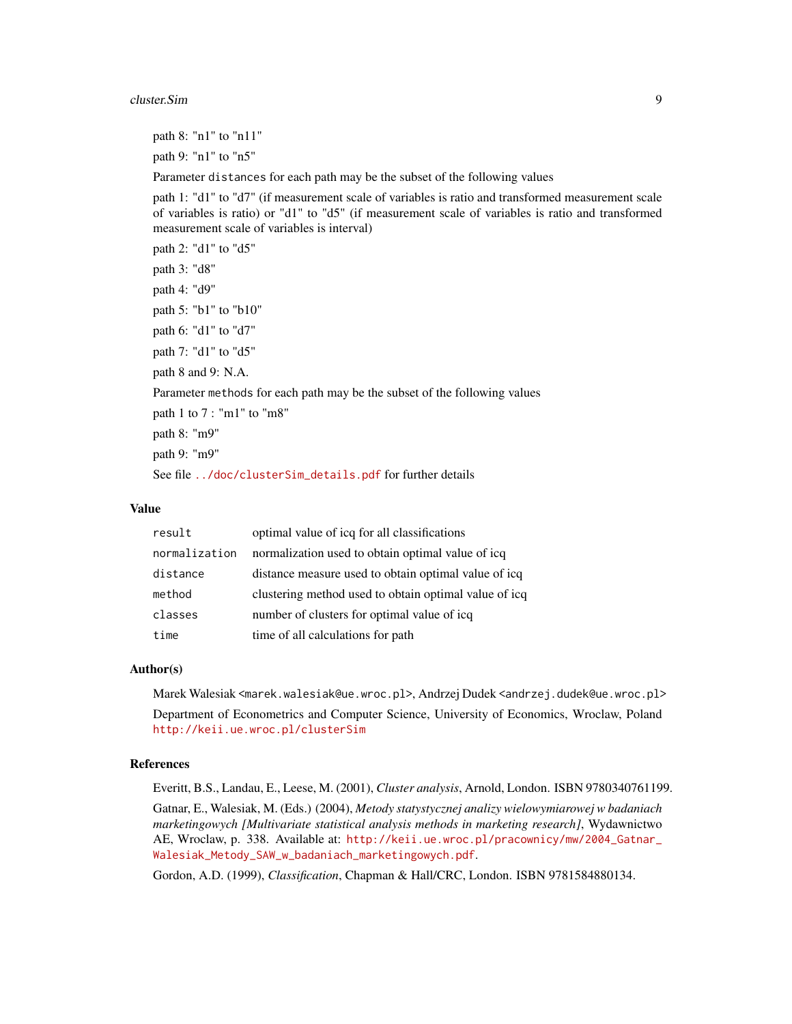#### cluster.Sim 9

path 8: "n1" to "n11"

path 9: "n1" to "n5"

Parameter distances for each path may be the subset of the following values

path 1: "d1" to "d7" (if measurement scale of variables is ratio and transformed measurement scale of variables is ratio) or "d1" to "d5" (if measurement scale of variables is ratio and transformed measurement scale of variables is interval)

path 2: "d1" to "d5" path 3: "d8" path 4: "d9" path 5: "b1" to "b10" path 6: "d1" to "d7" path 7: "d1" to "d5" path 8 and 9: N.A. Parameter methods for each path may be the subset of the following values path 1 to 7 : "m1" to "m8" path 8: "m9" path 9: "m9" See file [../doc/clusterSim\\_details.pdf](../doc/clusterSim_details.pdf) for further details

#### Value

| result        | optimal value of icq for all classifications          |
|---------------|-------------------------------------------------------|
| normalization | normalization used to obtain optimal value of icq     |
| distance      | distance measure used to obtain optimal value of icq  |
| method        | clustering method used to obtain optimal value of icq |
| classes       | number of clusters for optimal value of icq           |
| time          | time of all calculations for path                     |

## Author(s)

Marek Walesiak <marek.walesiak@ue.wroc.pl>, Andrzej Dudek <andrzej.dudek@ue.wroc.pl> Department of Econometrics and Computer Science, University of Economics, Wroclaw, Poland <http://keii.ue.wroc.pl/clusterSim>

## References

Everitt, B.S., Landau, E., Leese, M. (2001), *Cluster analysis*, Arnold, London. ISBN 9780340761199.

Gatnar, E., Walesiak, M. (Eds.) (2004), *Metody statystycznej analizy wielowymiarowej w badaniach marketingowych [Multivariate statistical analysis methods in marketing research]*, Wydawnictwo AE, Wroclaw, p. 338. Available at: [http://keii.ue.wroc.pl/pracownicy/mw/2004\\_Gatnar\\_](http://keii.ue.wroc.pl/pracownicy/mw/2004_Gatnar_Walesiak_Metody_SAW_w_badaniach_marketingowych.pdf) [Walesiak\\_Metody\\_SAW\\_w\\_badaniach\\_marketingowych.pdf](http://keii.ue.wroc.pl/pracownicy/mw/2004_Gatnar_Walesiak_Metody_SAW_w_badaniach_marketingowych.pdf).

Gordon, A.D. (1999), *Classification*, Chapman & Hall/CRC, London. ISBN 9781584880134.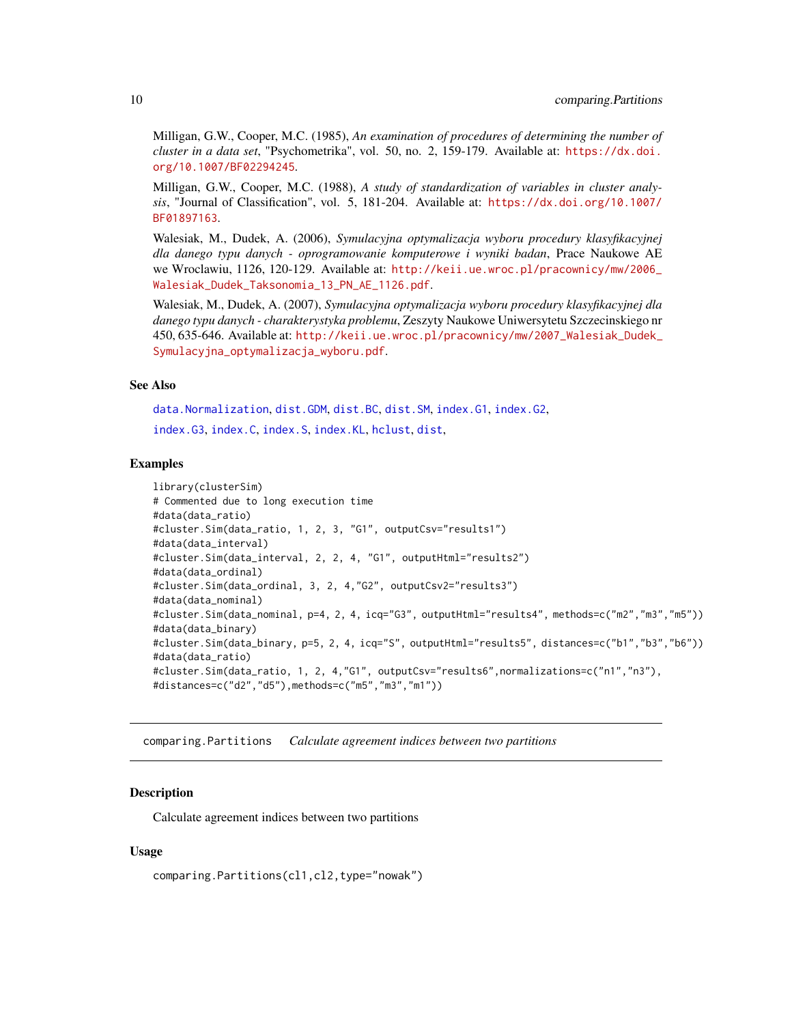<span id="page-9-0"></span>Milligan, G.W., Cooper, M.C. (1985), *An examination of procedures of determining the number of cluster in a data set*, "Psychometrika", vol. 50, no. 2, 159-179. Available at: [https://dx.doi.](https://dx.doi.org/10.1007/BF02294245) [org/10.1007/BF02294245](https://dx.doi.org/10.1007/BF02294245).

Milligan, G.W., Cooper, M.C. (1988), *A study of standardization of variables in cluster analysis*, "Journal of Classification", vol. 5, 181-204. Available at: [https://dx.doi.org/10.1007/](https://dx.doi.org/10.1007/BF01897163) [BF01897163](https://dx.doi.org/10.1007/BF01897163).

Walesiak, M., Dudek, A. (2006), *Symulacyjna optymalizacja wyboru procedury klasyfikacyjnej dla danego typu danych - oprogramowanie komputerowe i wyniki badan*, Prace Naukowe AE we Wroclawiu, 1126, 120-129. Available at: [http://keii.ue.wroc.pl/pracownicy/mw/2006\\_](http://keii.ue.wroc.pl/pracownicy/mw/2006_Walesiak_Dudek_Taksonomia_13_PN_AE_1126.pdf) [Walesiak\\_Dudek\\_Taksonomia\\_13\\_PN\\_AE\\_1126.pdf](http://keii.ue.wroc.pl/pracownicy/mw/2006_Walesiak_Dudek_Taksonomia_13_PN_AE_1126.pdf).

Walesiak, M., Dudek, A. (2007), *Symulacyjna optymalizacja wyboru procedury klasyfikacyjnej dla danego typu danych - charakterystyka problemu*, Zeszyty Naukowe Uniwersytetu Szczecinskiego nr 450, 635-646. Available at: [http://keii.ue.wroc.pl/pracownicy/mw/2007\\_Walesiak\\_Dudek\\_](http://keii.ue.wroc.pl/pracownicy/mw/2007_Walesiak_Dudek_Symulacyjna_optymalizacja_wyboru.pdf) [Symulacyjna\\_optymalizacja\\_wyboru.pdf](http://keii.ue.wroc.pl/pracownicy/mw/2007_Walesiak_Dudek_Symulacyjna_optymalizacja_wyboru.pdf).

#### See Also

[data.Normalization](#page-11-1), [dist.GDM](#page-21-1), [dist.BC](#page-20-1), [dist.SM](#page-23-1), [index.G1](#page-33-1), [index.G2](#page-35-1), [index.G3](#page-36-1), [index.C](#page-29-1), [index.S](#page-46-1), [index.KL](#page-44-1), [hclust](#page-0-0), [dist](#page-0-0),

#### Examples

```
library(clusterSim)
# Commented due to long execution time
#data(data_ratio)
#cluster.Sim(data_ratio, 1, 2, 3, "G1", outputCsv="results1")
#data(data_interval)
#cluster.Sim(data_interval, 2, 2, 4, "G1", outputHtml="results2")
#data(data_ordinal)
#cluster.Sim(data_ordinal, 3, 2, 4,"G2", outputCsv2="results3")
#data(data_nominal)
#cluster.Sim(data_nominal, p=4, 2, 4, icq="G3", outputHtml="results4", methods=c("m2","m3","m5"))
#data(data_binary)
#cluster.Sim(data_binary, p=5, 2, 4, icq="S", outputHtml="results5", distances=c("b1","b3","b6"))
#data(data_ratio)
#cluster.Sim(data_ratio, 1, 2, 4,"G1", outputCsv="results6",normalizations=c("n1","n3"),
#distances=c("d2","d5"),methods=c("m5","m3","m1"))
```
comparing.Partitions *Calculate agreement indices between two partitions*

## **Description**

Calculate agreement indices between two partitions

## Usage

comparing.Partitions(cl1,cl2,type="nowak")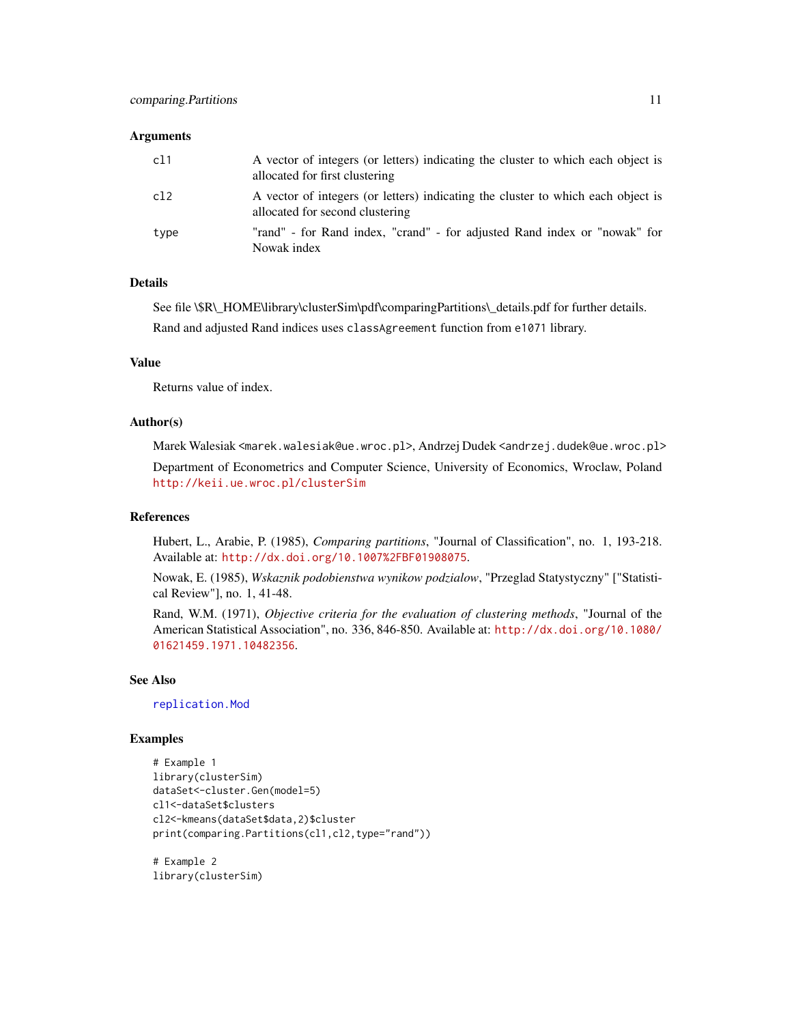#### **Arguments**

| c11  | A vector of integers (or letters) indicating the cluster to which each object is<br>allocated for first clustering  |
|------|---------------------------------------------------------------------------------------------------------------------|
| c12  | A vector of integers (or letters) indicating the cluster to which each object is<br>allocated for second clustering |
| type | "rand" - for Rand index, "crand" - for adjusted Rand index or "nowak" for<br>Nowak index                            |

#### Details

See file \\$R\\_HOME\library\clusterSim\pdf\comparingPartitions\\_details.pdf for further details.

Rand and adjusted Rand indices uses classAgreement function from e1071 library.

# Value

Returns value of index.

# Author(s)

Marek Walesiak <marek.walesiak@ue.wroc.pl>, Andrzej Dudek <andrzej.dudek@ue.wroc.pl> Department of Econometrics and Computer Science, University of Economics, Wroclaw, Poland

<http://keii.ue.wroc.pl/clusterSim>

## References

Hubert, L., Arabie, P. (1985), *Comparing partitions*, "Journal of Classification", no. 1, 193-218. Available at: <http://dx.doi.org/10.1007%2FBF01908075>.

Nowak, E. (1985), *Wskaznik podobienstwa wynikow podzialow*, "Przeglad Statystyczny" ["Statistical Review"], no. 1, 41-48.

Rand, W.M. (1971), *Objective criteria for the evaluation of clustering methods*, "Journal of the American Statistical Association", no. 336, 846-850. Available at: [http://dx.doi.org/10.1080/](http://dx.doi.org/10.1080/01621459.1971.10482356) [01621459.1971.10482356](http://dx.doi.org/10.1080/01621459.1971.10482356).

#### See Also

[replication.Mod](#page-62-1)

## Examples

```
# Example 1
library(clusterSim)
dataSet<-cluster.Gen(model=5)
cl1<-dataSet$clusters
cl2<-kmeans(dataSet$data,2)$cluster
print(comparing.Partitions(cl1,cl2,type="rand"))
```
# Example 2 library(clusterSim)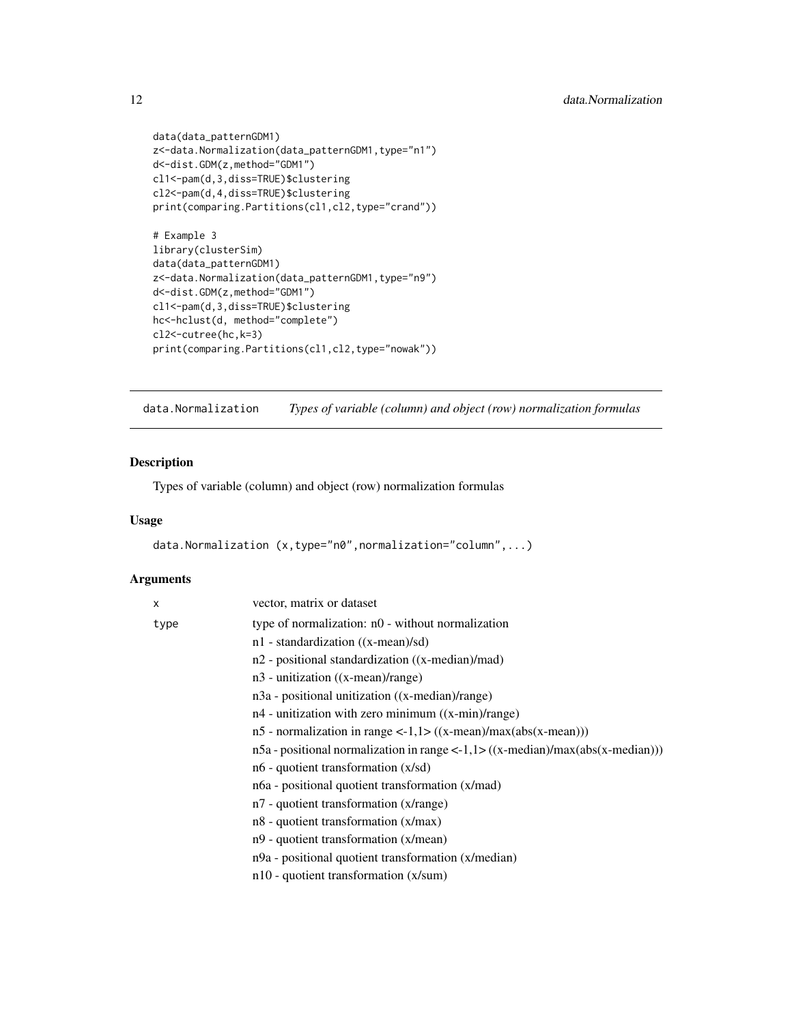```
data(data_patternGDM1)
z<-data.Normalization(data_patternGDM1,type="n1")
d<-dist.GDM(z,method="GDM1")
cl1<-pam(d,3,diss=TRUE)$clustering
cl2<-pam(d,4,diss=TRUE)$clustering
print(comparing.Partitions(cl1,cl2,type="crand"))
# Example 3
library(clusterSim)
data(data_patternGDM1)
z<-data.Normalization(data_patternGDM1,type="n9")
d<-dist.GDM(z,method="GDM1")
cl1<-pam(d,3,diss=TRUE)$clustering
hc<-hclust(d, method="complete")
cl2<-cutree(hc,k=3)
```
print(comparing.Partitions(cl1,cl2,type="nowak"))

<span id="page-11-1"></span>data.Normalization *Types of variable (column) and object (row) normalization formulas*

# Description

Types of variable (column) and object (row) normalization formulas

## Usage

```
data.Normalization (x,type="n0",normalization="column",...)
```
# Arguments

| vector, matrix or dataset                                                                |
|------------------------------------------------------------------------------------------|
| type of normalization: n0 - without normalization                                        |
| n1 - standardization ((x-mean)/sd)                                                       |
| n2 - positional standardization ((x-median)/mad)                                         |
| $n3$ - unitization ((x-mean)/range)                                                      |
| n3a - positional unitization ((x-median)/range)                                          |
| $n4$ - unitization with zero minimum $((x-min)/range)$                                   |
| $n5$ - normalization in range <-1,1> $((x-mean)/max(abs(x-mean)))$                       |
| $n5a$ - positional normalization in range <-1,1> $((x$ -median $)/max(abs(x - median)))$ |
| $n6$ - quotient transformation $(x/sd)$                                                  |
| n6a - positional quotient transformation (x/mad)                                         |
| $n7$ - quotient transformation (x/range)                                                 |
| $n8$ - quotient transformation $(x/max)$                                                 |
| n9 - quotient transformation (x/mean)                                                    |
| n9a - positional quotient transformation (x/median)                                      |
| $n10$ - quotient transformation (x/sum)                                                  |
|                                                                                          |

<span id="page-11-0"></span>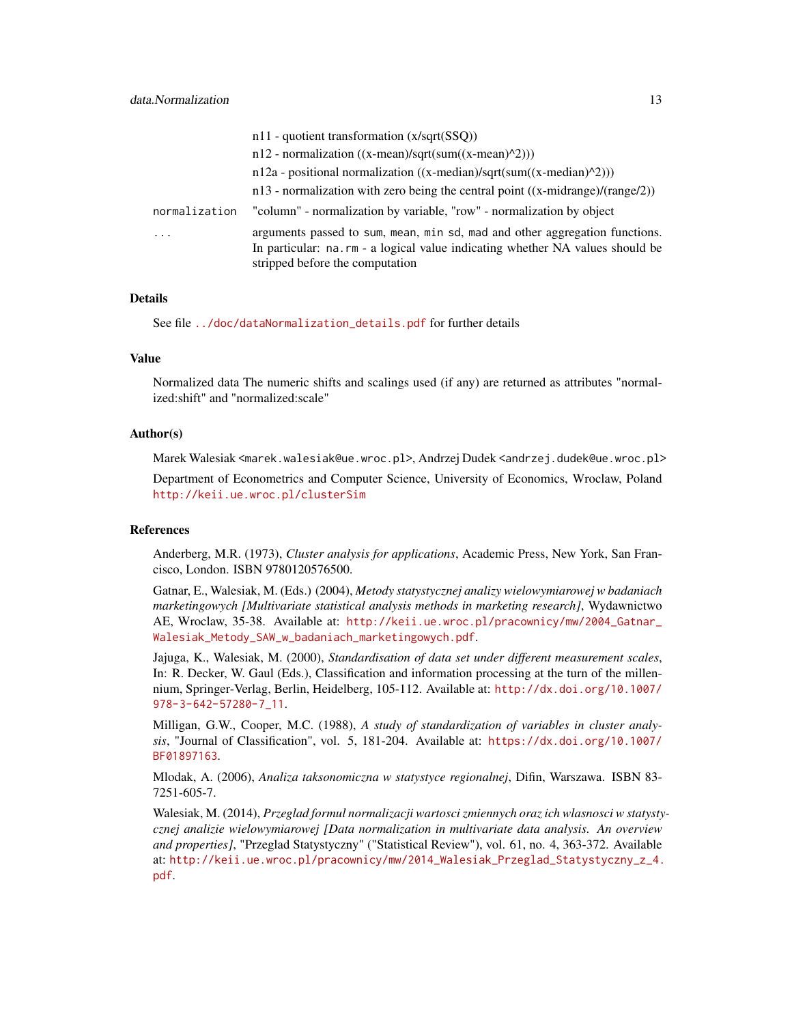|               | $n11$ - quotient transformation (x/sqrt(SSQ))                                                                                                                                                   |
|---------------|-------------------------------------------------------------------------------------------------------------------------------------------------------------------------------------------------|
|               | $n12$ - normalization ((x-mean)/sqrt(sum((x-mean)^2)))                                                                                                                                          |
|               | $n12a$ - positional normalization ((x-median)/sqrt(sum((x-median)^2)))                                                                                                                          |
|               | $n13$ - normalization with zero being the central point ((x-midrange)/(range/2))                                                                                                                |
| normalization | "column" - normalization by variable, "row" - normalization by object                                                                                                                           |
| $\ddots$      | arguments passed to sum, mean, min sd, mad and other aggregation functions.<br>In particular: na.rm - a logical value indicating whether NA values should be<br>stripped before the computation |

# Details

See file [../doc/dataNormalization\\_details.pdf](../doc/dataNormalization_details.pdf) for further details

#### Value

Normalized data The numeric shifts and scalings used (if any) are returned as attributes "normalized:shift" and "normalized:scale"

#### Author(s)

Marek Walesiak <marek.walesiak@ue.wroc.pl>, Andrzej Dudek <andrzej.dudek@ue.wroc.pl>

Department of Econometrics and Computer Science, University of Economics, Wroclaw, Poland <http://keii.ue.wroc.pl/clusterSim>

## References

Anderberg, M.R. (1973), *Cluster analysis for applications*, Academic Press, New York, San Francisco, London. ISBN 9780120576500.

Gatnar, E., Walesiak, M. (Eds.) (2004), *Metody statystycznej analizy wielowymiarowej w badaniach marketingowych [Multivariate statistical analysis methods in marketing research]*, Wydawnictwo AE, Wroclaw, 35-38. Available at: [http://keii.ue.wroc.pl/pracownicy/mw/2004\\_Gatnar\\_](http://keii.ue.wroc.pl/pracownicy/mw/2004_Gatnar_Walesiak_Metody_SAW_w_badaniach_marketingowych.pdf) [Walesiak\\_Metody\\_SAW\\_w\\_badaniach\\_marketingowych.pdf](http://keii.ue.wroc.pl/pracownicy/mw/2004_Gatnar_Walesiak_Metody_SAW_w_badaniach_marketingowych.pdf).

Jajuga, K., Walesiak, M. (2000), *Standardisation of data set under different measurement scales*, In: R. Decker, W. Gaul (Eds.), Classification and information processing at the turn of the millennium, Springer-Verlag, Berlin, Heidelberg, 105-112. Available at: [http://dx.doi.org/10.1007/](http://dx.doi.org/10.1007/978-3-642-57280-7_11) [978-3-642-57280-7\\_11](http://dx.doi.org/10.1007/978-3-642-57280-7_11).

Milligan, G.W., Cooper, M.C. (1988), *A study of standardization of variables in cluster analysis*, "Journal of Classification", vol. 5, 181-204. Available at: [https://dx.doi.org/10.1007/](https://dx.doi.org/10.1007/BF01897163) [BF01897163](https://dx.doi.org/10.1007/BF01897163).

Mlodak, A. (2006), *Analiza taksonomiczna w statystyce regionalnej*, Difin, Warszawa. ISBN 83- 7251-605-7.

Walesiak, M. (2014), *Przeglad formul normalizacji wartosci zmiennych oraz ich wlasnosci w statystycznej analizie wielowymiarowej [Data normalization in multivariate data analysis. An overview and properties]*, "Przeglad Statystyczny" ("Statistical Review"), vol. 61, no. 4, 363-372. Available at: [http://keii.ue.wroc.pl/pracownicy/mw/2014\\_Walesiak\\_Przeglad\\_Statystyczny\\_z\\_4.](http://keii.ue.wroc.pl/pracownicy/mw/2014_Walesiak_Przeglad_Statystyczny_z_4.pdf) [pdf](http://keii.ue.wroc.pl/pracownicy/mw/2014_Walesiak_Przeglad_Statystyczny_z_4.pdf).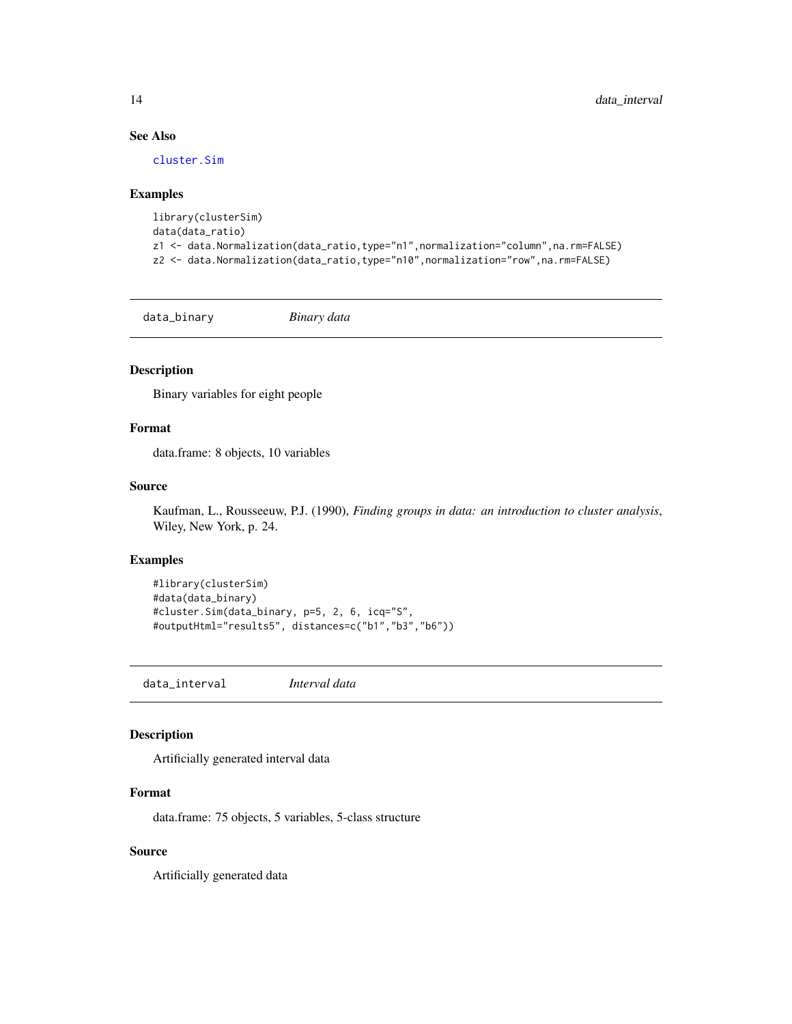# See Also

[cluster.Sim](#page-7-1)

#### Examples

```
library(clusterSim)
data(data_ratio)
z1 <- data.Normalization(data_ratio,type="n1",normalization="column",na.rm=FALSE)
z2 <- data.Normalization(data_ratio,type="n10",normalization="row",na.rm=FALSE)
```
data\_binary *Binary data*

# Description

Binary variables for eight people

# Format

data.frame: 8 objects, 10 variables

## Source

Kaufman, L., Rousseeuw, P.J. (1990), *Finding groups in data: an introduction to cluster analysis*, Wiley, New York, p. 24.

#### Examples

```
#library(clusterSim)
#data(data_binary)
#cluster.Sim(data_binary, p=5, 2, 6, icq="S",
#outputHtml="results5", distances=c("b1","b3","b6"))
```
data\_interval *Interval data*

# Description

Artificially generated interval data

# Format

data.frame: 75 objects, 5 variables, 5-class structure

# Source

Artificially generated data

<span id="page-13-0"></span>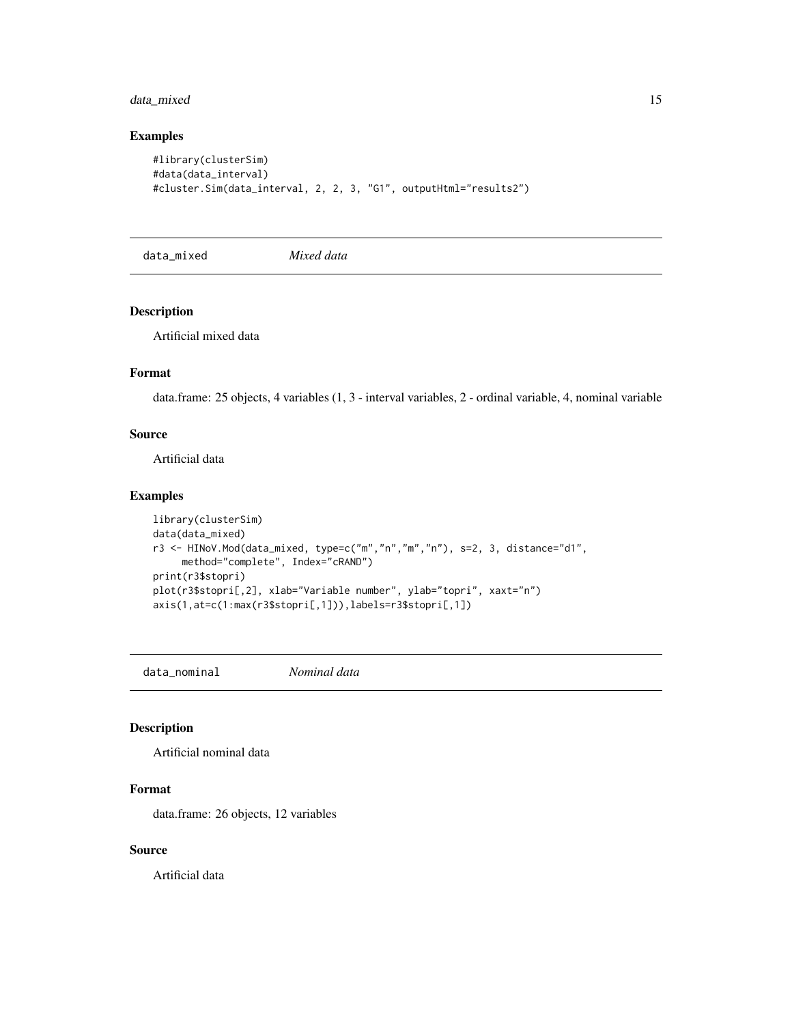# <span id="page-14-0"></span>data\_mixed 15

# Examples

```
#library(clusterSim)
#data(data_interval)
#cluster.Sim(data_interval, 2, 2, 3, "G1", outputHtml="results2")
```
data\_mixed *Mixed data*

## Description

Artificial mixed data

# Format

data.frame: 25 objects, 4 variables (1, 3 - interval variables, 2 - ordinal variable, 4, nominal variable

# Source

Artificial data

## Examples

```
library(clusterSim)
data(data_mixed)
r3 <- HINoV.Mod(data_mixed, type=c("m","n","m","n"), s=2, 3, distance="d1",
    method="complete", Index="cRAND")
print(r3$stopri)
plot(r3$stopri[,2], xlab="Variable number", ylab="topri", xaxt="n")
axis(1,at=c(1:max(r3$stopri[,1])),labels=r3$stopri[,1])
```
data\_nominal *Nominal data*

## Description

Artificial nominal data

## Format

data.frame: 26 objects, 12 variables

## Source

Artificial data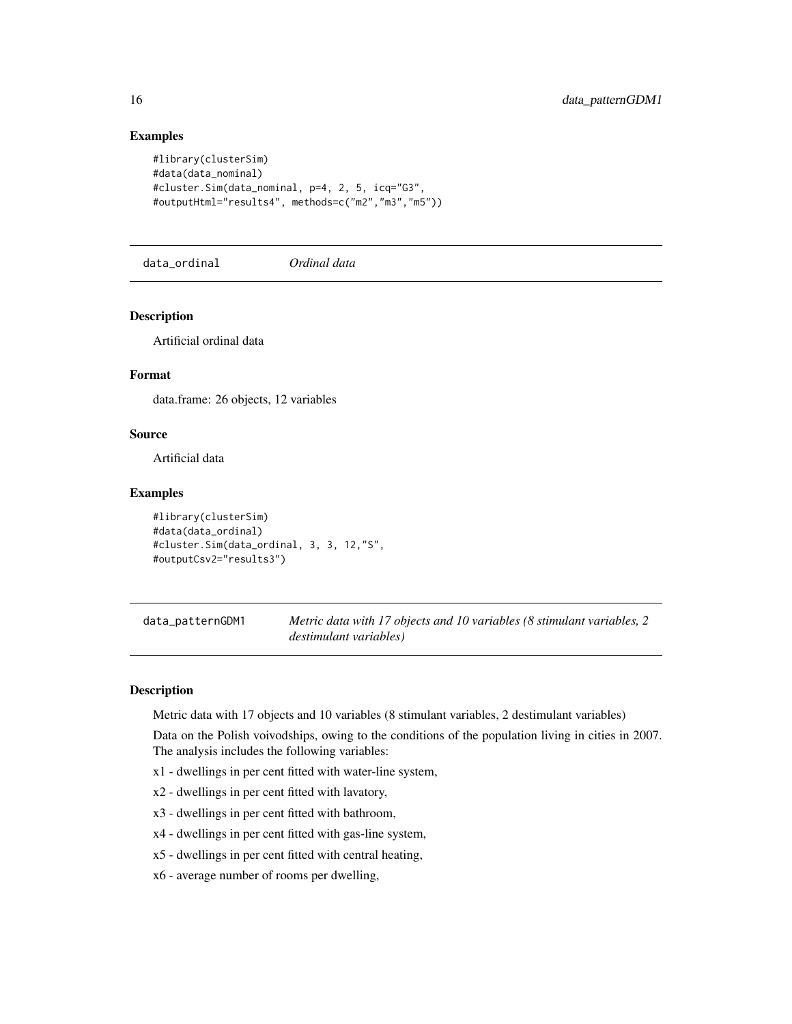## Examples

```
#library(clusterSim)
#data(data_nominal)
#cluster.Sim(data_nominal, p=4, 2, 5, icq="G3",
#outputHtml="results4", methods=c("m2","m3","m5"))
```
data\_ordinal *Ordinal data*

## Description

Artificial ordinal data

## Format

data.frame: 26 objects, 12 variables

# Source

Artificial data

#### Examples

```
#library(clusterSim)
#data(data_ordinal)
#cluster.Sim(data_ordinal, 3, 3, 12,"S",
#outputCsv2="results3")
```
data\_patternGDM1 *Metric data with 17 objects and 10 variables (8 stimulant variables, 2 destimulant variables)*

# Description

Metric data with 17 objects and 10 variables (8 stimulant variables, 2 destimulant variables)

Data on the Polish voivodships, owing to the conditions of the population living in cities in 2007. The analysis includes the following variables:

- x1 dwellings in per cent fitted with water-line system,
- x2 dwellings in per cent fitted with lavatory,
- x3 dwellings in per cent fitted with bathroom,
- x4 dwellings in per cent fitted with gas-line system,
- x5 dwellings in per cent fitted with central heating,
- x6 average number of rooms per dwelling,

<span id="page-15-0"></span>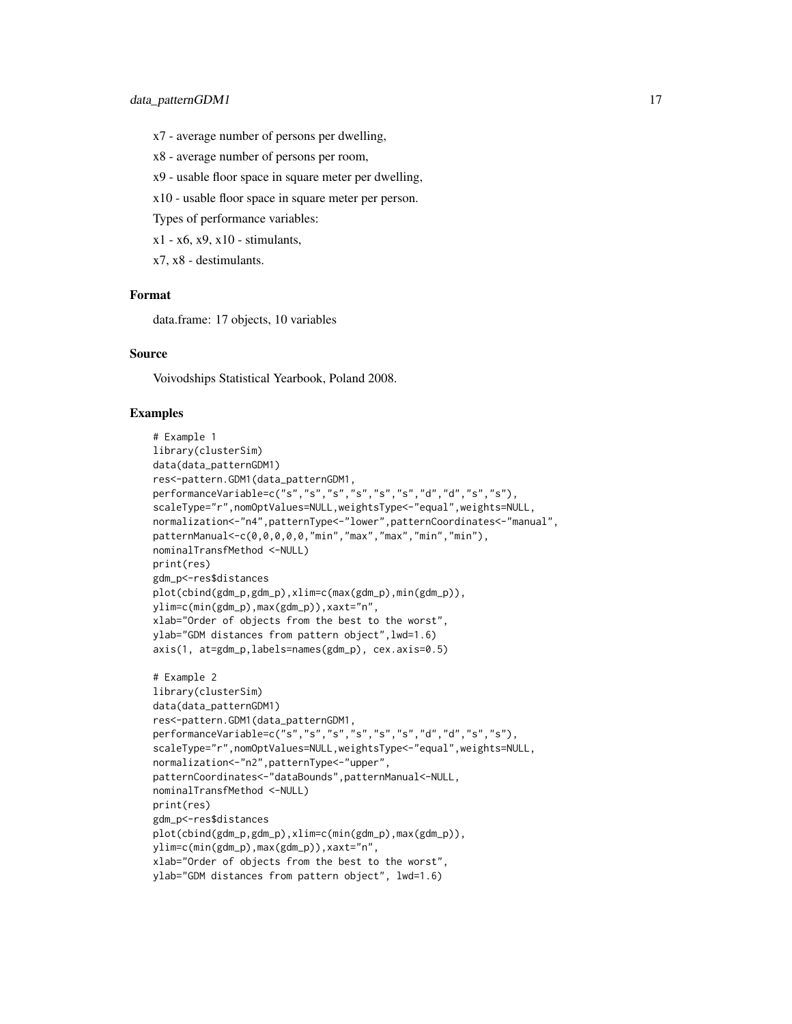- x7 average number of persons per dwelling,
- x8 average number of persons per room,
- x9 usable floor space in square meter per dwelling,
- x10 usable floor space in square meter per person.
- Types of performance variables:
- $x1 x6$ ,  $x9$ ,  $x10 -$  stimulants,
- x7, x8 destimulants.

## Format

data.frame: 17 objects, 10 variables

#### Source

Voivodships Statistical Yearbook, Poland 2008.

```
# Example 1
library(clusterSim)
data(data_patternGDM1)
res<-pattern.GDM1(data_patternGDM1,
performanceVariable=c("s","s","s","s","s","s","d","d","s","s"),
scaleType="r",nomOptValues=NULL,weightsType<-"equal",weights=NULL,
normalization<-"n4",patternType<-"lower",patternCoordinates<-"manual",
patternManual<-c(0,0,0,0,0,"min","max","max","min","min"),
nominalTransfMethod <-NULL)
print(res)
gdm_p<-res$distances
plot(cbind(gdm_p,gdm_p),xlim=c(max(gdm_p),min(gdm_p)),
ylim=c(min(gdm_p),max(gdm_p)),xaxt="n",
xlab="Order of objects from the best to the worst",
ylab="GDM distances from pattern object",lwd=1.6)
axis(1, at=gdm_p,labels=names(gdm_p), cex.axis=0.5)
# Example 2
library(clusterSim)
data(data_patternGDM1)
res<-pattern.GDM1(data_patternGDM1,
performanceVariable=c("s","s","s","s","s","s","d","d","s","s"),
scaleType="r",nomOptValues=NULL,weightsType<-"equal",weights=NULL,
normalization<-"n2",patternType<-"upper",
patternCoordinates<-"dataBounds",patternManual<-NULL,
nominalTransfMethod <-NULL)
print(res)
gdm_p<-res$distances
plot(cbind(gdm_p,gdm_p),xlim=c(min(gdm_p),max(gdm_p)),
ylim=c(min(gdm_p),max(gdm_p)),xaxt="n",
xlab="Order of objects from the best to the worst",
ylab="GDM distances from pattern object", lwd=1.6)
```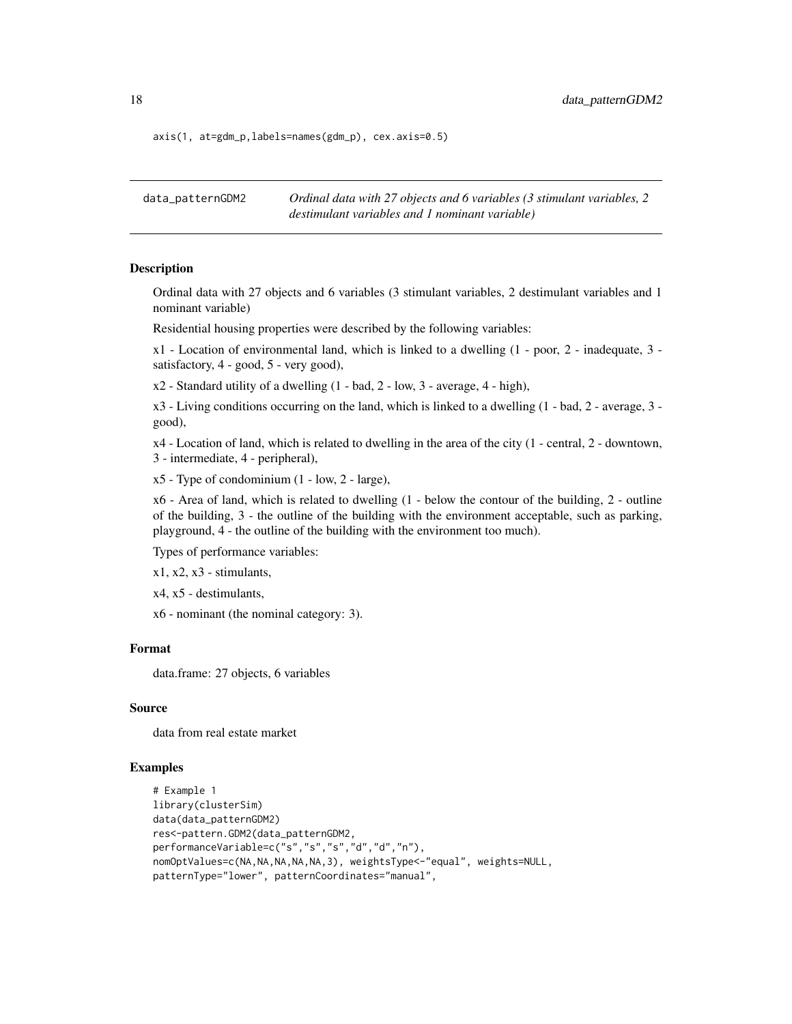axis(1, at=gdm\_p,labels=names(gdm\_p), cex.axis=0.5)

data\_patternGDM2 *Ordinal data with 27 objects and 6 variables (3 stimulant variables, 2 destimulant variables and 1 nominant variable)*

#### Description

Ordinal data with 27 objects and 6 variables (3 stimulant variables, 2 destimulant variables and 1 nominant variable)

Residential housing properties were described by the following variables:

 $x1$  - Location of environmental land, which is linked to a dwelling  $(1 - poor, 2 - inadequate, 3$ satisfactory, 4 - good, 5 - very good),

 $x2$  - Standard utility of a dwelling  $(1 - bad, 2 - low, 3 - average, 4 - high)$ ,

x3 - Living conditions occurring on the land, which is linked to a dwelling (1 - bad, 2 - average, 3 good),

x4 - Location of land, which is related to dwelling in the area of the city (1 - central, 2 - downtown, 3 - intermediate, 4 - peripheral),

x5 - Type of condominium (1 - low, 2 - large),

x6 - Area of land, which is related to dwelling (1 - below the contour of the building, 2 - outline of the building, 3 - the outline of the building with the environment acceptable, such as parking, playground, 4 - the outline of the building with the environment too much).

Types of performance variables:

 $x1, x2, x3$  - stimulants,

x4, x5 - destimulants,

x6 - nominant (the nominal category: 3).

#### Format

data.frame: 27 objects, 6 variables

#### Source

data from real estate market

```
# Example 1
library(clusterSim)
data(data_patternGDM2)
res<-pattern.GDM2(data_patternGDM2,
performanceVariable=c("s","s","s","d","d","n"),
nomOptValues=c(NA,NA,NA,NA,NA,3), weightsType<-"equal", weights=NULL,
patternType="lower", patternCoordinates="manual",
```
<span id="page-17-0"></span>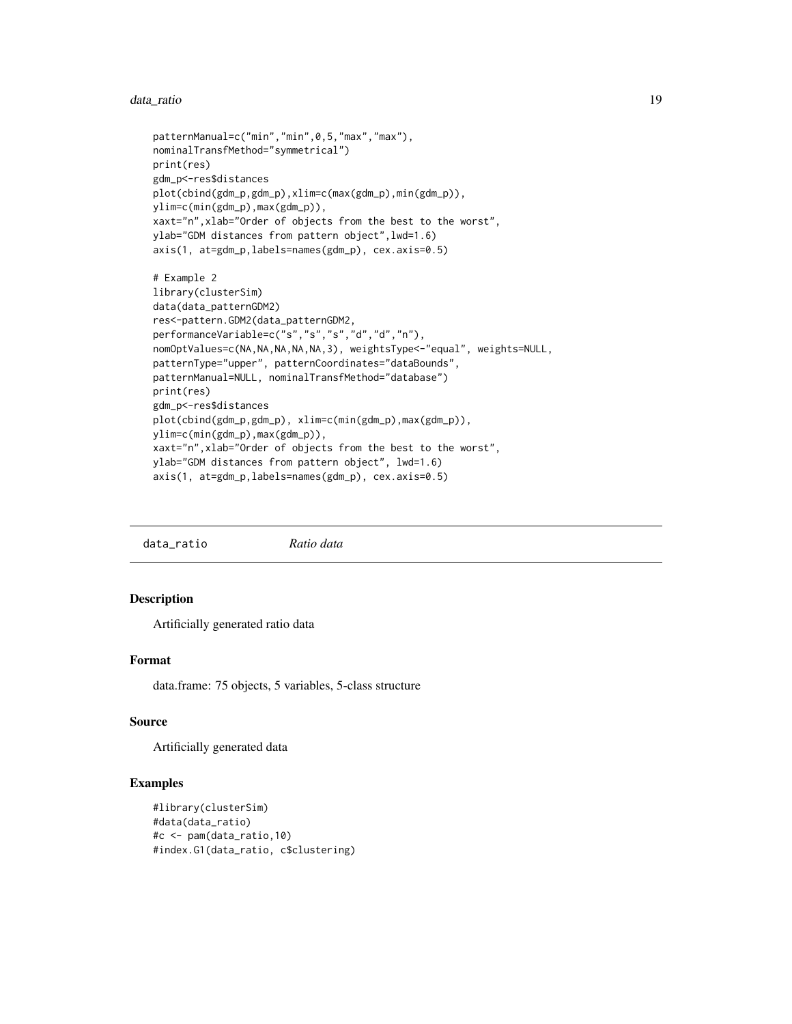#### <span id="page-18-0"></span>data\_ratio 19

```
patternManual=c("min","min",0,5,"max","max"),
nominalTransfMethod="symmetrical")
print(res)
gdm_p<-res$distances
plot(cbind(gdm_p,gdm_p),xlim=c(max(gdm_p),min(gdm_p)),
ylim=c(min(gdm_p),max(gdm_p)),
xaxt="n",xlab="Order of objects from the best to the worst",
ylab="GDM distances from pattern object",lwd=1.6)
axis(1, at=gdm_p,labels=names(gdm_p), cex.axis=0.5)
# Example 2
library(clusterSim)
data(data_patternGDM2)
res<-pattern.GDM2(data_patternGDM2,
performanceVariable=c("s","s","s","d","d","n"),
nomOptValues=c(NA,NA,NA,NA,NA,3), weightsType<-"equal", weights=NULL,
patternType="upper", patternCoordinates="dataBounds",
patternManual=NULL, nominalTransfMethod="database")
print(res)
gdm_p<-res$distances
plot(cbind(gdm_p,gdm_p), xlim=c(min(gdm_p),max(gdm_p)),
ylim=c(min(gdm_p),max(gdm_p)),
xaxt="n",xlab="Order of objects from the best to the worst",
ylab="GDM distances from pattern object", lwd=1.6)
axis(1, at=gdm_p,labels=names(gdm_p), cex.axis=0.5)
```
data\_ratio *Ratio data*

## Description

Artificially generated ratio data

## Format

data.frame: 75 objects, 5 variables, 5-class structure

## Source

Artificially generated data

```
#library(clusterSim)
#data(data_ratio)
#c <- pam(data_ratio,10)
#index.G1(data_ratio, c$clustering)
```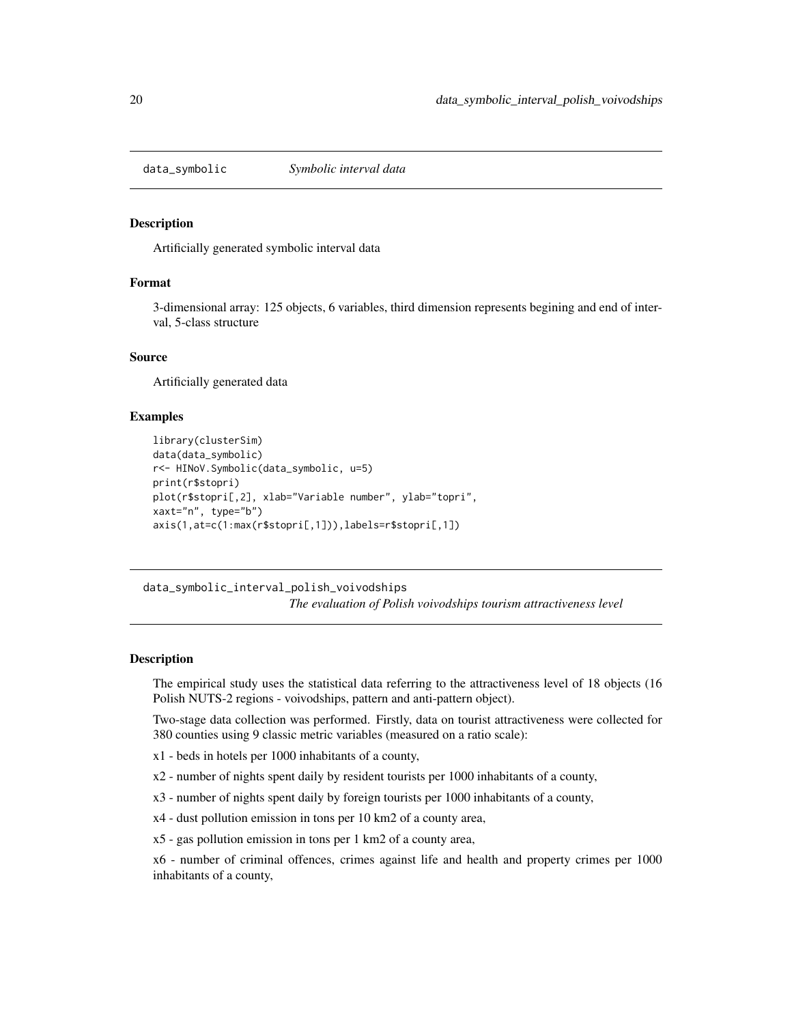<span id="page-19-0"></span>data\_symbolic *Symbolic interval data*

## **Description**

Artificially generated symbolic interval data

## Format

3-dimensional array: 125 objects, 6 variables, third dimension represents begining and end of interval, 5-class structure

#### Source

Artificially generated data

#### Examples

```
library(clusterSim)
data(data_symbolic)
r<- HINoV.Symbolic(data_symbolic, u=5)
print(r$stopri)
plot(r$stopri[,2], xlab="Variable number", ylab="topri",
xaxt="n", type="b")
axis(1,at=c(1:max(r$stopri[,1])),labels=r$stopri[,1])
```
data\_symbolic\_interval\_polish\_voivodships

*The evaluation of Polish voivodships tourism attractiveness level*

#### **Description**

The empirical study uses the statistical data referring to the attractiveness level of 18 objects (16 Polish NUTS-2 regions - voivodships, pattern and anti-pattern object).

Two-stage data collection was performed. Firstly, data on tourist attractiveness were collected for 380 counties using 9 classic metric variables (measured on a ratio scale):

- x1 beds in hotels per 1000 inhabitants of a county,
- x2 number of nights spent daily by resident tourists per 1000 inhabitants of a county,
- x3 number of nights spent daily by foreign tourists per 1000 inhabitants of a county,
- x4 dust pollution emission in tons per 10 km2 of a county area,
- x5 gas pollution emission in tons per 1 km2 of a county area,

x6 - number of criminal offences, crimes against life and health and property crimes per 1000 inhabitants of a county,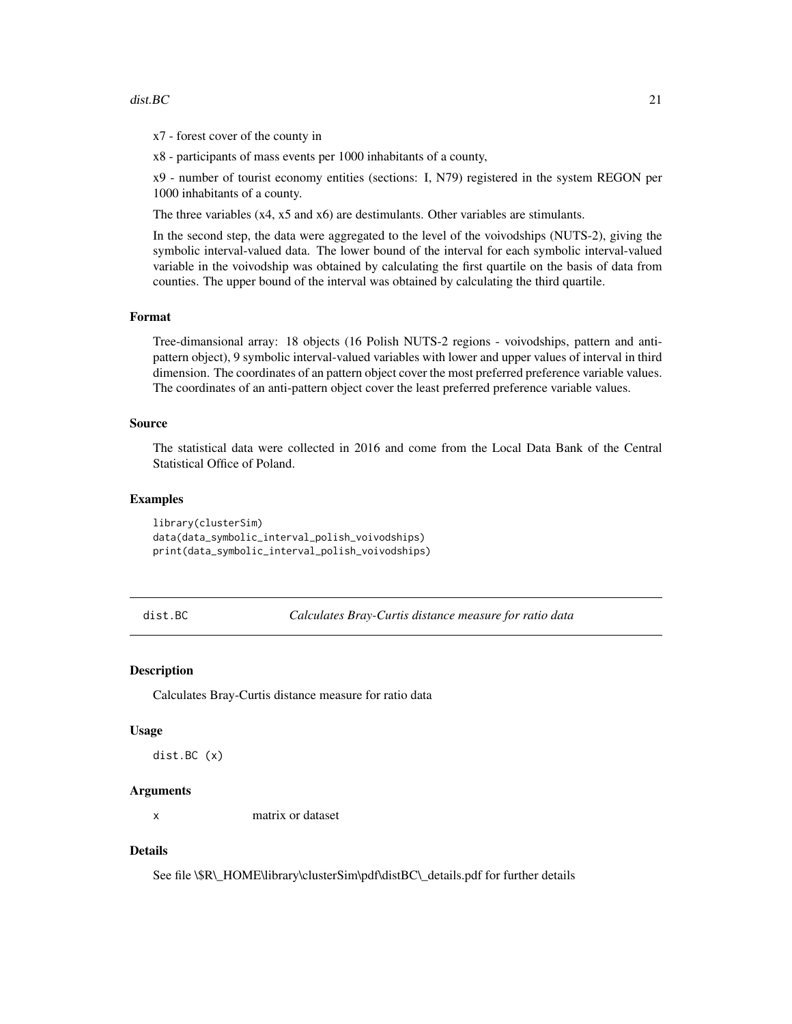#### <span id="page-20-0"></span>dist. BC 21

x7 - forest cover of the county in

x8 - participants of mass events per 1000 inhabitants of a county,

x9 - number of tourist economy entities (sections: I, N79) registered in the system REGON per 1000 inhabitants of a county.

The three variables (x4, x5 and x6) are destimulants. Other variables are stimulants.

In the second step, the data were aggregated to the level of the voivodships (NUTS-2), giving the symbolic interval-valued data. The lower bound of the interval for each symbolic interval-valued variable in the voivodship was obtained by calculating the first quartile on the basis of data from counties. The upper bound of the interval was obtained by calculating the third quartile.

#### Format

Tree-dimansional array: 18 objects (16 Polish NUTS-2 regions - voivodships, pattern and antipattern object), 9 symbolic interval-valued variables with lower and upper values of interval in third dimension. The coordinates of an pattern object cover the most preferred preference variable values. The coordinates of an anti-pattern object cover the least preferred preference variable values.

## Source

The statistical data were collected in 2016 and come from the Local Data Bank of the Central Statistical Office of Poland.

# **Examples**

library(clusterSim) data(data\_symbolic\_interval\_polish\_voivodships) print(data\_symbolic\_interval\_polish\_voivodships)

<span id="page-20-1"></span>dist.BC *Calculates Bray-Curtis distance measure for ratio data*

#### Description

Calculates Bray-Curtis distance measure for ratio data

#### Usage

dist.BC (x)

## **Arguments**

x matrix or dataset

#### Details

See file \\$R\\_HOME\library\clusterSim\pdf\distBC\\_details.pdf for further details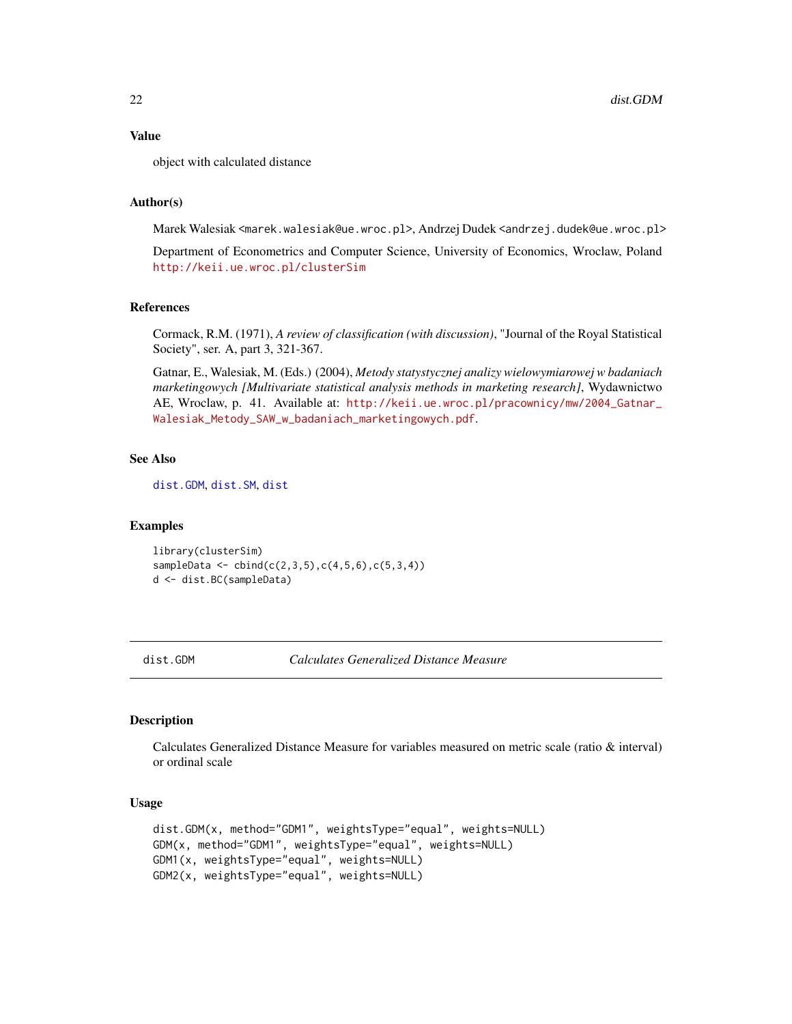#### <span id="page-21-0"></span>Value

object with calculated distance

## Author(s)

Marek Walesiak <marek.walesiak@ue.wroc.pl>, Andrzej Dudek <andrzej.dudek@ue.wroc.pl>

Department of Econometrics and Computer Science, University of Economics, Wroclaw, Poland <http://keii.ue.wroc.pl/clusterSim>

#### References

Cormack, R.M. (1971), *A review of classification (with discussion)*, "Journal of the Royal Statistical Society", ser. A, part 3, 321-367.

Gatnar, E., Walesiak, M. (Eds.) (2004), *Metody statystycznej analizy wielowymiarowej w badaniach marketingowych [Multivariate statistical analysis methods in marketing research]*, Wydawnictwo AE, Wroclaw, p. 41. Available at: [http://keii.ue.wroc.pl/pracownicy/mw/2004\\_Gatnar\\_](http://keii.ue.wroc.pl/pracownicy/mw/2004_Gatnar_Walesiak_Metody_SAW_w_badaniach_marketingowych.pdf) [Walesiak\\_Metody\\_SAW\\_w\\_badaniach\\_marketingowych.pdf](http://keii.ue.wroc.pl/pracownicy/mw/2004_Gatnar_Walesiak_Metody_SAW_w_badaniach_marketingowych.pdf).

## See Also

[dist.GDM](#page-21-1), [dist.SM](#page-23-1), [dist](#page-0-0)

#### Examples

library(clusterSim) sampleData <-  $cbind(c(2,3,5),c(4,5,6),c(5,3,4))$ d <- dist.BC(sampleData)

<span id="page-21-1"></span>dist.GDM *Calculates Generalized Distance Measure*

#### **Description**

Calculates Generalized Distance Measure for variables measured on metric scale (ratio & interval) or ordinal scale

## Usage

```
dist.GDM(x, method="GDM1", weightsType="equal", weights=NULL)
GDM(x, method="GDM1", weightsType="equal", weights=NULL)
GDM1(x, weightsType="equal", weights=NULL)
GDM2(x, weightsType="equal", weights=NULL)
```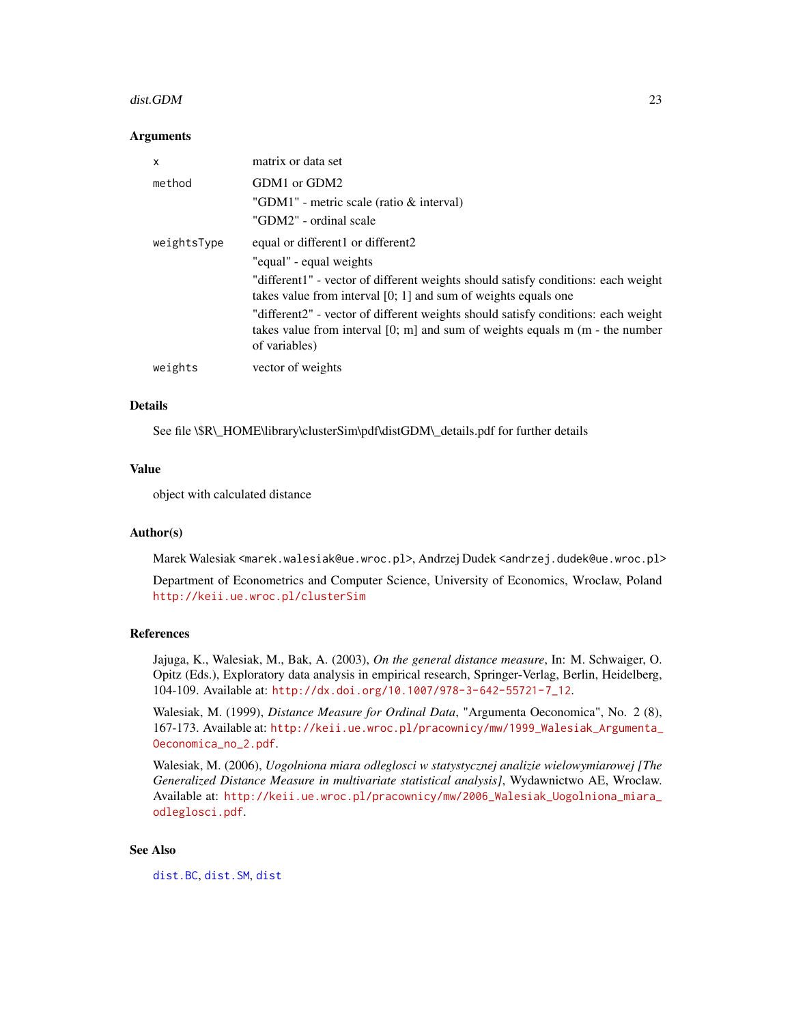#### dist.GDM 23

#### **Arguments**

| x           | matrix or data set                                                                                                                                                                                                    |
|-------------|-----------------------------------------------------------------------------------------------------------------------------------------------------------------------------------------------------------------------|
| method      | GDM1 or GDM2<br>"GDM1" - metric scale (ratio & interval)<br>"GDM2" - ordinal scale                                                                                                                                    |
| weightsType | equal or different1 or different2<br>"equal" - equal weights<br>"different1" - vector of different weights should satisfy conditions: each weight<br>takes value from interval $[0; 1]$ and sum of weights equals one |
|             | "different2" - vector of different weights should satisfy conditions: each weight<br>takes value from interval [0; m] and sum of weights equals m (m - the number<br>of variables)                                    |
| weights     | vector of weights                                                                                                                                                                                                     |

#### Details

See file \\$R\\_HOME\library\clusterSim\pdf\distGDM\\_details.pdf for further details

# Value

object with calculated distance

# Author(s)

Marek Walesiak <marek.walesiak@ue.wroc.pl>, Andrzej Dudek <andrzej.dudek@ue.wroc.pl>

Department of Econometrics and Computer Science, University of Economics, Wroclaw, Poland <http://keii.ue.wroc.pl/clusterSim>

## References

Jajuga, K., Walesiak, M., Bak, A. (2003), *On the general distance measure*, In: M. Schwaiger, O. Opitz (Eds.), Exploratory data analysis in empirical research, Springer-Verlag, Berlin, Heidelberg, 104-109. Available at: [http://dx.doi.org/10.1007/978-3-642-55721-7\\_12](http://dx.doi.org/10.1007/978-3-642-55721-7_12).

Walesiak, M. (1999), *Distance Measure for Ordinal Data*, "Argumenta Oeconomica", No. 2 (8), 167-173. Available at: [http://keii.ue.wroc.pl/pracownicy/mw/1999\\_Walesiak\\_Argumenta\\_](http://keii.ue.wroc.pl/pracownicy/mw/1999_Walesiak_Argumenta_Oeconomica_no_2.pdf) [Oeconomica\\_no\\_2.pdf](http://keii.ue.wroc.pl/pracownicy/mw/1999_Walesiak_Argumenta_Oeconomica_no_2.pdf).

Walesiak, M. (2006), *Uogolniona miara odleglosci w statystycznej analizie wielowymiarowej [The Generalized Distance Measure in multivariate statistical analysis]*, Wydawnictwo AE, Wroclaw. Available at: [http://keii.ue.wroc.pl/pracownicy/mw/2006\\_Walesiak\\_Uogolniona\\_miara\\_](http://keii.ue.wroc.pl/pracownicy/mw/2006_Walesiak_Uogolniona_miara_odleglosci.pdf) [odleglosci.pdf](http://keii.ue.wroc.pl/pracownicy/mw/2006_Walesiak_Uogolniona_miara_odleglosci.pdf).

## See Also

[dist.BC](#page-20-1), [dist.SM](#page-23-1), [dist](#page-0-0)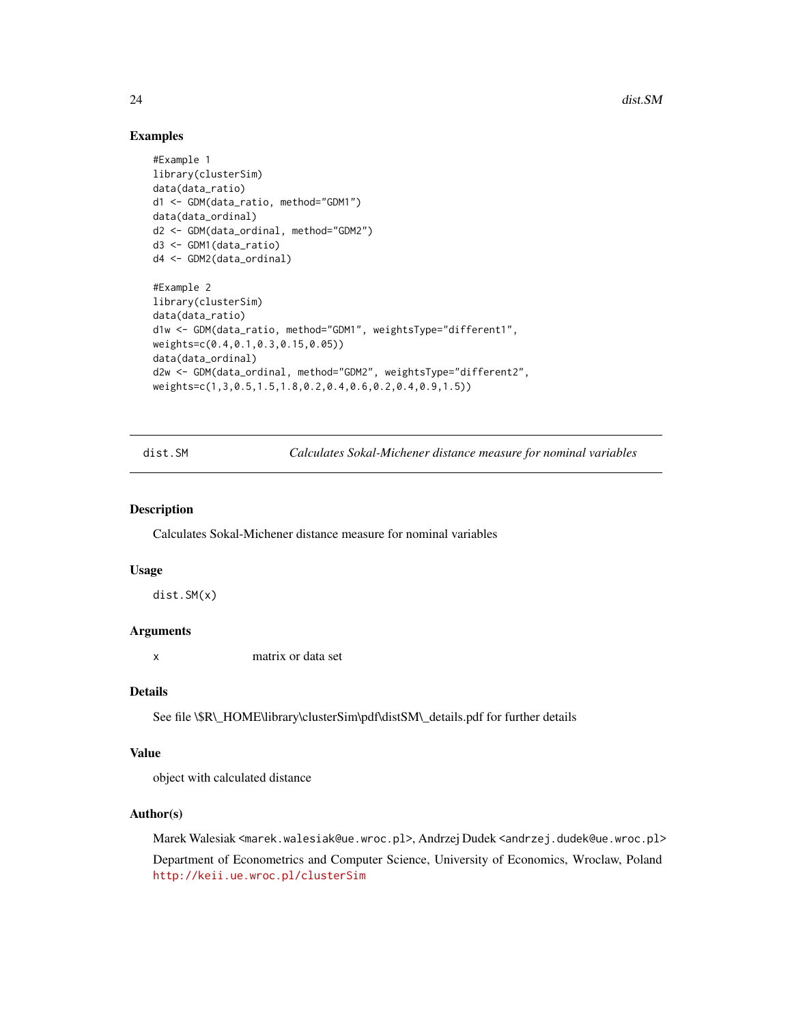## Examples

```
#Example 1
library(clusterSim)
data(data_ratio)
d1 <- GDM(data_ratio, method="GDM1")
data(data_ordinal)
d2 <- GDM(data_ordinal, method="GDM2")
d3 <- GDM1(data_ratio)
d4 <- GDM2(data_ordinal)
#Example 2
library(clusterSim)
data(data_ratio)
d1w <- GDM(data_ratio, method="GDM1", weightsType="different1",
weights=c(0.4,0.1,0.3,0.15,0.05))
data(data_ordinal)
d2w <- GDM(data_ordinal, method="GDM2", weightsType="different2",
weights=c(1,3,0.5,1.5,1.8,0.2,0.4,0.6,0.2,0.4,0.9,1.5))
```
dist.SM *Calculates Sokal-Michener distance measure for nominal variables*

#### Description

Calculates Sokal-Michener distance measure for nominal variables

#### Usage

dist.SM(x)

## Arguments

x matrix or data set

## Details

See file \\$R\\_HOME\library\clusterSim\pdf\distSM\\_details.pdf for further details

## Value

object with calculated distance

## Author(s)

Marek Walesiak <marek.walesiak@ue.wroc.pl>, Andrzej Dudek <andrzej.dudek@ue.wroc.pl> Department of Econometrics and Computer Science, University of Economics, Wroclaw, Poland <http://keii.ue.wroc.pl/clusterSim>

<span id="page-23-0"></span>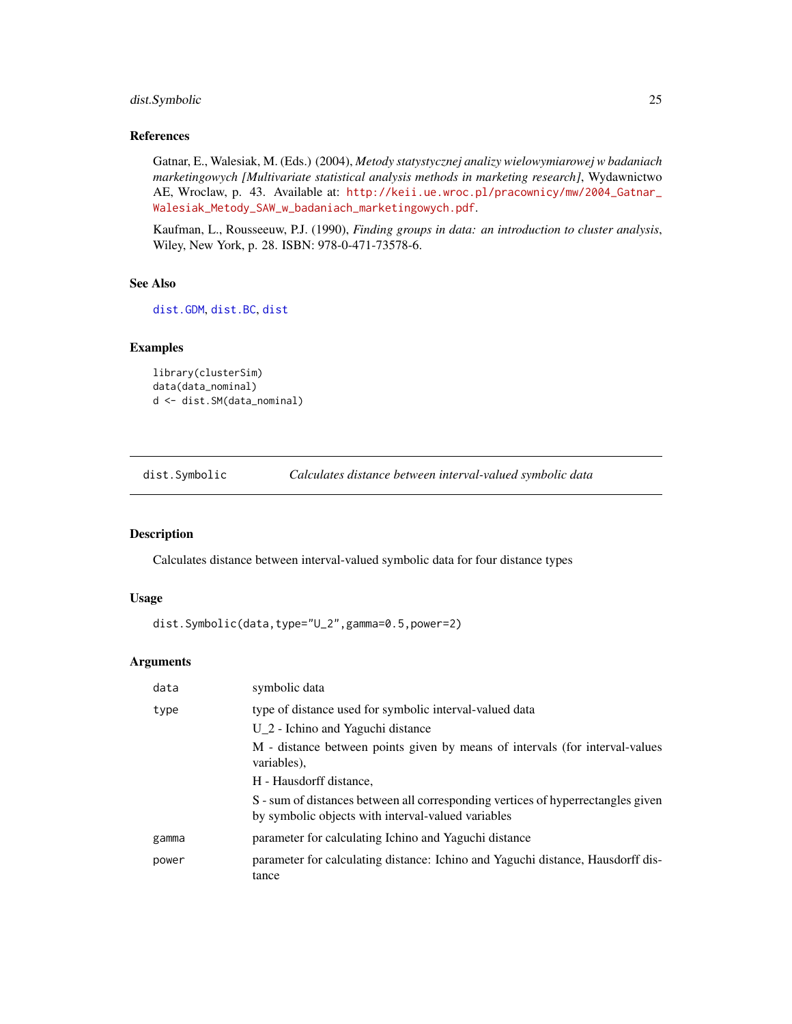# <span id="page-24-0"></span>dist.Symbolic 25

# References

Gatnar, E., Walesiak, M. (Eds.) (2004), *Metody statystycznej analizy wielowymiarowej w badaniach marketingowych [Multivariate statistical analysis methods in marketing research]*, Wydawnictwo AE, Wroclaw, p. 43. Available at: [http://keii.ue.wroc.pl/pracownicy/mw/2004\\_Gatnar\\_](http://keii.ue.wroc.pl/pracownicy/mw/2004_Gatnar_Walesiak_Metody_SAW_w_badaniach_marketingowych.pdf) [Walesiak\\_Metody\\_SAW\\_w\\_badaniach\\_marketingowych.pdf](http://keii.ue.wroc.pl/pracownicy/mw/2004_Gatnar_Walesiak_Metody_SAW_w_badaniach_marketingowych.pdf).

Kaufman, L., Rousseeuw, P.J. (1990), *Finding groups in data: an introduction to cluster analysis*, Wiley, New York, p. 28. ISBN: 978-0-471-73578-6.

# See Also

[dist.GDM](#page-21-1), [dist.BC](#page-20-1), [dist](#page-0-0)

# Examples

```
library(clusterSim)
data(data_nominal)
d <- dist.SM(data_nominal)
```
dist.Symbolic *Calculates distance between interval-valued symbolic data*

## Description

Calculates distance between interval-valued symbolic data for four distance types

# Usage

dist.Symbolic(data,type="U\_2",gamma=0.5,power=2)

# Arguments

| data  | symbolic data                                                                                                                          |
|-------|----------------------------------------------------------------------------------------------------------------------------------------|
| type  | type of distance used for symbolic interval-valued data                                                                                |
|       | $U_2$ - Ichino and Yaguchi distance                                                                                                    |
|       | M - distance between points given by means of intervals (for interval-values<br>variables).                                            |
|       | H - Hausdorff distance.                                                                                                                |
|       | S - sum of distances between all corresponding vertices of hyperrectangles given<br>by symbolic objects with interval-valued variables |
| gamma | parameter for calculating Ichino and Yaguchi distance                                                                                  |
| power | parameter for calculating distance: Ichino and Yaguchi distance, Hausdorff dis-<br>tance                                               |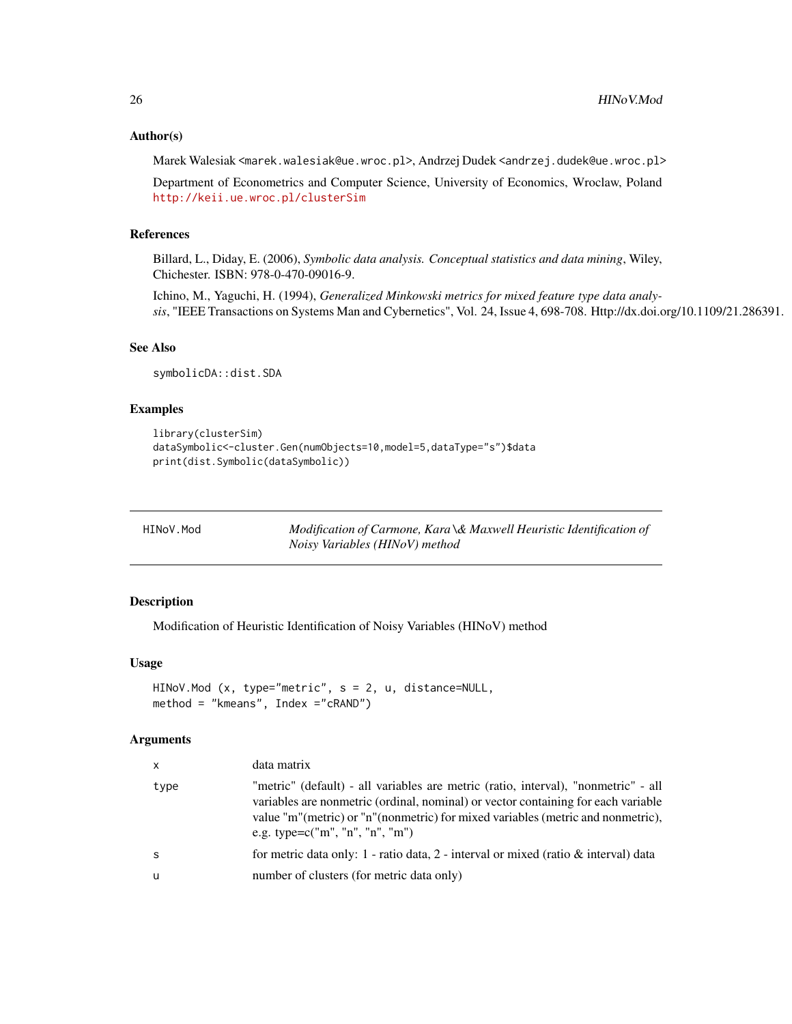## <span id="page-25-0"></span>Author(s)

Marek Walesiak <marek.walesiak@ue.wroc.pl>, Andrzej Dudek <andrzej.dudek@ue.wroc.pl>

Department of Econometrics and Computer Science, University of Economics, Wroclaw, Poland <http://keii.ue.wroc.pl/clusterSim>

# References

Billard, L., Diday, E. (2006), *Symbolic data analysis. Conceptual statistics and data mining*, Wiley, Chichester. ISBN: 978-0-470-09016-9.

Ichino, M., Yaguchi, H. (1994), *Generalized Minkowski metrics for mixed feature type data analysis*, "IEEE Transactions on Systems Man and Cybernetics", Vol. 24, Issue 4, 698-708. Http://dx.doi.org/10.1109/21.286391.

## See Also

symbolicDA::dist.SDA

## Examples

```
library(clusterSim)
dataSymbolic<-cluster.Gen(numObjects=10,model=5,dataType="s")$data
print(dist.Symbolic(dataSymbolic))
```
Modification of Carmone, Kara \& Maxwell Heuristic Identification of *Noisy Variables (HINoV) method*

#### Description

Modification of Heuristic Identification of Noisy Variables (HINoV) method

# Usage

```
HINoV.Mod (x, type="metric", s = 2, u, distance=NULL,
method = "kmeans", Index ="cRAND")
```
#### Arguments

| x    | data matrix                                                                                                                                                                                                                                                                                      |
|------|--------------------------------------------------------------------------------------------------------------------------------------------------------------------------------------------------------------------------------------------------------------------------------------------------|
| type | "metric" (default) - all variables are metric (ratio, interval), "nonmetric" - all<br>variables are nonmetric (ordinal, nominal) or vector containing for each variable<br>value "m"(metric) or "n"(nonmetric) for mixed variables (metric and nonmetric),<br>e.g. type= $c("m", "n", "n", "m")$ |
| S    | for metric data only: 1 - ratio data, 2 - interval or mixed (ratio $\&$ interval) data                                                                                                                                                                                                           |
| u    | number of clusters (for metric data only)                                                                                                                                                                                                                                                        |
|      |                                                                                                                                                                                                                                                                                                  |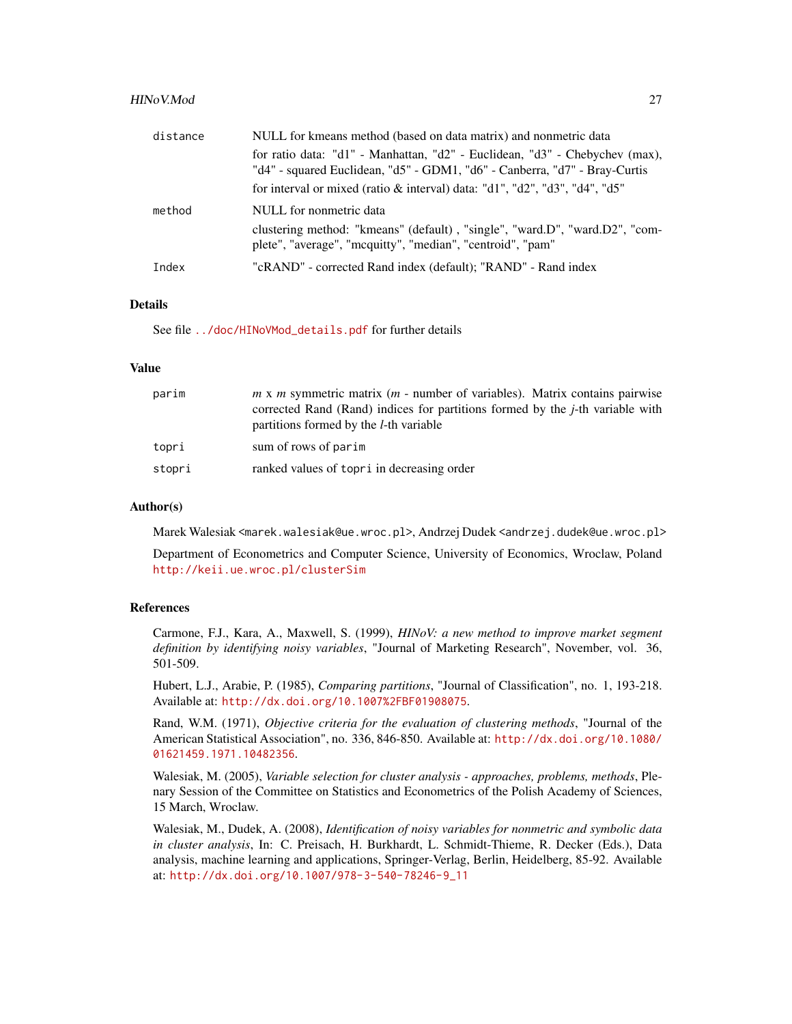#### HINoV.Mod 27

| distance | NULL for kmeans method (based on data matrix) and nonmetric data                                                                                          |
|----------|-----------------------------------------------------------------------------------------------------------------------------------------------------------|
|          | for ratio data: "d1" - Manhattan, "d2" - Euclidean, "d3" - Chebychev (max),<br>"d4" - squared Euclidean, "d5" - GDM1, "d6" - Canberra, "d7" - Bray-Curtis |
|          | for interval or mixed (ratio & interval) data: "d1", "d2", "d3", "d4", "d5"                                                                               |
| method   | NULL for nonmetric data                                                                                                                                   |
|          | clustering method: "kmeans" (default), "single", "ward.D", "ward.D2", "com-<br>plete", "average", "mcquitty", "median", "centroid", "pam"                 |
| Index    | "cRAND" - corrected Rand index (default); "RAND" - Rand index                                                                                             |

# Details

See file [../doc/HINoVMod\\_details.pdf](../doc/HINoVMod_details.pdf) for further details

#### Value

| parim  | $m \times m$ symmetric matrix ( $m$ - number of variables). Matrix contains pairwise<br>corrected Rand (Rand) indices for partitions formed by the <i>j</i> -th variable with<br>partitions formed by the <i>l</i> -th variable |
|--------|---------------------------------------------------------------------------------------------------------------------------------------------------------------------------------------------------------------------------------|
| topri  | sum of rows of parim                                                                                                                                                                                                            |
| stopri | ranked values of topri in decreasing order                                                                                                                                                                                      |

## Author(s)

Marek Walesiak <marek.walesiak@ue.wroc.pl>, Andrzej Dudek <andrzej.dudek@ue.wroc.pl>

Department of Econometrics and Computer Science, University of Economics, Wroclaw, Poland <http://keii.ue.wroc.pl/clusterSim>

#### References

Carmone, F.J., Kara, A., Maxwell, S. (1999), *HINoV: a new method to improve market segment definition by identifying noisy variables*, "Journal of Marketing Research", November, vol. 36, 501-509.

Hubert, L.J., Arabie, P. (1985), *Comparing partitions*, "Journal of Classification", no. 1, 193-218. Available at: <http://dx.doi.org/10.1007%2FBF01908075>.

Rand, W.M. (1971), *Objective criteria for the evaluation of clustering methods*, "Journal of the American Statistical Association", no. 336, 846-850. Available at: [http://dx.doi.org/10.1080/](http://dx.doi.org/10.1080/01621459.1971.10482356) [01621459.1971.10482356](http://dx.doi.org/10.1080/01621459.1971.10482356).

Walesiak, M. (2005), *Variable selection for cluster analysis - approaches, problems, methods*, Plenary Session of the Committee on Statistics and Econometrics of the Polish Academy of Sciences, 15 March, Wroclaw.

Walesiak, M., Dudek, A. (2008), *Identification of noisy variables for nonmetric and symbolic data in cluster analysis*, In: C. Preisach, H. Burkhardt, L. Schmidt-Thieme, R. Decker (Eds.), Data analysis, machine learning and applications, Springer-Verlag, Berlin, Heidelberg, 85-92. Available at: [http://dx.doi.org/10.1007/978-3-540-78246-9\\_11](http://dx.doi.org/10.1007/978-3-540-78246-9_11)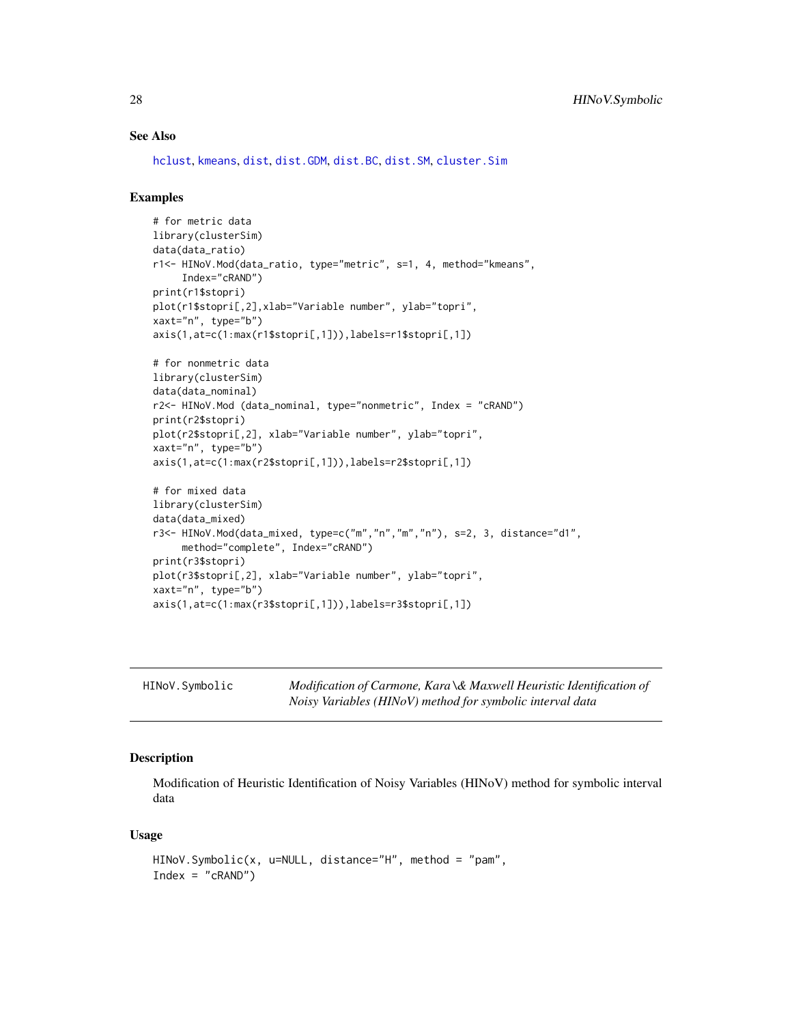## <span id="page-27-0"></span>See Also

[hclust](#page-0-0), [kmeans](#page-0-0), [dist](#page-0-0), [dist.GDM](#page-21-1), [dist.BC](#page-20-1), [dist.SM](#page-23-1), [cluster.Sim](#page-7-1)

#### Examples

```
# for metric data
library(clusterSim)
data(data_ratio)
r1<- HINoV.Mod(data_ratio, type="metric", s=1, 4, method="kmeans",
     Index="cRAND")
print(r1$stopri)
plot(r1$stopri[,2],xlab="Variable number", ylab="topri",
xaxt="n", type="b")
axis(1,at=c(1:max(r1$stopri[,1])),labels=r1$stopri[,1])
# for nonmetric data
library(clusterSim)
data(data_nominal)
r2<- HINoV.Mod (data_nominal, type="nonmetric", Index = "cRAND")
print(r2$stopri)
plot(r2$stopri[,2], xlab="Variable number", ylab="topri",
xaxt="n", type="b")
axis(1,at=c(1:max(r2$stopri[,1])),labels=r2$stopri[,1])
# for mixed data
library(clusterSim)
data(data_mixed)
r3<- HINoV.Mod(data_mixed, type=c("m","n","m","n"), s=2, 3, distance="d1",
     method="complete", Index="cRAND")
print(r3$stopri)
plot(r3$stopri[,2], xlab="Variable number", ylab="topri",
xaxt="n", type="b")
axis(1,at=c(1:max(r3$stopri[,1])),labels=r3$stopri[,1])
```

| HINoV.Symbolic | Modification of Carmone, Kara \& Maxwell Heuristic Identification of |
|----------------|----------------------------------------------------------------------|
|                | Noisy Variables (HINoV) method for symbolic interval data            |

## Description

Modification of Heuristic Identification of Noisy Variables (HINoV) method for symbolic interval data

#### Usage

```
HINoV.Symbolic(x, u=NULL, distance="H", method = "pam",
Index = "cRAND")
```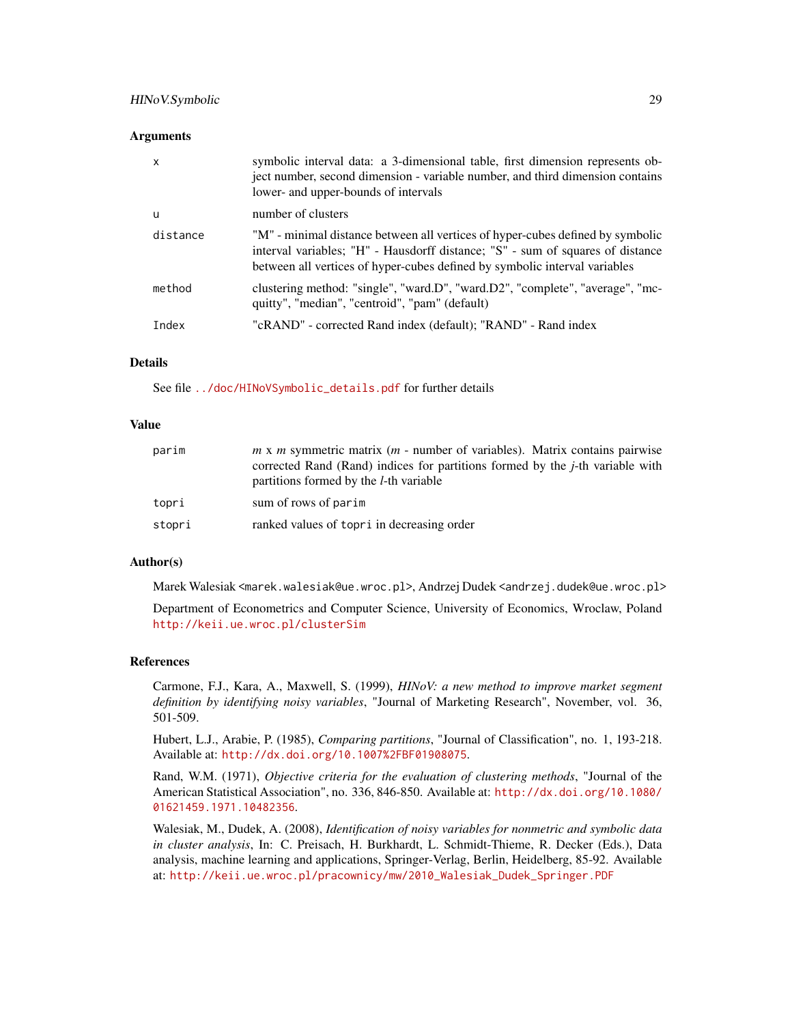# HINoV.Symbolic 29

#### **Arguments**

| X        | symbolic interval data: a 3-dimensional table, first dimension represents ob-<br>ject number, second dimension - variable number, and third dimension contains<br>lower- and upper-bounds of intervals                                         |
|----------|------------------------------------------------------------------------------------------------------------------------------------------------------------------------------------------------------------------------------------------------|
| u        | number of clusters                                                                                                                                                                                                                             |
| distance | "M" - minimal distance between all vertices of hyper-cubes defined by symbolic<br>interval variables; "H" - Hausdorff distance; "S" - sum of squares of distance<br>between all vertices of hyper-cubes defined by symbolic interval variables |
| method   | clustering method: "single", "ward.D", "ward.D2", "complete", "average", "mc-<br>quitty", "median", "centroid", "pam" (default)                                                                                                                |
| Index    | "cRAND" - corrected Rand index (default); "RAND" - Rand index                                                                                                                                                                                  |

# Details

See file [../doc/HINoVSymbolic\\_details.pdf](../doc/HINoVSymbolic_details.pdf) for further details

## Value

| parim  | $m \times m$ symmetric matrix ( $m$ - number of variables). Matrix contains pairwise<br>corrected Rand (Rand) indices for partitions formed by the <i>j</i> -th variable with<br>partitions formed by the <i>l</i> -th variable |
|--------|---------------------------------------------------------------------------------------------------------------------------------------------------------------------------------------------------------------------------------|
| topri  | sum of rows of parim                                                                                                                                                                                                            |
| stopri | ranked values of topri in decreasing order                                                                                                                                                                                      |

## Author(s)

Marek Walesiak <marek.walesiak@ue.wroc.pl>, Andrzej Dudek <andrzej.dudek@ue.wroc.pl>

Department of Econometrics and Computer Science, University of Economics, Wroclaw, Poland <http://keii.ue.wroc.pl/clusterSim>

## References

Carmone, F.J., Kara, A., Maxwell, S. (1999), *HINoV: a new method to improve market segment definition by identifying noisy variables*, "Journal of Marketing Research", November, vol. 36, 501-509.

Hubert, L.J., Arabie, P. (1985), *Comparing partitions*, "Journal of Classification", no. 1, 193-218. Available at: <http://dx.doi.org/10.1007%2FBF01908075>.

Rand, W.M. (1971), *Objective criteria for the evaluation of clustering methods*, "Journal of the American Statistical Association", no. 336, 846-850. Available at: [http://dx.doi.org/10.1080/](http://dx.doi.org/10.1080/01621459.1971.10482356) [01621459.1971.10482356](http://dx.doi.org/10.1080/01621459.1971.10482356).

Walesiak, M., Dudek, A. (2008), *Identification of noisy variables for nonmetric and symbolic data in cluster analysis*, In: C. Preisach, H. Burkhardt, L. Schmidt-Thieme, R. Decker (Eds.), Data analysis, machine learning and applications, Springer-Verlag, Berlin, Heidelberg, 85-92. Available at: [http://keii.ue.wroc.pl/pracownicy/mw/2010\\_Walesiak\\_Dudek\\_Springer.PDF](http://keii.ue.wroc.pl/pracownicy/mw/2010_Walesiak_Dudek_Springer.PDF)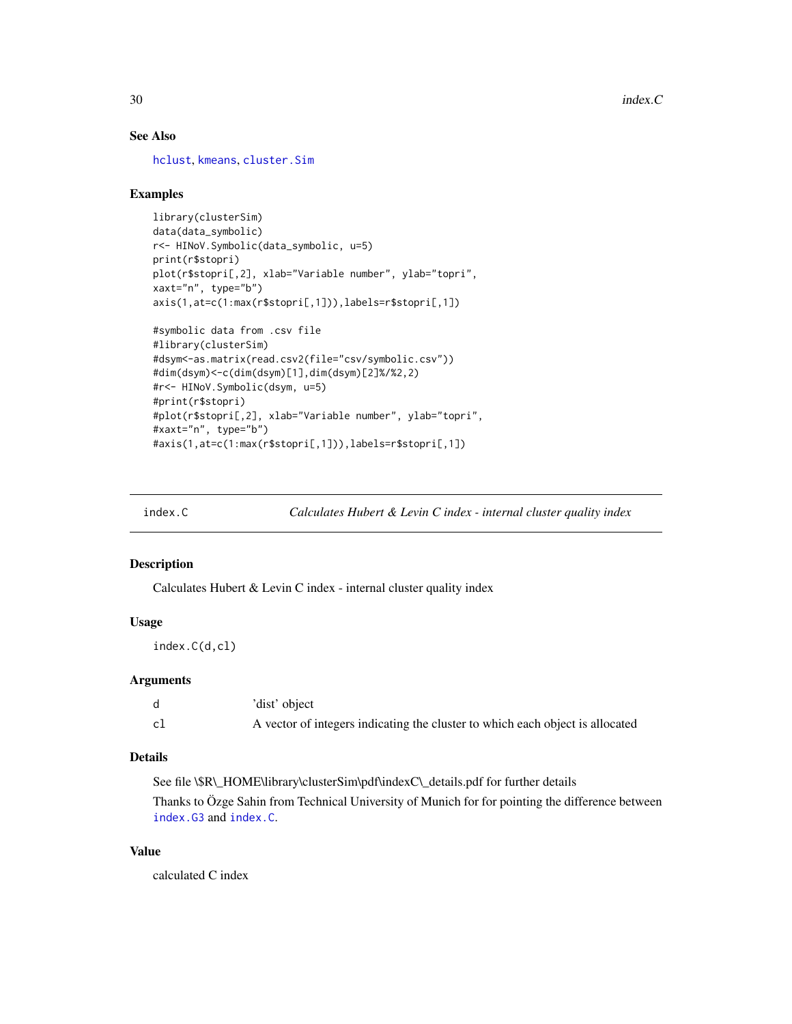# See Also

[hclust](#page-0-0), [kmeans](#page-0-0), [cluster.Sim](#page-7-1)

## Examples

```
library(clusterSim)
data(data_symbolic)
r<- HINoV.Symbolic(data_symbolic, u=5)
print(r$stopri)
plot(r$stopri[,2], xlab="Variable number", ylab="topri",
xaxt="n", type="b")
axis(1,at=c(1:max(r$stopri[,1])),labels=r$stopri[,1])
#symbolic data from .csv file
#library(clusterSim)
#dsym<-as.matrix(read.csv2(file="csv/symbolic.csv"))
#dim(dsym)<-c(dim(dsym)[1],dim(dsym)[2]%/%2,2)
#r<- HINoV.Symbolic(dsym, u=5)
#print(r$stopri)
#plot(r$stopri[,2], xlab="Variable number", ylab="topri",
#xaxt="n", type="b")
#axis(1,at=c(1:max(r$stopri[,1])),labels=r$stopri[,1])
```
<span id="page-29-1"></span>

index.C *Calculates Hubert & Levin C index - internal cluster quality index*

## Description

Calculates Hubert & Levin C index - internal cluster quality index

#### Usage

index.C(d,cl)

## Arguments

|    | 'dist' object                                                                 |
|----|-------------------------------------------------------------------------------|
| cl | A vector of integers indicating the cluster to which each object is allocated |

## Details

See file \\$R\\_HOME\library\clusterSim\pdf\indexC\\_details.pdf for further details Thanks to Özge Sahin from Technical University of Munich for for pointing the difference between [index.G3](#page-36-1) and [index.C](#page-29-1).

#### Value

calculated C index

<span id="page-29-0"></span>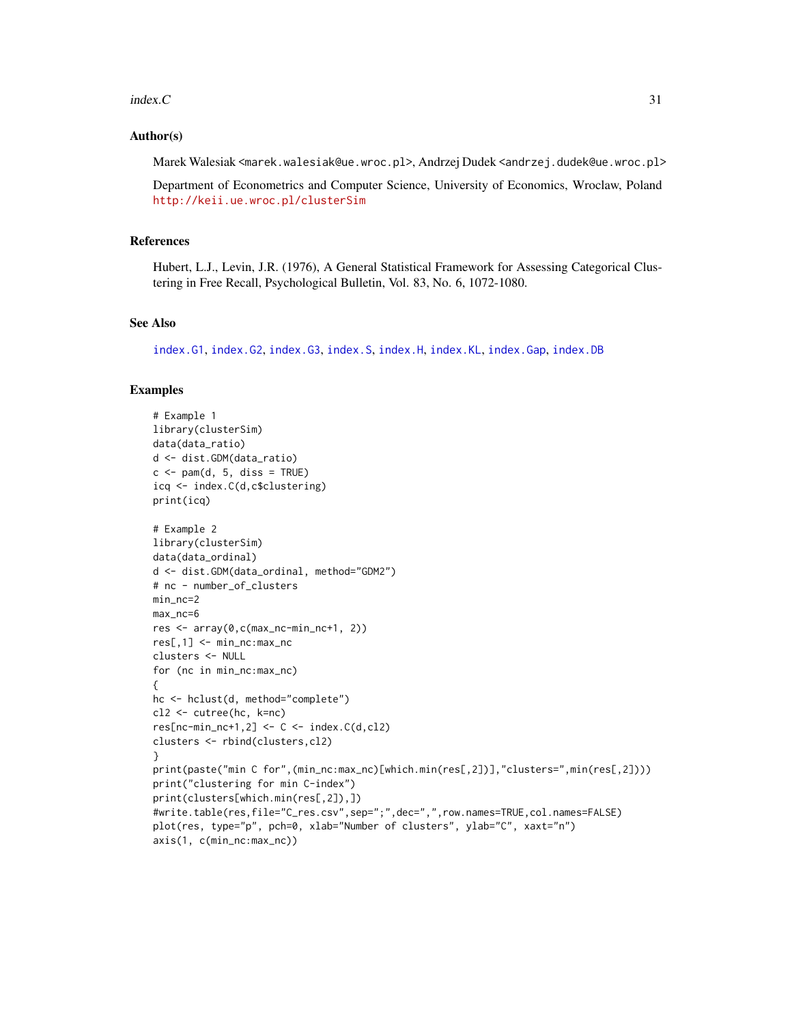#### index.C 31

## Author(s)

Marek Walesiak <marek.walesiak@ue.wroc.pl>, Andrzej Dudek <andrzej.dudek@ue.wroc.pl>

Department of Econometrics and Computer Science, University of Economics, Wroclaw, Poland <http://keii.ue.wroc.pl/clusterSim>

#### References

Hubert, L.J., Levin, J.R. (1976), A General Statistical Framework for Assessing Categorical Clustering in Free Recall, Psychological Bulletin, Vol. 83, No. 6, 1072-1080.

#### See Also

[index.G1](#page-33-1), [index.G2](#page-35-1), [index.G3](#page-36-1), [index.S](#page-46-1), [index.H](#page-41-1), [index.KL](#page-44-1), [index.Gap](#page-38-1), [index.DB](#page-31-1)

```
# Example 1
library(clusterSim)
data(data_ratio)
d <- dist.GDM(data_ratio)
c \leq -\text{pam}(d, 5, \text{diss} = \text{TRUE})icq <- index.C(d,c$clustering)
print(icq)
# Example 2
library(clusterSim)
data(data_ordinal)
d <- dist.GDM(data_ordinal, method="GDM2")
# nc - number_of_clusters
min_nc=2
max_nc=6
res <- array(0,c(max_nc-min_nc+1, 2))
res[,1] <- min_nc:max_nc
clusters <- NULL
for (nc in min_nc:max_nc)
{
hc <- hclust(d, method="complete")
cl2 <- cutree(hc, k=nc)
res[nc-min_nc+1,2] < -C < -index.C(d, c12)clusters <- rbind(clusters,cl2)
}
print(paste("min C for",(min_nc:max_nc)[which.min(res[,2])],"clusters=",min(res[,2])))
print("clustering for min C-index")
print(clusters[which.min(res[,2]),])
#write.table(res,file="C_res.csv",sep=";",dec=",",row.names=TRUE,col.names=FALSE)
plot(res, type="p", pch=0, xlab="Number of clusters", ylab="C", xaxt="n")
axis(1, c(min_nc:max_nc))
```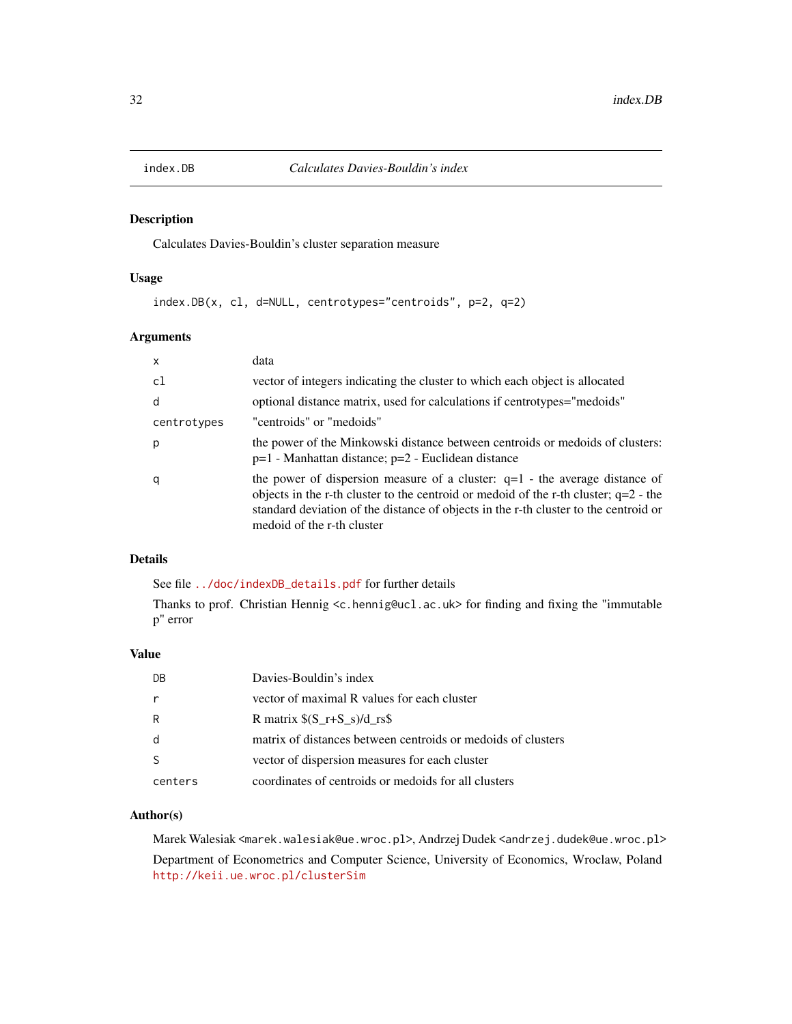<span id="page-31-1"></span><span id="page-31-0"></span>

# Description

Calculates Davies-Bouldin's cluster separation measure

# Usage

index.DB(x, cl, d=NULL, centrotypes="centroids", p=2, q=2)

# Arguments

| $\mathsf{x}$ | data                                                                                                                                                                                                                                                                                          |
|--------------|-----------------------------------------------------------------------------------------------------------------------------------------------------------------------------------------------------------------------------------------------------------------------------------------------|
| c1           | vector of integers indicating the cluster to which each object is allocated                                                                                                                                                                                                                   |
| d            | optional distance matrix, used for calculations if centrotypes="medoids"                                                                                                                                                                                                                      |
| centrotypes  | "centroids" or "medoids"                                                                                                                                                                                                                                                                      |
| p            | the power of the Minkowski distance between centroids or medoids of clusters:<br>p=1 - Manhattan distance; p=2 - Euclidean distance                                                                                                                                                           |
| q            | the power of dispersion measure of a cluster: $q=1$ - the average distance of<br>objects in the r-th cluster to the centroid or medoid of the r-th cluster; $q=2$ - the<br>standard deviation of the distance of objects in the r-th cluster to the centroid or<br>medoid of the r-th cluster |

# Details

See file [../doc/indexDB\\_details.pdf](../doc/indexDB_details.pdf) for further details

Thanks to prof. Christian Hennig <c.hennig@ucl.ac.uk> for finding and fixing the "immutable p" error

# Value

| DB      | Davies-Bouldin's index                                       |
|---------|--------------------------------------------------------------|
|         | vector of maximal R values for each cluster                  |
| R       | R matrix $(S_r+S_s)/d_r$ rs \$                               |
| d       | matrix of distances between centroids or medoids of clusters |
|         | vector of dispersion measures for each cluster               |
| centers | coordinates of centroids or medoids for all clusters         |

## Author(s)

Marek Walesiak <marek.walesiak@ue.wroc.pl>, Andrzej Dudek <andrzej.dudek@ue.wroc.pl> Department of Econometrics and Computer Science, University of Economics, Wroclaw, Poland <http://keii.ue.wroc.pl/clusterSim>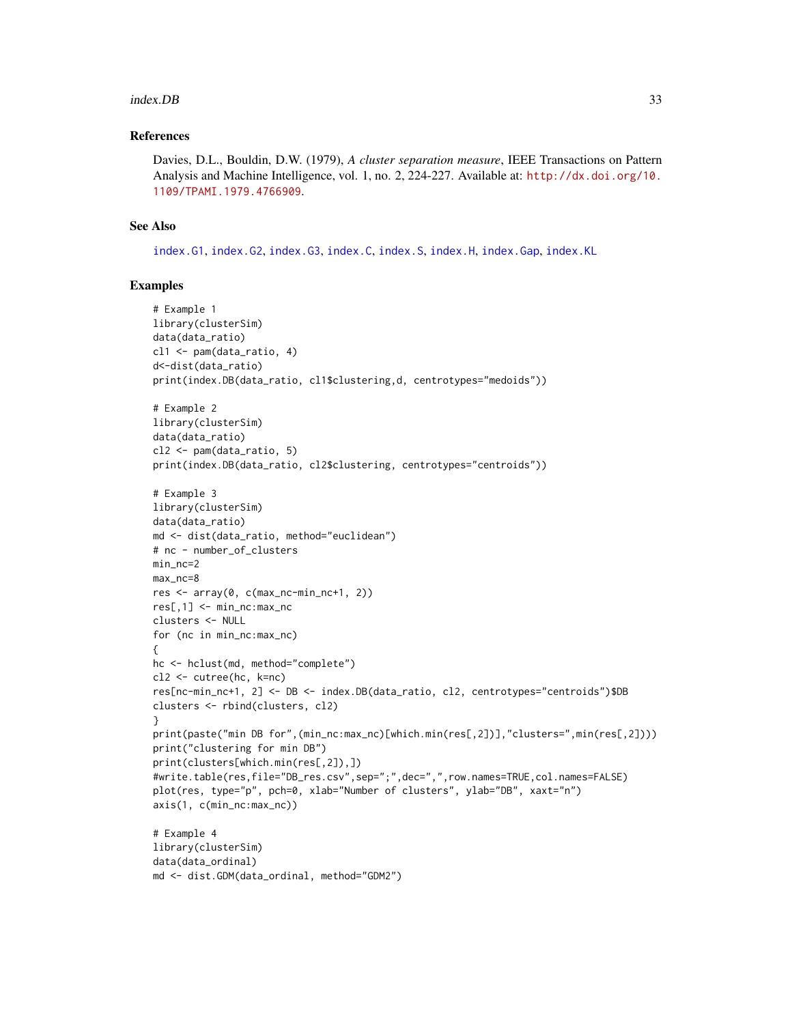#### index.DB 33

## References

Davies, D.L., Bouldin, D.W. (1979), *A cluster separation measure*, IEEE Transactions on Pattern Analysis and Machine Intelligence, vol. 1, no. 2, 224-227. Available at: [http://dx.doi.org/10.](http://dx.doi.org/10.1109/TPAMI.1979.4766909) [1109/TPAMI.1979.4766909](http://dx.doi.org/10.1109/TPAMI.1979.4766909).

# See Also

[index.G1](#page-33-1), [index.G2](#page-35-1), [index.G3](#page-36-1), [index.C](#page-29-1), [index.S](#page-46-1), [index.H](#page-41-1), [index.Gap](#page-38-1), [index.KL](#page-44-1)

```
# Example 1
library(clusterSim)
data(data_ratio)
cl1 <- pam(data_ratio, 4)
d<-dist(data_ratio)
print(index.DB(data_ratio, cl1$clustering,d, centrotypes="medoids"))
# Example 2
library(clusterSim)
data(data_ratio)
cl2 <- pam(data_ratio, 5)
print(index.DB(data_ratio, cl2$clustering, centrotypes="centroids"))
# Example 3
library(clusterSim)
data(data_ratio)
md <- dist(data_ratio, method="euclidean")
# nc - number_of_clusters
min_nc=2
max_nc=8
res <- array(0, c(max_nc-min_nc+1, 2))
res[,1] <- min_nc:max_nc
clusters <- NULL
for (nc in min_nc:max_nc)
{
hc <- hclust(md, method="complete")
cl2 <- cutree(hc, k=nc)
res[nc-min_nc+1, 2] <- DB <- index.DB(data_ratio, cl2, centrotypes="centroids")$DB
clusters <- rbind(clusters, cl2)
}
print(paste("min DB for",(min_nc:max_nc)[which.min(res[,2])],"clusters=",min(res[,2])))
print("clustering for min DB")
print(clusters[which.min(res[,2]),])
#write.table(res,file="DB_res.csv",sep=";",dec=",",row.names=TRUE,col.names=FALSE)
plot(res, type="p", pch=0, xlab="Number of clusters", ylab="DB", xaxt="n")
axis(1, c(min_nc:max_nc))
# Example 4
library(clusterSim)
data(data_ordinal)
md <- dist.GDM(data_ordinal, method="GDM2")
```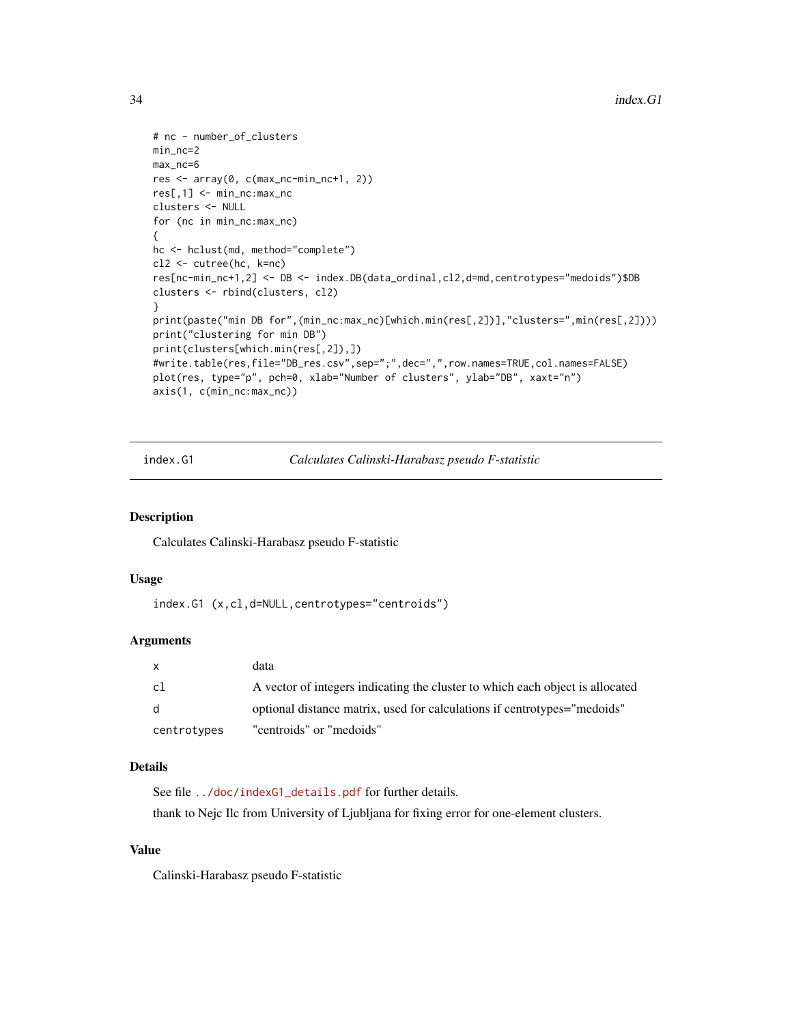```
# nc - number_of_clusters
min_nc=2
max_nc=6
res <- array(0, c(max_nc-min_nc+1, 2))
res[,1] <- min_nc:max_nc
clusters <- NULL
for (nc in min_nc:max_nc)
{
hc <- hclust(md, method="complete")
cl2 <- cutree(hc, k=nc)
res[nc-min_nc+1,2] <- DB <- index.DB(data_ordinal,cl2,d=md,centrotypes="medoids")$DB
clusters <- rbind(clusters, cl2)
}
print(paste("min DB for",(min_nc:max_nc)[which.min(res[,2])],"clusters=",min(res[,2])))
print("clustering for min DB")
print(clusters[which.min(res[,2]),])
#write.table(res,file="DB_res.csv",sep=";",dec=",",row.names=TRUE,col.names=FALSE)
plot(res, type="p", pch=0, xlab="Number of clusters", ylab="DB", xaxt="n")
axis(1, c(min_nc:max_nc))
```
<span id="page-33-1"></span>index.G1 *Calculates Calinski-Harabasz pseudo F-statistic*

#### Description

Calculates Calinski-Harabasz pseudo F-statistic

## Usage

index.G1 (x,cl,d=NULL,centrotypes="centroids")

#### Arguments

| $\mathsf{x}$ | data                                                                          |
|--------------|-------------------------------------------------------------------------------|
| c1           | A vector of integers indicating the cluster to which each object is allocated |
| <sub>d</sub> | optional distance matrix, used for calculations if centrotypes="medoids"      |
| centrotypes  | "centroids" or "medoids"                                                      |

# Details

See file [../doc/indexG1\\_details.pdf](../doc/indexG1_details.pdf) for further details. thank to Nejc Ilc from University of Ljubljana for fixing error for one-element clusters.

#### Value

Calinski-Harabasz pseudo F-statistic

<span id="page-33-0"></span>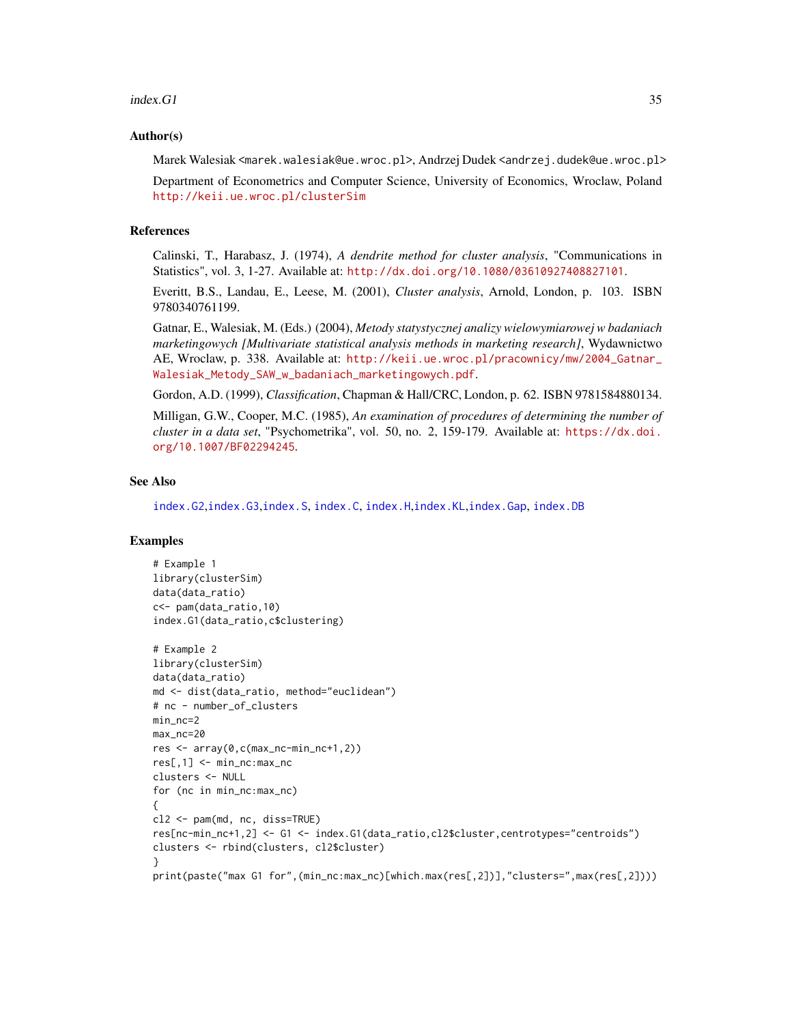#### $index.G1$  35

#### Author(s)

Marek Walesiak <marek.walesiak@ue.wroc.pl>, Andrzej Dudek <andrzej.dudek@ue.wroc.pl> Department of Econometrics and Computer Science, University of Economics, Wroclaw, Poland

<http://keii.ue.wroc.pl/clusterSim>

#### References

Calinski, T., Harabasz, J. (1974), *A dendrite method for cluster analysis*, "Communications in Statistics", vol. 3, 1-27. Available at: <http://dx.doi.org/10.1080/03610927408827101>.

Everitt, B.S., Landau, E., Leese, M. (2001), *Cluster analysis*, Arnold, London, p. 103. ISBN 9780340761199.

Gatnar, E., Walesiak, M. (Eds.) (2004), *Metody statystycznej analizy wielowymiarowej w badaniach marketingowych [Multivariate statistical analysis methods in marketing research]*, Wydawnictwo AE, Wroclaw, p. 338. Available at: [http://keii.ue.wroc.pl/pracownicy/mw/2004\\_Gatnar\\_](http://keii.ue.wroc.pl/pracownicy/mw/2004_Gatnar_Walesiak_Metody_SAW_w_badaniach_marketingowych.pdf) [Walesiak\\_Metody\\_SAW\\_w\\_badaniach\\_marketingowych.pdf](http://keii.ue.wroc.pl/pracownicy/mw/2004_Gatnar_Walesiak_Metody_SAW_w_badaniach_marketingowych.pdf).

Gordon, A.D. (1999), *Classification*, Chapman & Hall/CRC, London, p. 62. ISBN 9781584880134.

Milligan, G.W., Cooper, M.C. (1985), *An examination of procedures of determining the number of cluster in a data set*, "Psychometrika", vol. 50, no. 2, 159-179. Available at: [https://dx.doi.](https://dx.doi.org/10.1007/BF02294245) [org/10.1007/BF02294245](https://dx.doi.org/10.1007/BF02294245).

#### See Also

[index.G2](#page-35-1),[index.G3](#page-36-1),[index.S](#page-46-1), [index.C](#page-29-1), [index.H](#page-41-1),[index.KL](#page-44-1),[index.Gap](#page-38-1), [index.DB](#page-31-1)

```
# Example 1
library(clusterSim)
data(data_ratio)
c<- pam(data_ratio,10)
index.G1(data_ratio,c$clustering)
# Example 2
library(clusterSim)
```

```
data(data_ratio)
md <- dist(data_ratio, method="euclidean")
# nc - number_of_clusters
min_nc=2
max_nc=20
res <- array(0,c(max_nc-min_nc+1,2))
res[,1] <- min_nc:max_nc
clusters <- NULL
for (nc in min_nc:max_nc)
{
cl2 <- pam(md, nc, diss=TRUE)
res[nc-min_nc+1,2] <- G1 <- index.G1(data_ratio,cl2$cluster,centrotypes="centroids")
clusters <- rbind(clusters, cl2$cluster)
}
print(paste("max G1 for",(min_nc:max_nc)[which.max(res[,2])],"clusters=",max(res[,2])))
```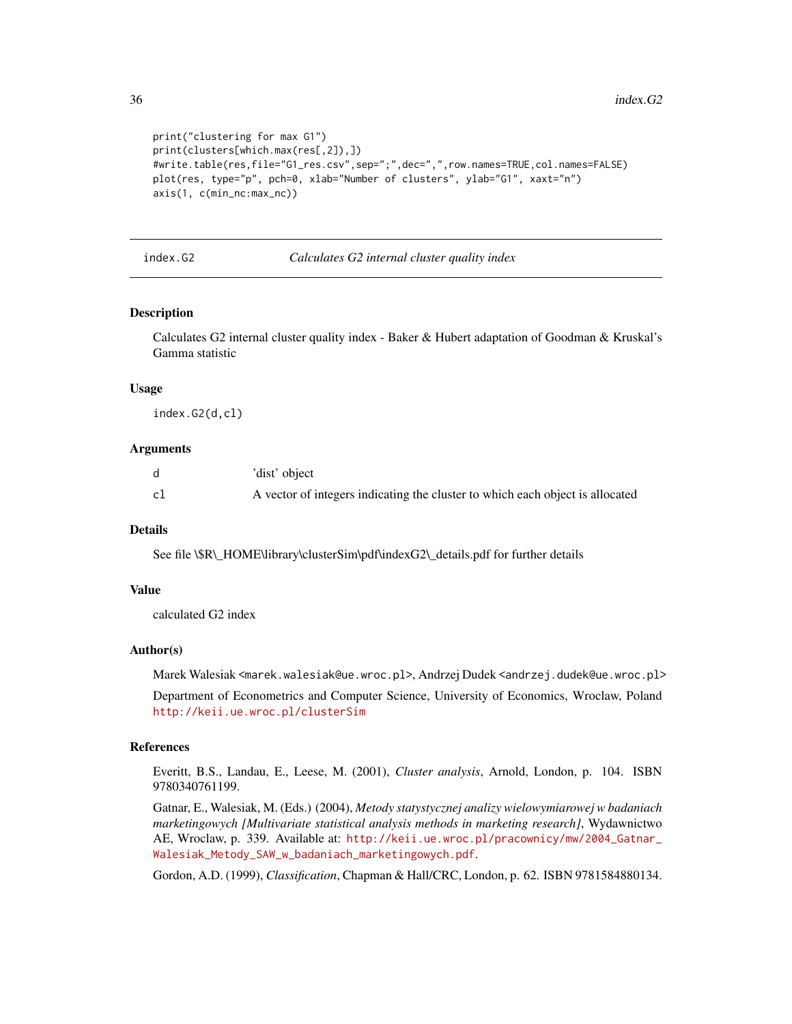```
print("clustering for max G1")
print(clusters[which.max(res[,2]),])
#write.table(res,file="G1_res.csv",sep=";",dec=",",row.names=TRUE,col.names=FALSE)
plot(res, type="p", pch=0, xlab="Number of clusters", ylab="G1", xaxt="n")
axis(1, c(min_nc:max_nc))
```
<span id="page-35-1"></span>index.G2 *Calculates G2 internal cluster quality index*

#### Description

Calculates G2 internal cluster quality index - Baker & Hubert adaptation of Goodman & Kruskal's Gamma statistic

#### Usage

index.G2(d,cl)

## Arguments

|    | 'dist' object                                                                 |
|----|-------------------------------------------------------------------------------|
| cl | A vector of integers indicating the cluster to which each object is allocated |

## **Details**

See file \\$R\\_HOME\library\clusterSim\pdf\indexG2\\_details.pdf for further details

#### Value

calculated G2 index

#### Author(s)

Marek Walesiak <marek.walesiak@ue.wroc.pl>, Andrzej Dudek <andrzej.dudek@ue.wroc.pl>

Department of Econometrics and Computer Science, University of Economics, Wroclaw, Poland <http://keii.ue.wroc.pl/clusterSim>

## References

Everitt, B.S., Landau, E., Leese, M. (2001), *Cluster analysis*, Arnold, London, p. 104. ISBN 9780340761199.

Gatnar, E., Walesiak, M. (Eds.) (2004), *Metody statystycznej analizy wielowymiarowej w badaniach marketingowych [Multivariate statistical analysis methods in marketing research]*, Wydawnictwo AE, Wroclaw, p. 339. Available at: [http://keii.ue.wroc.pl/pracownicy/mw/2004\\_Gatnar\\_](http://keii.ue.wroc.pl/pracownicy/mw/2004_Gatnar_Walesiak_Metody_SAW_w_badaniach_marketingowych.pdf) [Walesiak\\_Metody\\_SAW\\_w\\_badaniach\\_marketingowych.pdf](http://keii.ue.wroc.pl/pracownicy/mw/2004_Gatnar_Walesiak_Metody_SAW_w_badaniach_marketingowych.pdf).

Gordon, A.D. (1999), *Classification*, Chapman & Hall/CRC, London, p. 62. ISBN 9781584880134.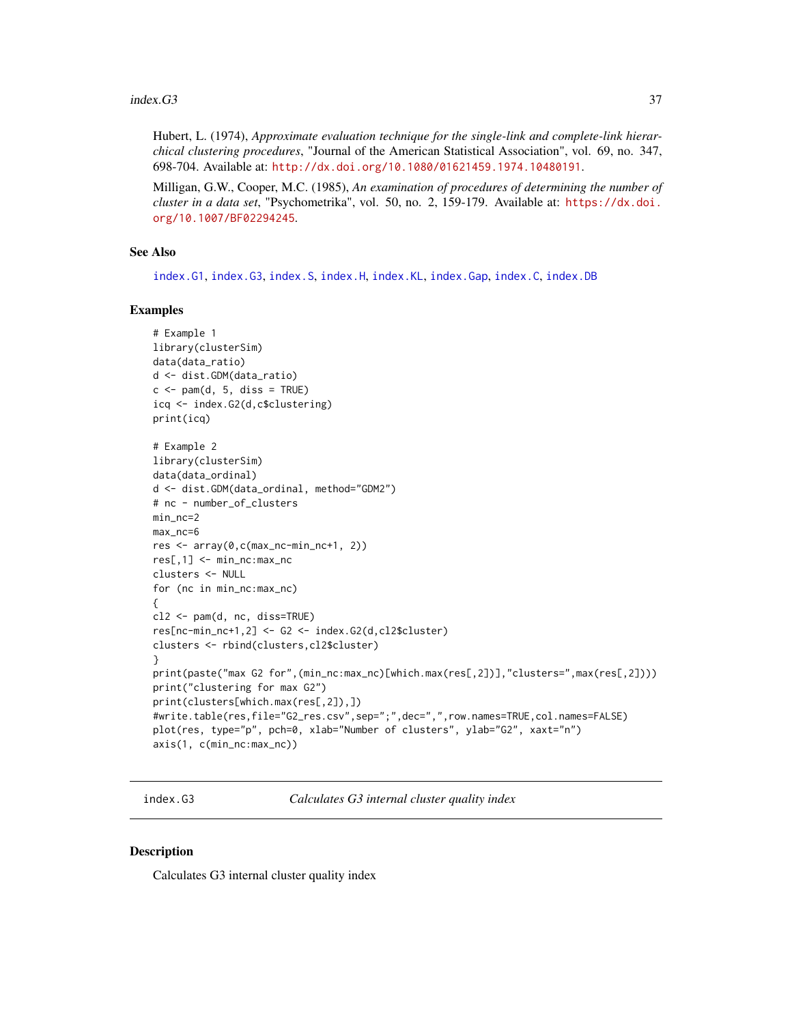Hubert, L. (1974), *Approximate evaluation technique for the single-link and complete-link hierarchical clustering procedures*, "Journal of the American Statistical Association", vol. 69, no. 347, 698-704. Available at: <http://dx.doi.org/10.1080/01621459.1974.10480191>.

Milligan, G.W., Cooper, M.C. (1985), *An examination of procedures of determining the number of cluster in a data set*, "Psychometrika", vol. 50, no. 2, 159-179. Available at: [https://dx.doi.](https://dx.doi.org/10.1007/BF02294245) [org/10.1007/BF02294245](https://dx.doi.org/10.1007/BF02294245).

## See Also

[index.G1](#page-33-0), [index.G3](#page-36-0), [index.S](#page-46-0), [index.H](#page-41-0), [index.KL](#page-44-0), [index.Gap](#page-38-0), [index.C](#page-29-0), [index.DB](#page-31-0)

#### Examples

```
# Example 1
library(clusterSim)
data(data_ratio)
d <- dist.GDM(data_ratio)
c \leq -\text{pam}(d, 5, \text{diss} = \text{TRUE})icq <- index.G2(d,c$clustering)
print(icq)
# Example 2
library(clusterSim)
data(data_ordinal)
d <- dist.GDM(data_ordinal, method="GDM2")
# nc - number_of_clusters
min_nc=2
max_nc=6
res <- array(0,c(max_nc-min_nc+1, 2))
res[,1] <- min_nc:max_nc
clusters <- NULL
for (nc in min_nc:max_nc)
{
cl2 <- pam(d, nc, diss=TRUE)
res[nc-min_nc+1,2] <- G2 <- index.G2(d,cl2$cluster)
clusters <- rbind(clusters,cl2$cluster)
}
print(paste("max G2 for",(min_nc:max_nc)[which.max(res[,2])],"clusters=",max(res[,2])))
print("clustering for max G2")
print(clusters[which.max(res[,2]),])
#write.table(res,file="G2_res.csv",sep=";",dec=",",row.names=TRUE,col.names=FALSE)
plot(res, type="p", pch=0, xlab="Number of clusters", ylab="G2", xaxt="n")
axis(1, c(min_nc:max_nc))
```
<span id="page-36-0"></span>index.G3 *Calculates G3 internal cluster quality index*

## Description

Calculates G3 internal cluster quality index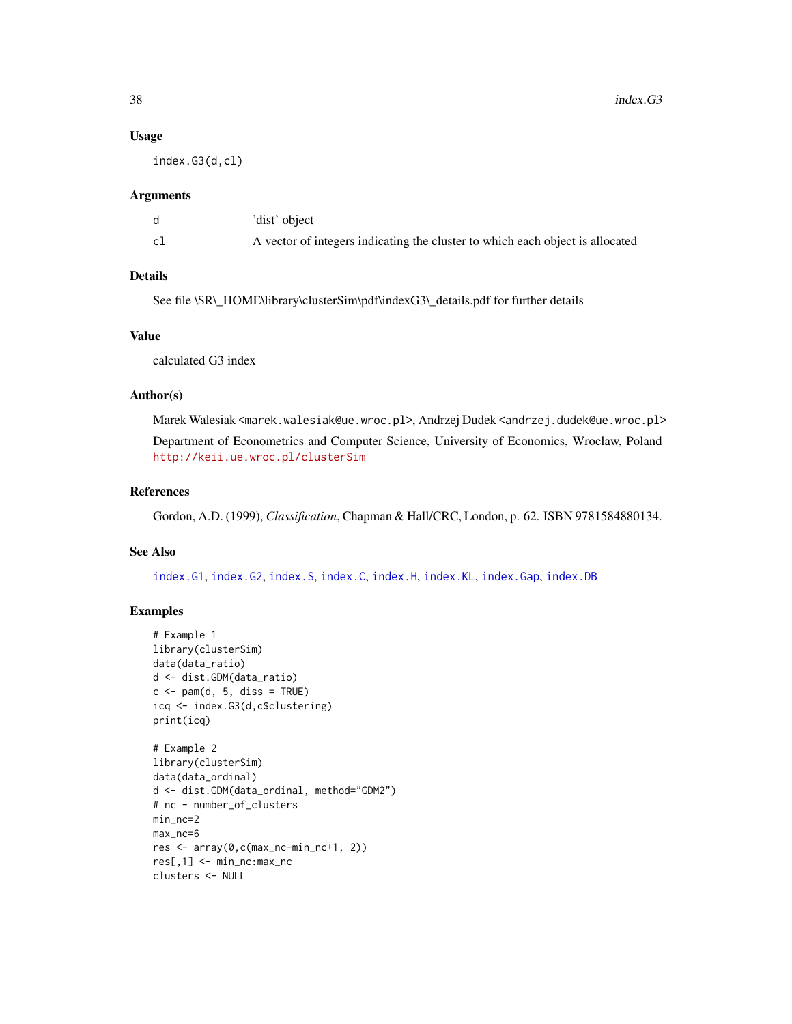#### Usage

index.G3(d,cl)

## Arguments

|    | 'dist' object                                                                 |
|----|-------------------------------------------------------------------------------|
| c1 | A vector of integers indicating the cluster to which each object is allocated |

## Details

See file \\$R\\_HOME\library\clusterSim\pdf\indexG3\\_details.pdf for further details

# Value

calculated G3 index

## Author(s)

Marek Walesiak <marek.walesiak@ue.wroc.pl>, Andrzej Dudek <andrzej.dudek@ue.wroc.pl> Department of Econometrics and Computer Science, University of Economics, Wroclaw, Poland <http://keii.ue.wroc.pl/clusterSim>

# References

Gordon, A.D. (1999), *Classification*, Chapman & Hall/CRC, London, p. 62. ISBN 9781584880134.

## See Also

[index.G1](#page-33-0), [index.G2](#page-35-0), [index.S](#page-46-0), [index.C](#page-29-0), [index.H](#page-41-0), [index.KL](#page-44-0), [index.Gap](#page-38-0), [index.DB](#page-31-0)

```
# Example 1
library(clusterSim)
data(data_ratio)
d <- dist.GDM(data_ratio)
c \leq -\text{pam}(d, 5, \text{diss} = \text{TRUE})icq <- index.G3(d,c$clustering)
print(icq)
# Example 2
library(clusterSim)
data(data_ordinal)
d <- dist.GDM(data_ordinal, method="GDM2")
# nc - number_of_clusters
min_nc=2
max_nc=6
res <- array(0,c(max_nc-min_nc+1, 2))
res[,1] <- min_nc:max_nc
clusters <- NULL
```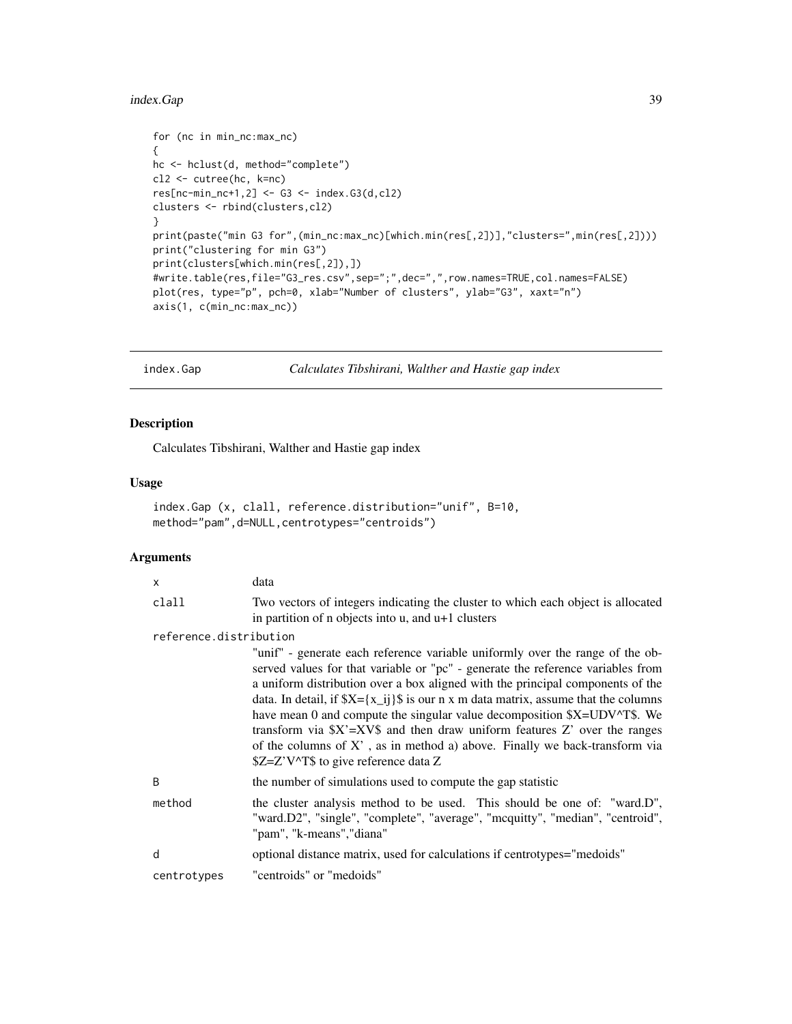# index.Gap 39

```
for (nc in min_nc:max_nc)
{
hc <- hclust(d, method="complete")
cl2 <- cutree(hc, k=nc)
res[nc-min_nc+1,2] <- G3 <- index.G3(d,cl2)
clusters <- rbind(clusters,cl2)
}
print(paste("min G3 for",(min_nc:max_nc)[which.min(res[,2])],"clusters=",min(res[,2])))
print("clustering for min G3")
print(clusters[which.min(res[,2]),])
#write.table(res,file="G3_res.csv",sep=";",dec=",",row.names=TRUE,col.names=FALSE)
plot(res, type="p", pch=0, xlab="Number of clusters", ylab="G3", xaxt="n")
axis(1, c(min_nc:max_nc))
```
<span id="page-38-0"></span>index.Gap *Calculates Tibshirani, Walther and Hastie gap index*

#### Description

Calculates Tibshirani, Walther and Hastie gap index

## Usage

```
index.Gap (x, clall, reference.distribution="unif", B=10,
method="pam",d=NULL,centrotypes="centroids")
```

| $\times$               | data                                                                                                                                                                                                                                                                                                                                                                                                                                                                                                                                                                                                                         |
|------------------------|------------------------------------------------------------------------------------------------------------------------------------------------------------------------------------------------------------------------------------------------------------------------------------------------------------------------------------------------------------------------------------------------------------------------------------------------------------------------------------------------------------------------------------------------------------------------------------------------------------------------------|
| clall                  | Two vectors of integers indicating the cluster to which each object is allocated<br>in partition of $n$ objects into $u$ , and $u+1$ clusters                                                                                                                                                                                                                                                                                                                                                                                                                                                                                |
| reference.distribution |                                                                                                                                                                                                                                                                                                                                                                                                                                                                                                                                                                                                                              |
|                        | "unif" - generate each reference variable uniformly over the range of the ob-<br>served values for that variable or "pc" - generate the reference variables from<br>a uniform distribution over a box aligned with the principal components of the<br>data. In detail, if $X = \{x_i\}$ is our n x m data matrix, assume that the columns<br>have mean 0 and compute the singular value decomposition \$X=UDV^T\$. We<br>transform via $X' = XY\$ and then draw uniform features Z' over the ranges<br>of the columns of $X'$ , as in method a) above. Finally we back-transform via<br>\$Z=Z'V^T\$ to give reference data Z |
| B                      | the number of simulations used to compute the gap statistic                                                                                                                                                                                                                                                                                                                                                                                                                                                                                                                                                                  |
| method                 | the cluster analysis method to be used. This should be one of: "ward.D",<br>"ward.D2", "single", "complete", "average", "mcquitty", "median", "centroid",<br>"pam", "k-means", "diana"                                                                                                                                                                                                                                                                                                                                                                                                                                       |
| d                      | optional distance matrix, used for calculations if centrotypes="medoids"                                                                                                                                                                                                                                                                                                                                                                                                                                                                                                                                                     |
| centrotypes            | "centroids" or "medoids"                                                                                                                                                                                                                                                                                                                                                                                                                                                                                                                                                                                                     |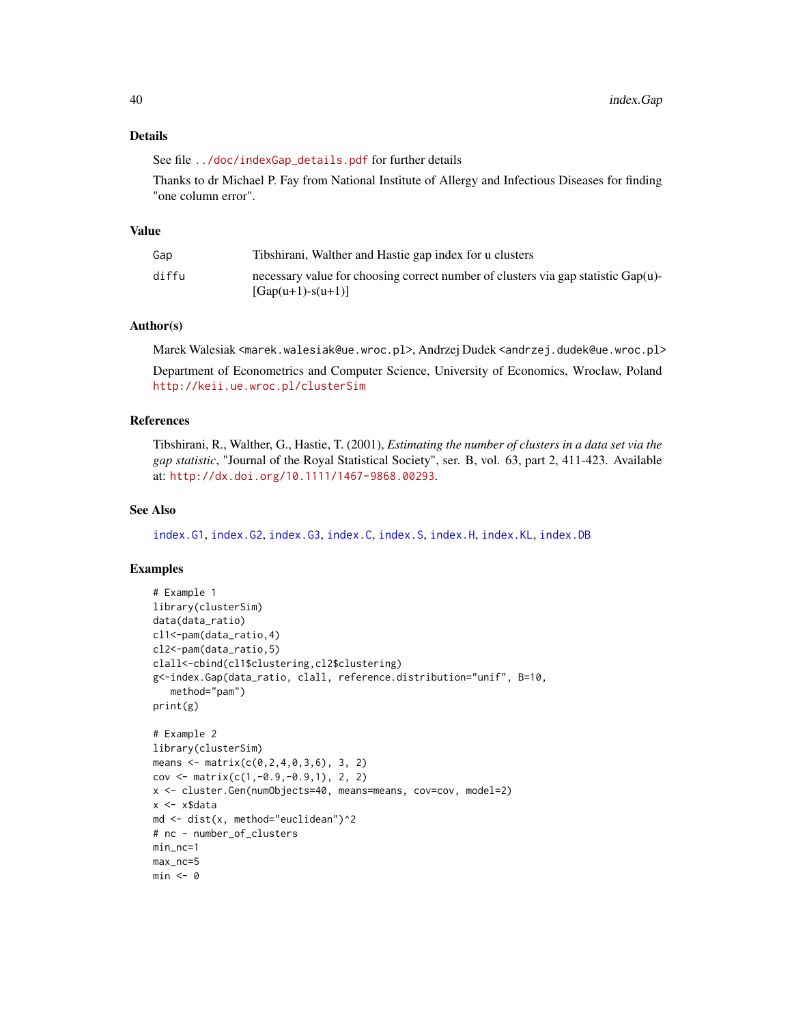# Details

See file [../doc/indexGap\\_details.pdf](../doc/indexGap_details.pdf) for further details

Thanks to dr Michael P. Fay from National Institute of Allergy and Infectious Diseases for finding "one column error".

## Value

| Gap   | Tibshirani, Walther and Hastie gap index for u clusters                                                     |
|-------|-------------------------------------------------------------------------------------------------------------|
| diffu | necessary value for choosing correct number of clusters via gap statistic $Gap(u)$ -<br>$[Gap(u+1)-s(u+1)]$ |

## Author(s)

Marek Walesiak <marek.walesiak@ue.wroc.pl>, Andrzej Dudek <andrzej.dudek@ue.wroc.pl>

Department of Econometrics and Computer Science, University of Economics, Wroclaw, Poland <http://keii.ue.wroc.pl/clusterSim>

# References

Tibshirani, R., Walther, G., Hastie, T. (2001), *Estimating the number of clusters in a data set via the gap statistic*, "Journal of the Royal Statistical Society", ser. B, vol. 63, part 2, 411-423. Available at: <http://dx.doi.org/10.1111/1467-9868.00293>.

#### See Also

[index.G1](#page-33-0), [index.G2](#page-35-0), [index.G3](#page-36-0), [index.C](#page-29-0), [index.S](#page-46-0), [index.H](#page-41-0), [index.KL](#page-44-0), [index.DB](#page-31-0)

```
# Example 1
library(clusterSim)
data(data_ratio)
cl1<-pam(data_ratio,4)
cl2<-pam(data_ratio,5)
clall<-cbind(cl1$clustering,cl2$clustering)
g<-index.Gap(data_ratio, clall, reference.distribution="unif", B=10,
   method="pam")
print(g)
# Example 2
library(clusterSim)
means <- matrix(c(0, 2, 4, 0, 3, 6), 3, 2)
cov <- matrix(c(1, -0.9, -0.9, 1), 2, 2)
x <- cluster.Gen(numObjects=40, means=means, cov=cov, model=2)
x <- x$data
md <- dist(x, method="euclidean")^2
# nc - number_of_clusters
min_nc=1
max_nc=5
min <- 0
```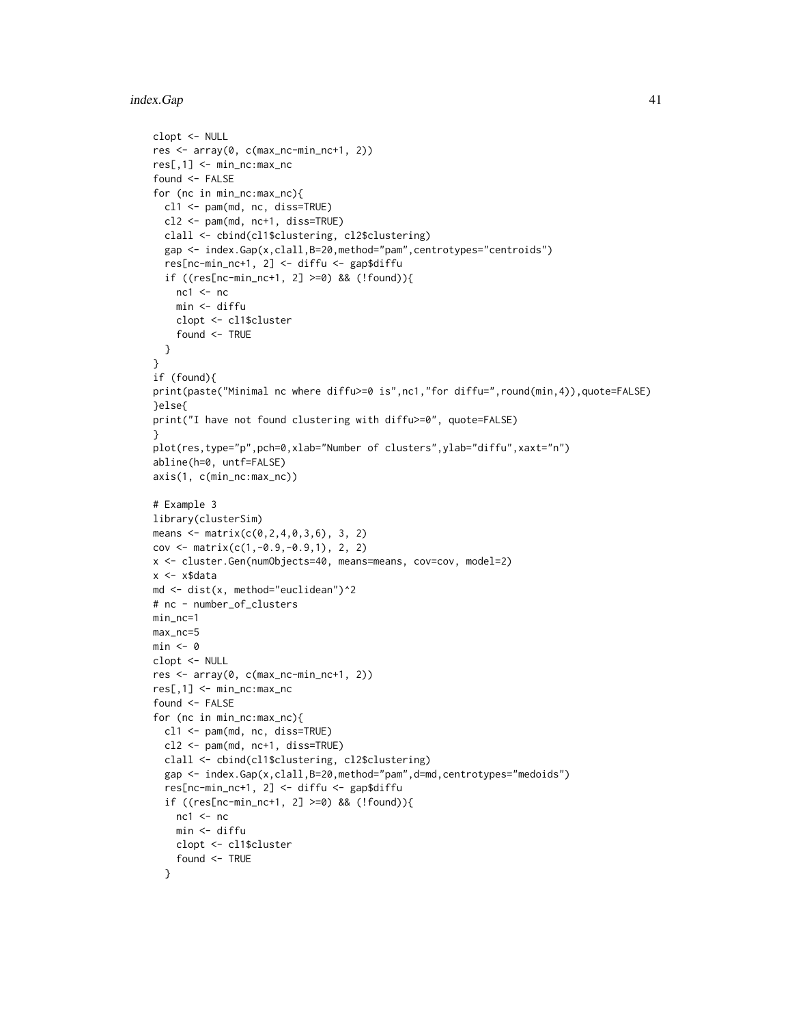#### index.Gap 41

```
clopt <- NULL
res <- array(0, c(max_nc-min_nc+1, 2))
res[,1] <- min_nc:max_nc
found <- FALSE
for (nc in min_nc:max_nc){
 cl1 <- pam(md, nc, diss=TRUE)
  cl2 <- pam(md, nc+1, diss=TRUE)
  clall <- cbind(cl1$clustering, cl2$clustering)
  gap <- index.Gap(x,clall,B=20,method="pam",centrotypes="centroids")
  res[nc-min_nc+1, 2] <- diffu <- gap$diffu
  if ((res[nc-min_nc+1, 2] >=0) && (!found)){
   nc1 < -ncmin <- diffu
   clopt <- cl1$cluster
    found <- TRUE
  }
}
if (found){
print(paste("Minimal nc where diffu>=0 is",nc1,"for diffu=",round(min,4)),quote=FALSE)
}else{
print("I have not found clustering with diffu>=0", quote=FALSE)
}
plot(res,type="p",pch=0,xlab="Number of clusters",ylab="diffu",xaxt="n")
abline(h=0, untf=FALSE)
axis(1, c(min_nc:max_nc))
# Example 3
library(clusterSim)
means <- matrix(c(0,2,4,0,3,6), 3, 2)
cov <- matrix(c(1,-0.9,-0.9,1), 2, 2)
x <- cluster.Gen(numObjects=40, means=means, cov=cov, model=2)
x <- x$data
md <- dist(x, method="euclidean")^2
# nc - number_of_clusters
min_nc=1
max_nc=5
min < - \thetaclopt <- NULL
res <- array(0, c(max_nc-min_nc+1, 2))
res[,1] <- min_nc:max_nc
found <- FALSE
for (nc in min_nc:max_nc){
  cl1 <- pam(md, nc, diss=TRUE)
  cl2 <- pam(md, nc+1, diss=TRUE)
  clall <- cbind(cl1$clustering, cl2$clustering)
  gap <- index.Gap(x,clall,B=20,method="pam",d=md,centrotypes="medoids")
  res[nc-min_nc+1, 2] <- diffu <- gap$diffu
  if ((res[nc-min_nc+1, 2] >=0) && (!found)){
   nc1 < -ncmin <- diffu
   clopt <- cl1$cluster
    found <- TRUE
  }
```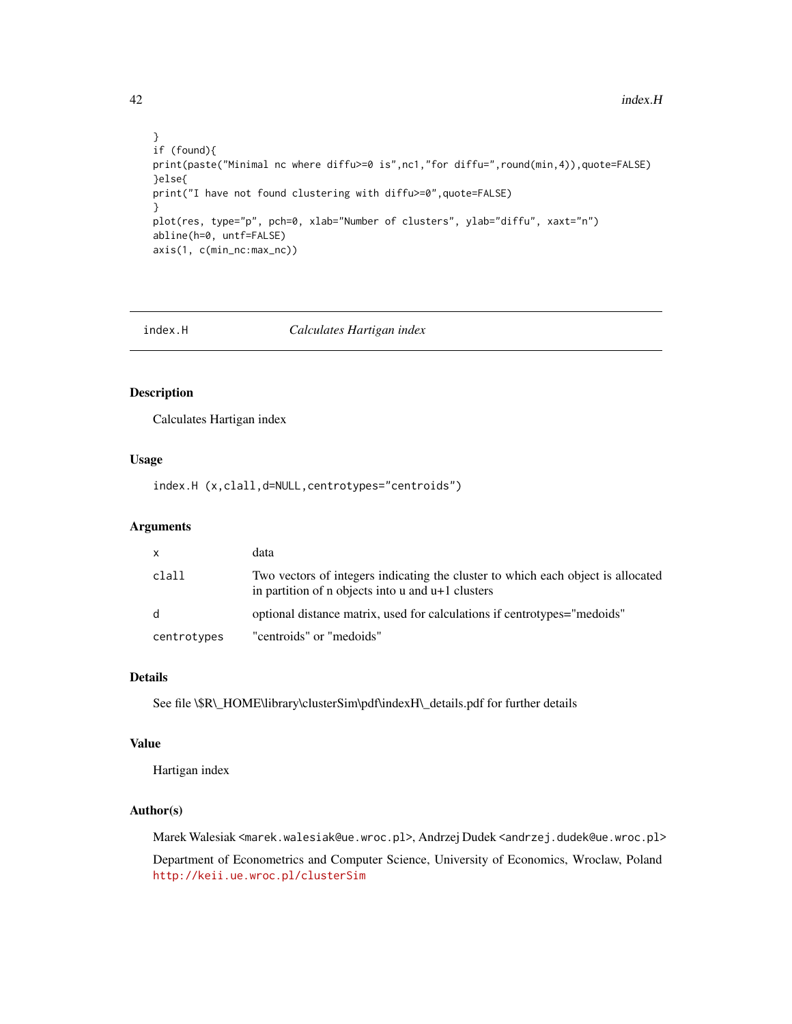```
}
if (found){
print(paste("Minimal nc where diffu>=0 is",nc1,"for diffu=",round(min,4)),quote=FALSE)
}else{
print("I have not found clustering with diffu>=0",quote=FALSE)
}
plot(res, type="p", pch=0, xlab="Number of clusters", ylab="diffu", xaxt="n")
abline(h=0, untf=FALSE)
axis(1, c(min_nc:max_nc))
```
<span id="page-41-0"></span>

index.H *Calculates Hartigan index*

# Description

Calculates Hartigan index

## Usage

index.H (x,clall,d=NULL,centrotypes="centroids")

# Arguments

| $\mathsf{x}$ | data                                                                                                                                    |
|--------------|-----------------------------------------------------------------------------------------------------------------------------------------|
| clall        | Two vectors of integers indicating the cluster to which each object is allocated<br>in partition of n objects into u and $u+1$ clusters |
| d            | optional distance matrix, used for calculations if centrotypes="medoids"                                                                |
| centrotypes  | "centroids" or "medoids"                                                                                                                |

# Details

See file \\$R\\_HOME\library\clusterSim\pdf\indexH\\_details.pdf for further details

#### Value

Hartigan index

# Author(s)

Marek Walesiak <marek.walesiak@ue.wroc.pl>, Andrzej Dudek <andrzej.dudek@ue.wroc.pl>

Department of Econometrics and Computer Science, University of Economics, Wroclaw, Poland <http://keii.ue.wroc.pl/clusterSim>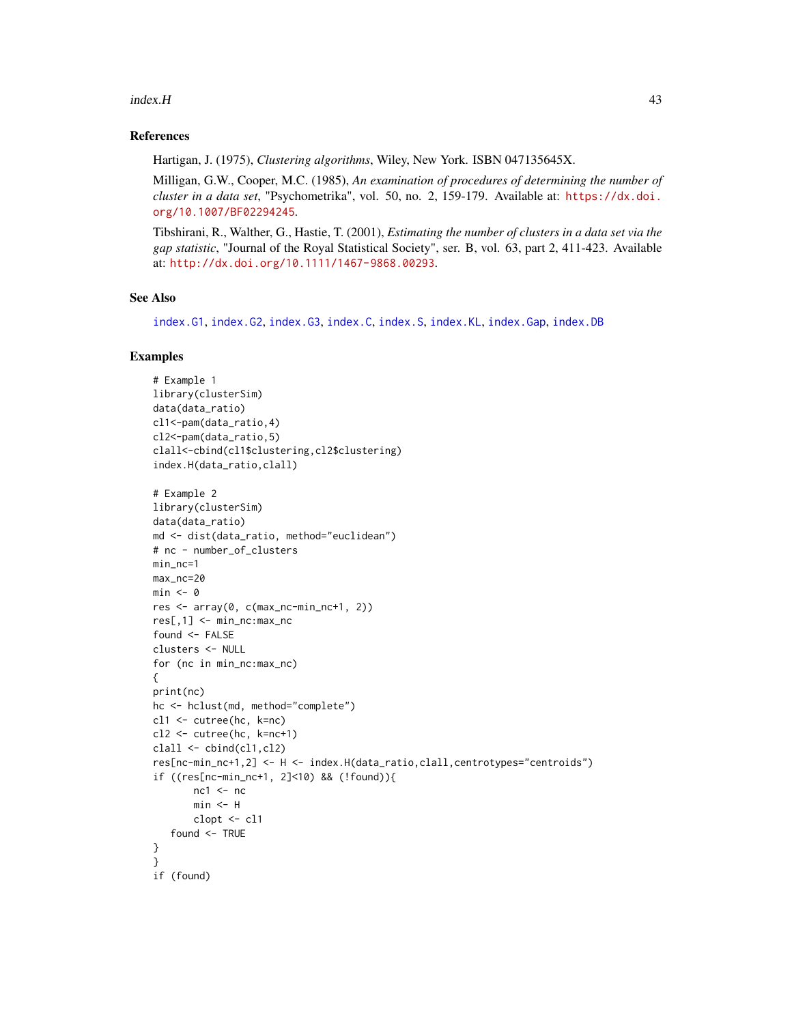#### index.H 43

## References

Hartigan, J. (1975), *Clustering algorithms*, Wiley, New York. ISBN 047135645X.

Milligan, G.W., Cooper, M.C. (1985), *An examination of procedures of determining the number of cluster in a data set*, "Psychometrika", vol. 50, no. 2, 159-179. Available at: [https://dx.doi.](https://dx.doi.org/10.1007/BF02294245) [org/10.1007/BF02294245](https://dx.doi.org/10.1007/BF02294245).

Tibshirani, R., Walther, G., Hastie, T. (2001), *Estimating the number of clusters in a data set via the gap statistic*, "Journal of the Royal Statistical Society", ser. B, vol. 63, part 2, 411-423. Available at: <http://dx.doi.org/10.1111/1467-9868.00293>.

# See Also

[index.G1](#page-33-0), [index.G2](#page-35-0), [index.G3](#page-36-0), [index.C](#page-29-0), [index.S](#page-46-0), [index.KL](#page-44-0), [index.Gap](#page-38-0), [index.DB](#page-31-0)

```
# Example 1
library(clusterSim)
data(data_ratio)
cl1<-pam(data_ratio,4)
cl2<-pam(data_ratio,5)
clall<-cbind(cl1$clustering,cl2$clustering)
index.H(data_ratio,clall)
# Example 2
library(clusterSim)
data(data_ratio)
md <- dist(data_ratio, method="euclidean")
# nc - number_of_clusters
min_nc=1
max_nc=20
min < -0res <- array(0, c(max_nc-min_nc+1, 2))
res[,1] <- min_nc:max_nc
found <- FALSE
clusters <- NULL
for (nc in min_nc:max_nc)
{
print(nc)
hc <- hclust(md, method="complete")
cl1 <- cutree(hc, k=nc)
cl2 <- cutree(hc, k=nc+1)
clall \leftarrow \text{cbind}(\text{cl1}, \text{cl2})res[nc-min_nc+1,2] <- H <- index.H(data_ratio,clall,centrotypes="centroids")
if ((res[nc-min_nc+1, 2]<10) && (!found)){
       nc1 < -ncmin <- H
       clopt <- cl1
   found <- TRUE
}
}
if (found)
```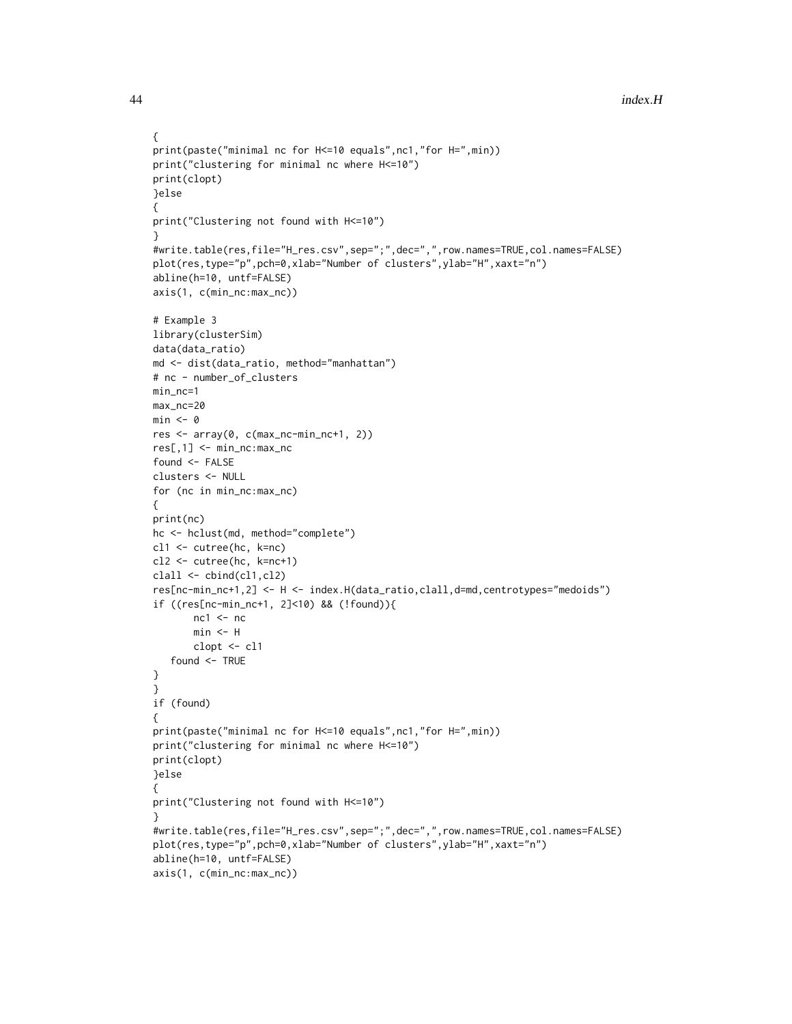```
{
print(paste("minimal nc for H<=10 equals",nc1,"for H=",min))
print("clustering for minimal nc where H<=10")
print(clopt)
}else
{
print("Clustering not found with H<=10")
}
#write.table(res,file="H_res.csv",sep=";",dec=",",row.names=TRUE,col.names=FALSE)
plot(res,type="p",pch=0,xlab="Number of clusters",ylab="H",xaxt="n")
abline(h=10, untf=FALSE)
axis(1, c(min_nc:max_nc))
# Example 3
library(clusterSim)
data(data_ratio)
md <- dist(data_ratio, method="manhattan")
# nc - number_of_clusters
min_nc=1
max_nc=20
min < - \varnothingres <- array(0, c(max_nc-min_nc+1, 2))
res[,1] <- min_nc:max_nc
found <- FALSE
clusters <- NULL
for (nc in min_nc:max_nc)
{
print(nc)
hc <- hclust(md, method="complete")
cl1 <- cutree(hc, k=nc)
cl2 <- cutree(hc, k=nc+1)
clall \leftarrow \text{cbind}(\text{cl1}, \text{cl2})res[nc-min_nc+1,2] <- H <- index.H(data_ratio,clall,d=md,centrotypes="medoids")
if ((res[nc-min_nc+1, 2]<10) && (!found)){
       nc1 < -ncmin <- H
       clopt <- cl1
   found <- TRUE
}
}
if (found)
{
print(paste("minimal nc for H<=10 equals",nc1,"for H=",min))
print("clustering for minimal nc where H<=10")
print(clopt)
}else
{
print("Clustering not found with H<=10")
}
#write.table(res,file="H_res.csv",sep=";",dec=",",row.names=TRUE,col.names=FALSE)
plot(res,type="p",pch=0,xlab="Number of clusters",ylab="H",xaxt="n")
abline(h=10, untf=FALSE)
axis(1, c(min_nc:max_nc))
```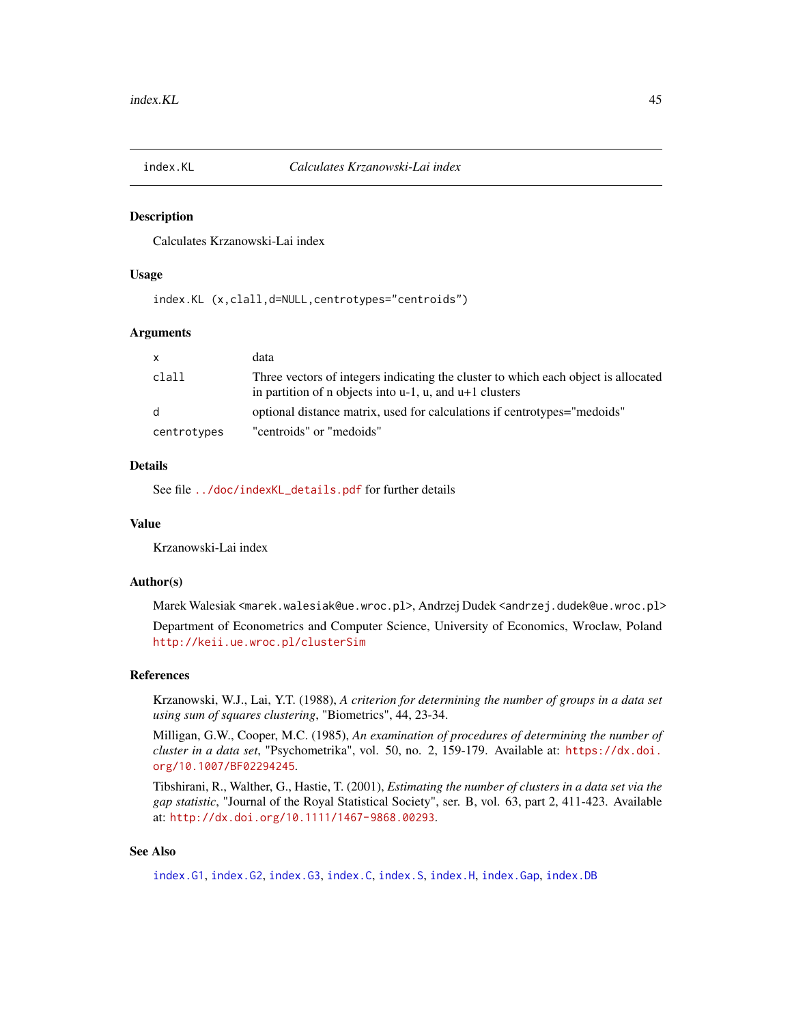<span id="page-44-0"></span>

#### Description

Calculates Krzanowski-Lai index

#### Usage

index.KL (x,clall,d=NULL,centrotypes="centroids")

#### Arguments

| $\mathsf{x}$ | data                                                                                                                                                  |
|--------------|-------------------------------------------------------------------------------------------------------------------------------------------------------|
| clall        | Three vectors of integers indicating the cluster to which each object is allocated<br>in partition of n objects into $u-1$ , $u$ , and $u+1$ clusters |
| d            | optional distance matrix, used for calculations if centrotypes="medoids"                                                                              |
| centrotypes  | "centroids" or "medoids"                                                                                                                              |

#### Details

See file [../doc/indexKL\\_details.pdf](../doc/indexKL_details.pdf) for further details

#### Value

Krzanowski-Lai index

#### Author(s)

Marek Walesiak <marek.walesiak@ue.wroc.pl>, Andrzej Dudek <andrzej.dudek@ue.wroc.pl>

Department of Econometrics and Computer Science, University of Economics, Wroclaw, Poland <http://keii.ue.wroc.pl/clusterSim>

## References

Krzanowski, W.J., Lai, Y.T. (1988), *A criterion for determining the number of groups in a data set using sum of squares clustering*, "Biometrics", 44, 23-34.

Milligan, G.W., Cooper, M.C. (1985), *An examination of procedures of determining the number of cluster in a data set*, "Psychometrika", vol. 50, no. 2, 159-179. Available at: [https://dx.doi.](https://dx.doi.org/10.1007/BF02294245) [org/10.1007/BF02294245](https://dx.doi.org/10.1007/BF02294245).

Tibshirani, R., Walther, G., Hastie, T. (2001), *Estimating the number of clusters in a data set via the gap statistic*, "Journal of the Royal Statistical Society", ser. B, vol. 63, part 2, 411-423. Available at: <http://dx.doi.org/10.1111/1467-9868.00293>.

## See Also

[index.G1](#page-33-0), [index.G2](#page-35-0), [index.G3](#page-36-0), [index.C](#page-29-0), [index.S](#page-46-0), [index.H](#page-41-0), [index.Gap](#page-38-0), [index.DB](#page-31-0)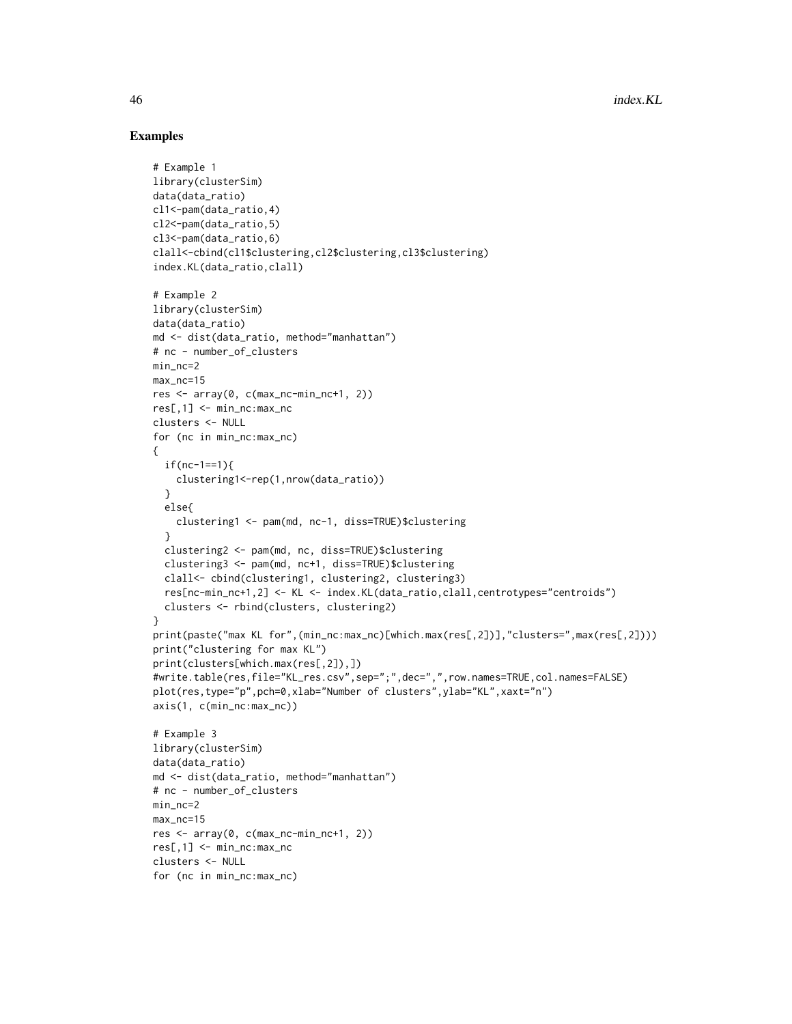```
# Example 1
library(clusterSim)
data(data_ratio)
cl1<-pam(data_ratio,4)
cl2<-pam(data_ratio,5)
cl3<-pam(data_ratio,6)
clall<-cbind(cl1$clustering,cl2$clustering,cl3$clustering)
index.KL(data_ratio,clall)
# Example 2
library(clusterSim)
data(data_ratio)
md <- dist(data_ratio, method="manhattan")
# nc - number_of_clusters
min_nc=2
max_nc=15
res <- array(0, c(max_nc-min_nc+1, 2))
res[, 1] <- min\_nc: max\_ncclusters <- NULL
for (nc in min_nc:max_nc)
{
 if(nc-1==1)clustering1<-rep(1,nrow(data_ratio))
  }
  else{
   clustering1 <- pam(md, nc-1, diss=TRUE)$clustering
  }
  clustering2 <- pam(md, nc, diss=TRUE)$clustering
  clustering3 <- pam(md, nc+1, diss=TRUE)$clustering
  clall<- cbind(clustering1, clustering2, clustering3)
  res[nc-min_nc+1,2] <- KL <- index.KL(data_ratio,clall,centrotypes="centroids")
  clusters <- rbind(clusters, clustering2)
}
print(paste("max KL for",(min_nc:max_nc)[which.max(res[,2])],"clusters=",max(res[,2])))
print("clustering for max KL")
print(clusters[which.max(res[,2]),])
#write.table(res,file="KL_res.csv",sep=";",dec=",",row.names=TRUE,col.names=FALSE)
plot(res,type="p",pch=0,xlab="Number of clusters",ylab="KL",xaxt="n")
axis(1, c(min_nc:max_nc))
# Example 3
library(clusterSim)
data(data_ratio)
md <- dist(data_ratio, method="manhattan")
# nc - number_of_clusters
min_nc=2
max_nc=15
res <- array(0, c(max_nc-min_nc+1, 2))
res[,1] <- min_nc:max_nc
clusters <- NULL
for (nc in min_nc:max_nc)
```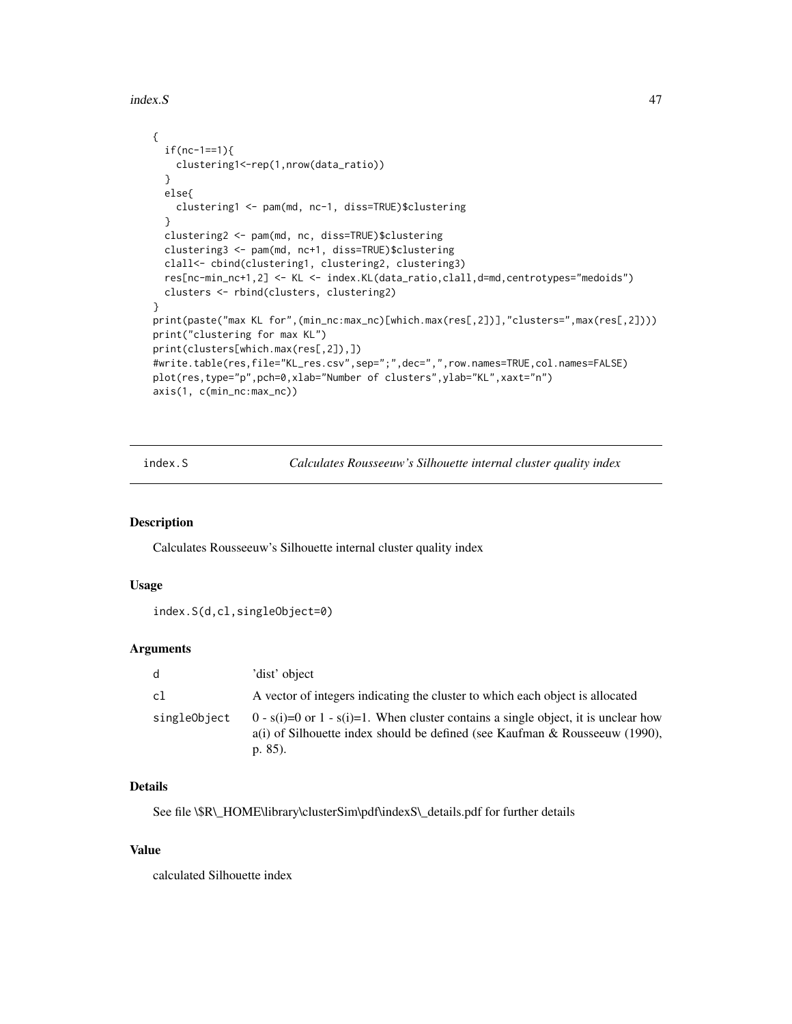index.S and the set of the set of the set of the set of the set of the set of the set of the set of the set of the set of the set of the set of the set of the set of the set of the set of the set of the set of the set of t

```
{
 if(nc-1==1){
   clustering1<-rep(1,nrow(data_ratio))
 }
 else{
   clustering1 <- pam(md, nc-1, diss=TRUE)$clustering
 }
 clustering2 <- pam(md, nc, diss=TRUE)$clustering
 clustering3 <- pam(md, nc+1, diss=TRUE)$clustering
 clall<- cbind(clustering1, clustering2, clustering3)
 res[nc-min_nc+1,2] <- KL <- index.KL(data_ratio,clall,d=md,centrotypes="medoids")
 clusters <- rbind(clusters, clustering2)
}
print(paste("max KL for",(min_nc:max_nc)[which.max(res[,2])],"clusters=",max(res[,2])))
print("clustering for max KL")
print(clusters[which.max(res[,2]),])
#write.table(res,file="KL_res.csv",sep=";",dec=",",row.names=TRUE,col.names=FALSE)
plot(res,type="p",pch=0,xlab="Number of clusters",ylab="KL",xaxt="n")
axis(1, c(min_nc:max_nc))
```
<span id="page-46-0"></span>index.S *Calculates Rousseeuw's Silhouette internal cluster quality index*

## Description

Calculates Rousseeuw's Silhouette internal cluster quality index

# Usage

```
index.S(d,cl,singleObject=0)
```
## **Arguments**

| d            | 'dist' object                                                                                                                                                                            |
|--------------|------------------------------------------------------------------------------------------------------------------------------------------------------------------------------------------|
| c1           | A vector of integers indicating the cluster to which each object is allocated                                                                                                            |
| singleObiect | $0 - s(i) = 0$ or $1 - s(i) = 1$ . When cluster contains a single object, it is unclear how<br>a(i) of Silhouette index should be defined (see Kaufman & Rousseeuw (1990),<br>p. $85$ ). |

## Details

See file \\$R\\_HOME\library\clusterSim\pdf\indexS\\_details.pdf for further details

### Value

calculated Silhouette index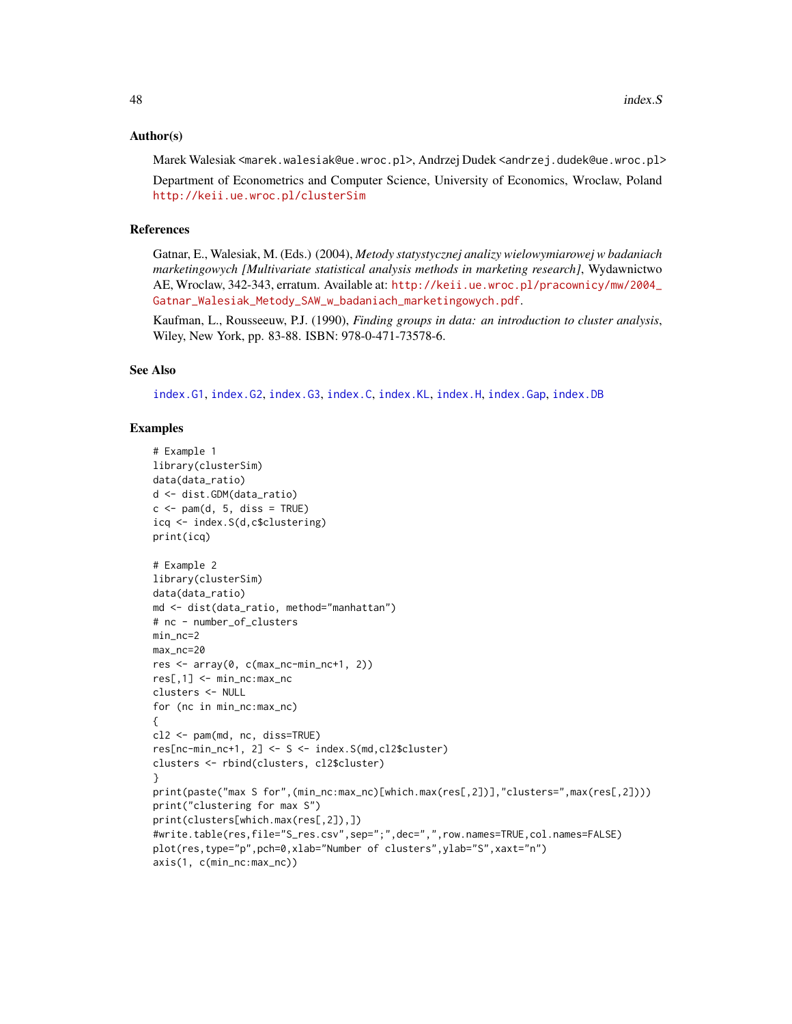## Author(s)

Marek Walesiak <marek.walesiak@ue.wroc.pl>, Andrzej Dudek <andrzej.dudek@ue.wroc.pl>

Department of Econometrics and Computer Science, University of Economics, Wroclaw, Poland <http://keii.ue.wroc.pl/clusterSim>

## References

Gatnar, E., Walesiak, M. (Eds.) (2004), *Metody statystycznej analizy wielowymiarowej w badaniach marketingowych [Multivariate statistical analysis methods in marketing research]*, Wydawnictwo AE, Wroclaw, 342-343, erratum. Available at: [http://keii.ue.wroc.pl/pracownicy/mw/2004\\_](http://keii.ue.wroc.pl/pracownicy/mw/2004_Gatnar_Walesiak_Metody_SAW_w_badaniach_marketingowych.pdf) [Gatnar\\_Walesiak\\_Metody\\_SAW\\_w\\_badaniach\\_marketingowych.pdf](http://keii.ue.wroc.pl/pracownicy/mw/2004_Gatnar_Walesiak_Metody_SAW_w_badaniach_marketingowych.pdf).

Kaufman, L., Rousseeuw, P.J. (1990), *Finding groups in data: an introduction to cluster analysis*, Wiley, New York, pp. 83-88. ISBN: 978-0-471-73578-6.

# See Also

[index.G1](#page-33-0), [index.G2](#page-35-0), [index.G3](#page-36-0), [index.C](#page-29-0), [index.KL](#page-44-0), [index.H](#page-41-0), [index.Gap](#page-38-0), [index.DB](#page-31-0)

```
# Example 1
library(clusterSim)
data(data_ratio)
d <- dist.GDM(data_ratio)
c \leq -\text{pam}(d, 5, \text{diss} = \text{TRUE})icq <- index.S(d,c$clustering)
print(icq)
# Example 2
library(clusterSim)
data(data_ratio)
md <- dist(data_ratio, method="manhattan")
# nc - number_of_clusters
min_nc=2
max_nc=20
res <- array(0, c(max_nc-min_nc+1, 2))
res[,1] <- min_nc:max_nc
clusters <- NULL
for (nc in min_nc:max_nc)
{
cl2 <- pam(md, nc, diss=TRUE)
res[nc-min_nc+1, 2] <- S <- index.S(md,cl2$cluster)
clusters <- rbind(clusters, cl2$cluster)
}
print(paste("max S for",(min_nc:max_nc)[which.max(res[,2])],"clusters=",max(res[,2])))
print("clustering for max S")
print(clusters[which.max(res[,2]),])
#write.table(res,file="S_res.csv",sep=";",dec=",",row.names=TRUE,col.names=FALSE)
plot(res,type="p",pch=0,xlab="Number of clusters",ylab="S",xaxt="n")
axis(1, c(min_nc:max_nc))
```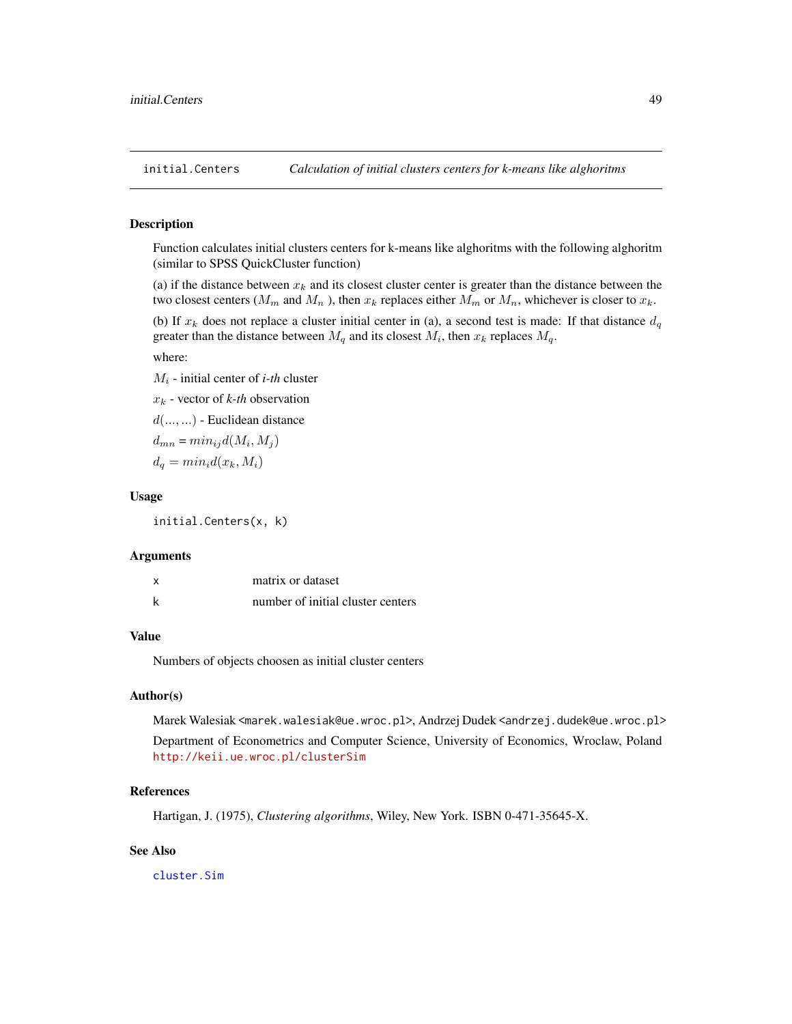#### **Description**

Function calculates initial clusters centers for k-means like alghoritms with the following alghoritm (similar to SPSS QuickCluster function)

(a) if the distance between  $x_k$  and its closest cluster center is greater than the distance between the two closest centers ( $M_m$  and  $M_n$ ), then  $x_k$  replaces either  $M_m$  or  $M_n$ , whichever is closer to  $x_k$ .

(b) If  $x_k$  does not replace a cluster initial center in (a), a second test is made: If that distance  $d_q$ greater than the distance between  $M_q$  and its closest  $M_i$ , then  $x_k$  replaces  $M_q$ .

#### where:

 $M_i$  - initial center of *i*-th cluster

 $x_k$  - vector of  $k$ -th observation

 $d(...,...)$  - Euclidean distance

 $d_{mn} = min_{ij} d(M_i, M_j)$ 

 $d_q = min_i d(x_k, M_i)$ 

## Usage

initial.Centers(x, k)

#### Arguments

| x | matrix or dataset                 |
|---|-----------------------------------|
| k | number of initial cluster centers |

# Value

Numbers of objects choosen as initial cluster centers

## Author(s)

Marek Walesiak <marek.walesiak@ue.wroc.pl>, Andrzej Dudek <andrzej.dudek@ue.wroc.pl>

Department of Econometrics and Computer Science, University of Economics, Wroclaw, Poland <http://keii.ue.wroc.pl/clusterSim>

## References

Hartigan, J. (1975), *Clustering algorithms*, Wiley, New York. ISBN 0-471-35645-X.

## See Also

[cluster.Sim](#page-7-0)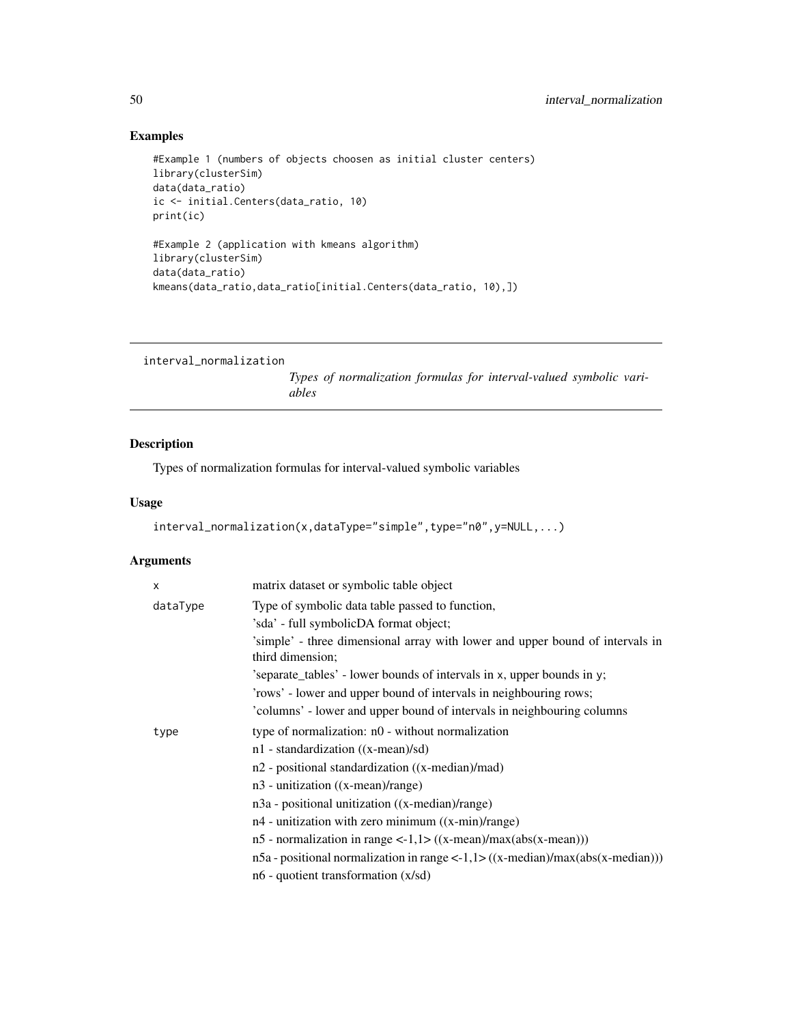# Examples

```
#Example 1 (numbers of objects choosen as initial cluster centers)
library(clusterSim)
data(data_ratio)
ic <- initial.Centers(data_ratio, 10)
print(ic)
#Example 2 (application with kmeans algorithm)
library(clusterSim)
data(data_ratio)
kmeans(data_ratio,data_ratio[initial.Centers(data_ratio, 10),])
```

```
interval_normalization
```
*Types of normalization formulas for interval-valued symbolic variables*

## Description

Types of normalization formulas for interval-valued symbolic variables

#### Usage

```
interval_normalization(x,dataType="simple",type="n0",y=NULL,...)
```

| X        | matrix dataset or symbolic table object                                                           |
|----------|---------------------------------------------------------------------------------------------------|
| dataType | Type of symbolic data table passed to function,                                                   |
|          | 'sda' - full symbolicDA format object;                                                            |
|          | 'simple' - three dimensional array with lower and upper bound of intervals in<br>third dimension; |
|          | 'separate_tables' - lower bounds of intervals in x, upper bounds in y;                            |
|          | 'rows' - lower and upper bound of intervals in neighbouring rows;                                 |
|          | 'columns' - lower and upper bound of intervals in neighbouring columns                            |
| type     | type of normalization: n0 - without normalization                                                 |
|          | $n1$ - standardization ((x-mean)/sd)                                                              |
|          | n2 - positional standardization ((x-median)/mad)                                                  |
|          | $n3$ - unitization ((x-mean)/range)                                                               |
|          | n3a - positional unitization ((x-median)/range)                                                   |
|          | n4 - unitization with zero minimum ((x-min)/range)                                                |
|          | $n5$ - normalization in range <-1,1> $((x-mean)/max(abs(x-mean)))$                                |
|          | $n5a$ - positional normalization in range <-1,1>((x-median)/max(abs(x-median)))                   |
|          | $n6$ - quotient transformation $(x/sd)$                                                           |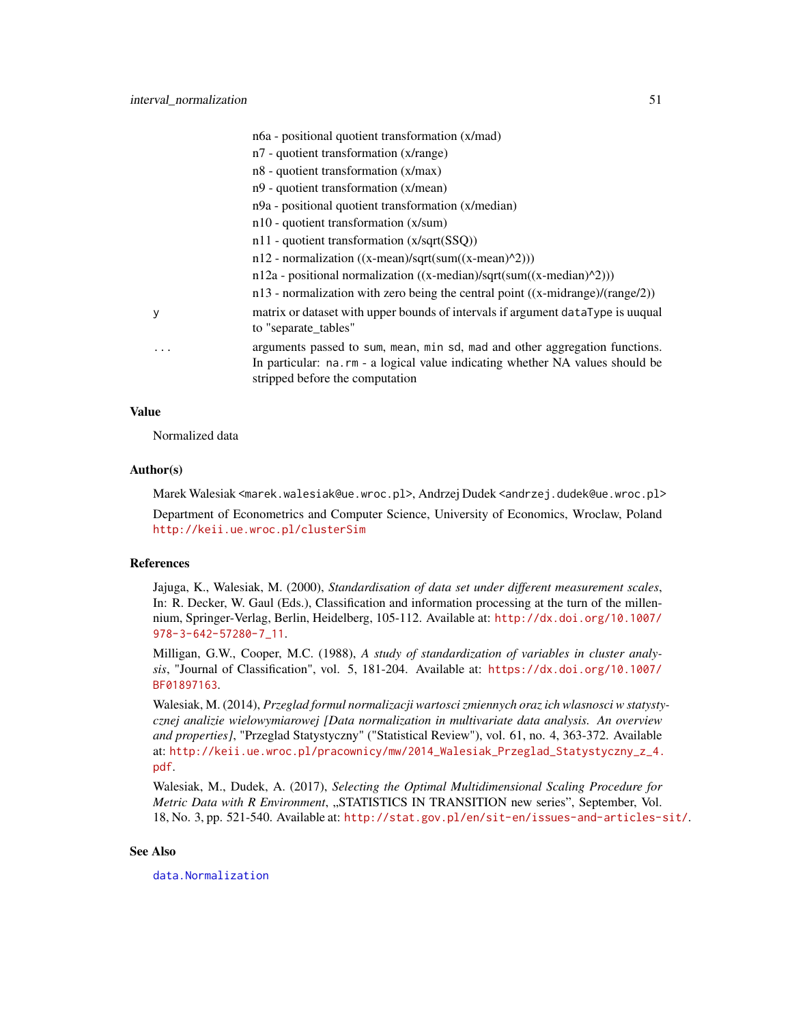|   | n6a - positional quotient transformation (x/mad)                                                                                                                                                |
|---|-------------------------------------------------------------------------------------------------------------------------------------------------------------------------------------------------|
|   | $n7$ - quotient transformation (x/range)                                                                                                                                                        |
|   | $n8$ - quotient transformation $(x/max)$                                                                                                                                                        |
|   | n9 - quotient transformation (x/mean)                                                                                                                                                           |
|   | n9a - positional quotient transformation (x/median)                                                                                                                                             |
|   | $n10$ - quotient transformation (x/sum)                                                                                                                                                         |
|   | n11 - quotient transformation (x/sqrt(SSQ))                                                                                                                                                     |
|   | $n12$ - normalization ((x-mean)/sqrt(sum((x-mean)^2)))                                                                                                                                          |
|   | $n12a$ - positional normalization ((x-median)/sqrt(sum((x-median)^2)))                                                                                                                          |
|   | $n13$ - normalization with zero being the central point ((x-midrange)/(range/2))                                                                                                                |
| у | matrix or dataset with upper bounds of intervals if argument dataType is uuqual<br>to "separate_tables"                                                                                         |
| . | arguments passed to sum, mean, min sd, mad and other aggregation functions.<br>In particular: na.rm - a logical value indicating whether NA values should be<br>stripped before the computation |

#### Value

Normalized data

#### Author(s)

Marek Walesiak <marek.walesiak@ue.wroc.pl>, Andrzej Dudek <andrzej.dudek@ue.wroc.pl> Department of Econometrics and Computer Science, University of Economics, Wroclaw, Poland <http://keii.ue.wroc.pl/clusterSim>

## References

Jajuga, K., Walesiak, M. (2000), *Standardisation of data set under different measurement scales*, In: R. Decker, W. Gaul (Eds.), Classification and information processing at the turn of the millennium, Springer-Verlag, Berlin, Heidelberg, 105-112. Available at: [http://dx.doi.org/10.1007/](http://dx.doi.org/10.1007/978-3-642-57280-7_11) [978-3-642-57280-7\\_11](http://dx.doi.org/10.1007/978-3-642-57280-7_11).

Milligan, G.W., Cooper, M.C. (1988), *A study of standardization of variables in cluster analysis*, "Journal of Classification", vol. 5, 181-204. Available at: [https://dx.doi.org/10.1007/](https://dx.doi.org/10.1007/BF01897163) [BF01897163](https://dx.doi.org/10.1007/BF01897163).

Walesiak, M. (2014), *Przeglad formul normalizacji wartosci zmiennych oraz ich wlasnosci w statystycznej analizie wielowymiarowej [Data normalization in multivariate data analysis. An overview and properties]*, "Przeglad Statystyczny" ("Statistical Review"), vol. 61, no. 4, 363-372. Available at: [http://keii.ue.wroc.pl/pracownicy/mw/2014\\_Walesiak\\_Przeglad\\_Statystyczny\\_z\\_4.](http://keii.ue.wroc.pl/pracownicy/mw/2014_Walesiak_Przeglad_Statystyczny_z_4.pdf) [pdf](http://keii.ue.wroc.pl/pracownicy/mw/2014_Walesiak_Przeglad_Statystyczny_z_4.pdf).

Walesiak, M., Dudek, A. (2017), *Selecting the Optimal Multidimensional Scaling Procedure for Metric Data with R Environment*, "STATISTICS IN TRANSITION new series", September, Vol. 18, No. 3, pp. 521-540. Available at: <http://stat.gov.pl/en/sit-en/issues-and-articles-sit/>.

## See Also

[data.Normalization](#page-11-0)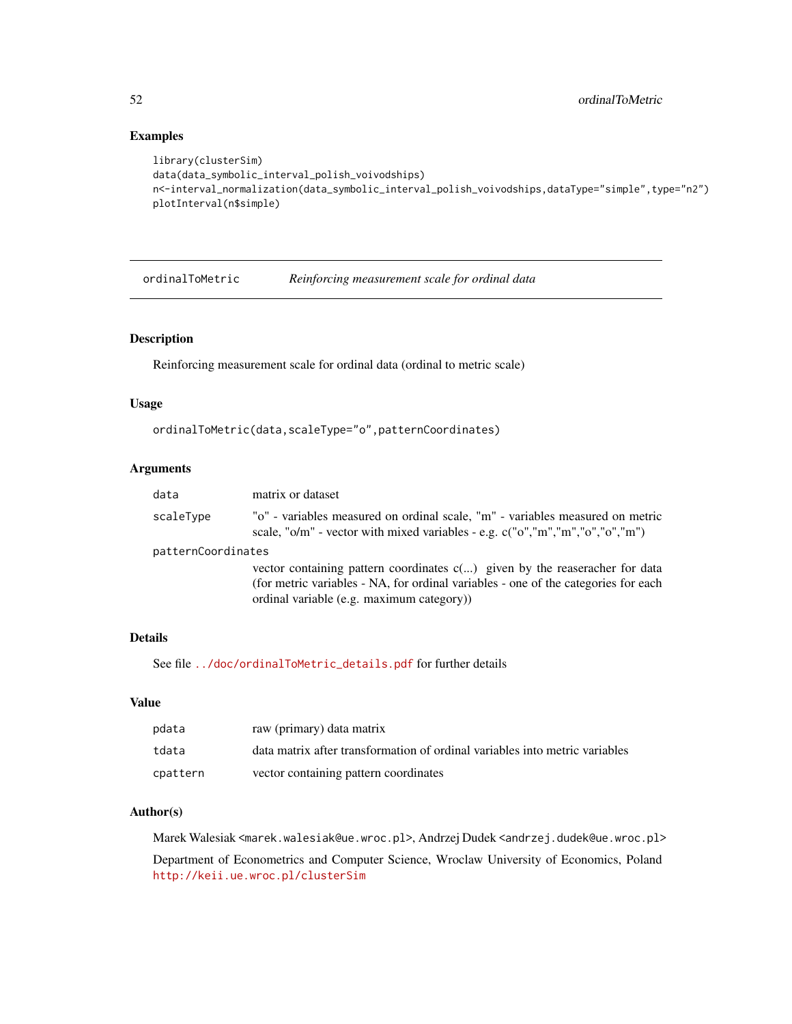## Examples

```
library(clusterSim)
data(data_symbolic_interval_polish_voivodships)
n<-interval_normalization(data_symbolic_interval_polish_voivodships,dataType="simple",type="n2")
plotInterval(n$simple)
```
ordinalToMetric *Reinforcing measurement scale for ordinal data*

# Description

Reinforcing measurement scale for ordinal data (ordinal to metric scale)

# Usage

```
ordinalToMetric(data,scaleType="o",patternCoordinates)
```
# Arguments

| data               | matrix or dataset                                                                                                                                                                                                |
|--------------------|------------------------------------------------------------------------------------------------------------------------------------------------------------------------------------------------------------------|
| scaleType          | "o" - variables measured on ordinal scale, "m" - variables measured on metric<br>scale, " $o/m$ " - vector with mixed variables - e.g. $c("o", 'm", "m", "o", 'o", "m")$                                         |
| patternCoordinates |                                                                                                                                                                                                                  |
|                    | vector containing pattern coordinates $c()$ given by the reaseracher for data<br>(for metric variables - NA, for ordinal variables - one of the categories for each<br>ordinal variable (e.g. maximum category)) |

# Details

See file [../doc/ordinalToMetric\\_details.pdf](../doc/ordinalToMetric_details.pdf) for further details

## Value

| pdata    | raw (primary) data matrix                                                   |
|----------|-----------------------------------------------------------------------------|
| tdata    | data matrix after transformation of ordinal variables into metric variables |
| cpattern | vector containing pattern coordinates                                       |

## Author(s)

Marek Walesiak <marek.walesiak@ue.wroc.pl>, Andrzej Dudek <andrzej.dudek@ue.wroc.pl>

Department of Econometrics and Computer Science, Wroclaw University of Economics, Poland <http://keii.ue.wroc.pl/clusterSim>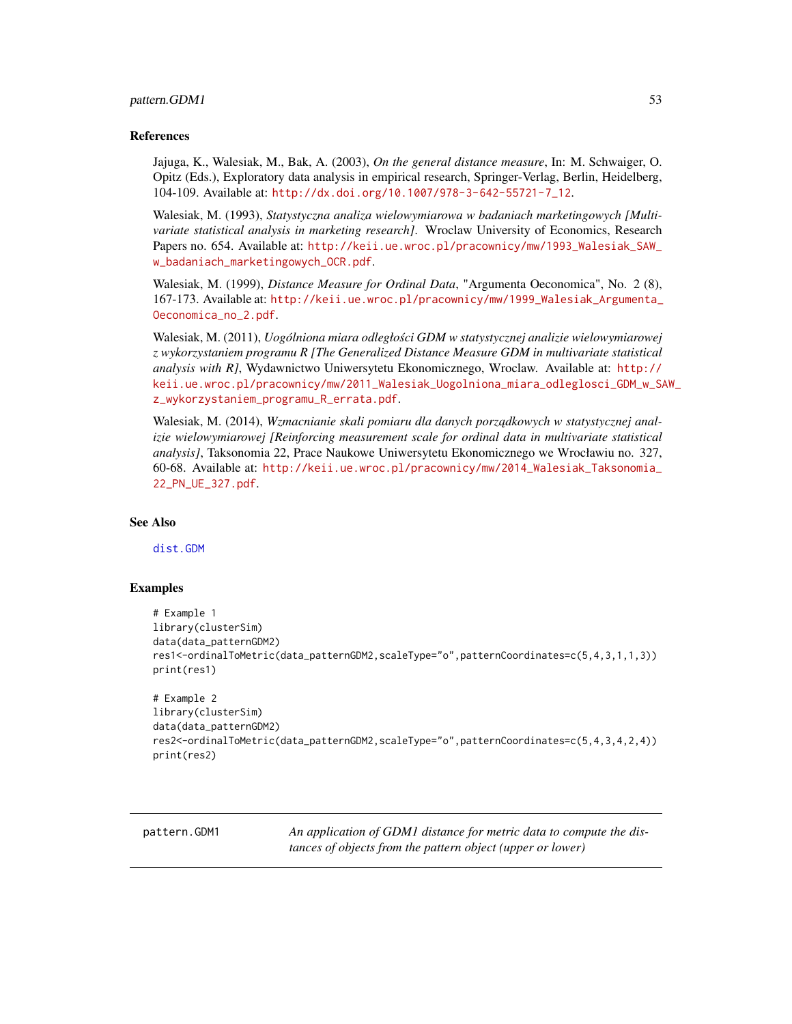#### pattern.GDM1 53

#### References

Jajuga, K., Walesiak, M., Bak, A. (2003), *On the general distance measure*, In: M. Schwaiger, O. Opitz (Eds.), Exploratory data analysis in empirical research, Springer-Verlag, Berlin, Heidelberg, 104-109. Available at: [http://dx.doi.org/10.1007/978-3-642-55721-7\\_12](http://dx.doi.org/10.1007/978-3-642-55721-7_12).

Walesiak, M. (1993), *Statystyczna analiza wielowymiarowa w badaniach marketingowych [Multivariate statistical analysis in marketing research]*. Wroclaw University of Economics, Research Papers no. 654. Available at: [http://keii.ue.wroc.pl/pracownicy/mw/1993\\_Walesiak\\_SAW\\_](http://keii.ue.wroc.pl/pracownicy/mw/1993_Walesiak_SAW_w_badaniach_marketingowych_OCR.pdf) [w\\_badaniach\\_marketingowych\\_OCR.pdf](http://keii.ue.wroc.pl/pracownicy/mw/1993_Walesiak_SAW_w_badaniach_marketingowych_OCR.pdf).

Walesiak, M. (1999), *Distance Measure for Ordinal Data*, "Argumenta Oeconomica", No. 2 (8), 167-173. Available at: [http://keii.ue.wroc.pl/pracownicy/mw/1999\\_Walesiak\\_Argumenta\\_](http://keii.ue.wroc.pl/pracownicy/mw/1999_Walesiak_Argumenta_Oeconomica_no_2.pdf) [Oeconomica\\_no\\_2.pdf](http://keii.ue.wroc.pl/pracownicy/mw/1999_Walesiak_Argumenta_Oeconomica_no_2.pdf).

Walesiak, M. (2011), *Uogólniona miara odległosci GDM w statystycznej analizie wielowymiarowej ´ z wykorzystaniem programu R [The Generalized Distance Measure GDM in multivariate statistical analysis with R]*, Wydawnictwo Uniwersytetu Ekonomicznego, Wroclaw. Available at: [http://](http://keii.ue.wroc.pl/pracownicy/mw/2011_Walesiak_Uogolniona_miara_odleglosci_GDM_w_SAW_z_wykorzystaniem_programu_R_errata.pdf) [keii.ue.wroc.pl/pracownicy/mw/2011\\_Walesiak\\_Uogolniona\\_miara\\_odleglosci\\_GDM\\_w\\_SA](http://keii.ue.wroc.pl/pracownicy/mw/2011_Walesiak_Uogolniona_miara_odleglosci_GDM_w_SAW_z_wykorzystaniem_programu_R_errata.pdf)W\_ [z\\_wykorzystaniem\\_programu\\_R\\_errata.pdf](http://keii.ue.wroc.pl/pracownicy/mw/2011_Walesiak_Uogolniona_miara_odleglosci_GDM_w_SAW_z_wykorzystaniem_programu_R_errata.pdf).

Walesiak, M. (2014), *Wzmacnianie skali pomiaru dla danych porządkowych w statystycznej analizie wielowymiarowej [Reinforcing measurement scale for ordinal data in multivariate statistical analysis]*, Taksonomia 22, Prace Naukowe Uniwersytetu Ekonomicznego we Wrocławiu no. 327, 60-68. Available at: [http://keii.ue.wroc.pl/pracownicy/mw/2014\\_Walesiak\\_Taksonomia\\_](http://keii.ue.wroc.pl/pracownicy/mw/2014_Walesiak_Taksonomia_22_PN_UE_327.pdf) [22\\_PN\\_UE\\_327.pdf](http://keii.ue.wroc.pl/pracownicy/mw/2014_Walesiak_Taksonomia_22_PN_UE_327.pdf).

#### See Also

[dist.GDM](#page-21-0)

#### Examples

```
# Example 1
library(clusterSim)
data(data_patternGDM2)
res1<-ordinalToMetric(data_patternGDM2,scaleType="o",patternCoordinates=c(5,4,3,1,1,3))
print(res1)
```

```
# Example 2
library(clusterSim)
data(data_patternGDM2)
res2<-ordinalToMetric(data_patternGDM2,scaleType="o",patternCoordinates=c(5,4,3,4,2,4))
print(res2)
```
pattern.GDM1 *An application of GDM1 distance for metric data to compute the distances of objects from the pattern object (upper or lower)*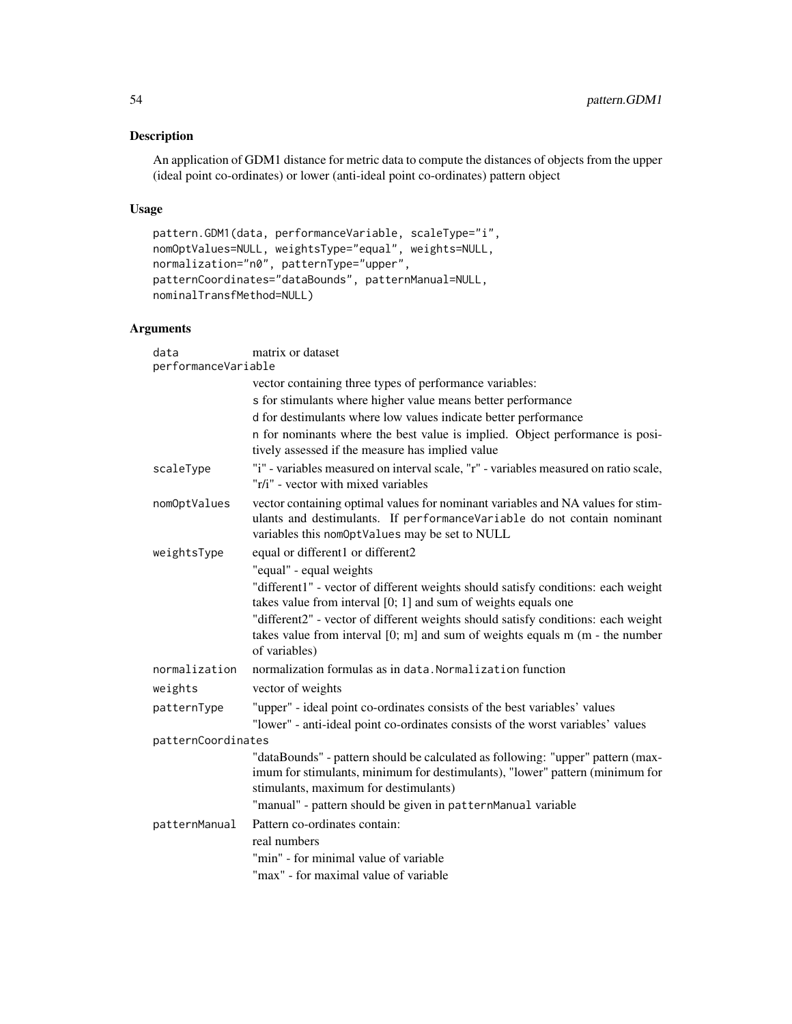# Description

An application of GDM1 distance for metric data to compute the distances of objects from the upper (ideal point co-ordinates) or lower (anti-ideal point co-ordinates) pattern object

## Usage

```
pattern.GDM1(data, performanceVariable, scaleType="i",
nomOptValues=NULL, weightsType="equal", weights=NULL,
normalization="n0", patternType="upper",
patternCoordinates="dataBounds", patternManual=NULL,
nominalTransfMethod=NULL)
```

| data                | matrix or dataset                                                                                                                                                                                            |  |
|---------------------|--------------------------------------------------------------------------------------------------------------------------------------------------------------------------------------------------------------|--|
| performanceVariable |                                                                                                                                                                                                              |  |
|                     | vector containing three types of performance variables:                                                                                                                                                      |  |
|                     | s for stimulants where higher value means better performance                                                                                                                                                 |  |
|                     | d for destimulants where low values indicate better performance                                                                                                                                              |  |
|                     | n for nominants where the best value is implied. Object performance is posi-<br>tively assessed if the measure has implied value                                                                             |  |
| scaleType           | "i" - variables measured on interval scale, "r" - variables measured on ratio scale,<br>"r/i" - vector with mixed variables                                                                                  |  |
| nomOptValues        | vector containing optimal values for nominant variables and NA values for stim-<br>ulants and destimulants. If performanceVariable do not contain nominant<br>variables this nomOptValues may be set to NULL |  |
| weightsType         | equal or different1 or different2                                                                                                                                                                            |  |
|                     | "equal" - equal weights                                                                                                                                                                                      |  |
|                     | "different1" - vector of different weights should satisfy conditions: each weight<br>takes value from interval $[0; 1]$ and sum of weights equals one                                                        |  |
|                     | "different2" - vector of different weights should satisfy conditions: each weight<br>takes value from interval $[0; m]$ and sum of weights equals $m$ ( $m$ - the number<br>of variables)                    |  |
| normalization       | normalization formulas as in data. Normalization function                                                                                                                                                    |  |
| weights             | vector of weights                                                                                                                                                                                            |  |
| patternType         | "upper" - ideal point co-ordinates consists of the best variables' values<br>"lower" - anti-ideal point co-ordinates consists of the worst variables' values                                                 |  |
| patternCoordinates  |                                                                                                                                                                                                              |  |
|                     | "dataBounds" - pattern should be calculated as following: "upper" pattern (max-<br>imum for stimulants, minimum for destimulants), "lower" pattern (minimum for<br>stimulants, maximum for destimulants)     |  |
|                     | "manual" - pattern should be given in patternManual variable                                                                                                                                                 |  |
| patternManual       | Pattern co-ordinates contain:                                                                                                                                                                                |  |
|                     | real numbers                                                                                                                                                                                                 |  |
|                     | "min" - for minimal value of variable                                                                                                                                                                        |  |
|                     | "max" - for maximal value of variable                                                                                                                                                                        |  |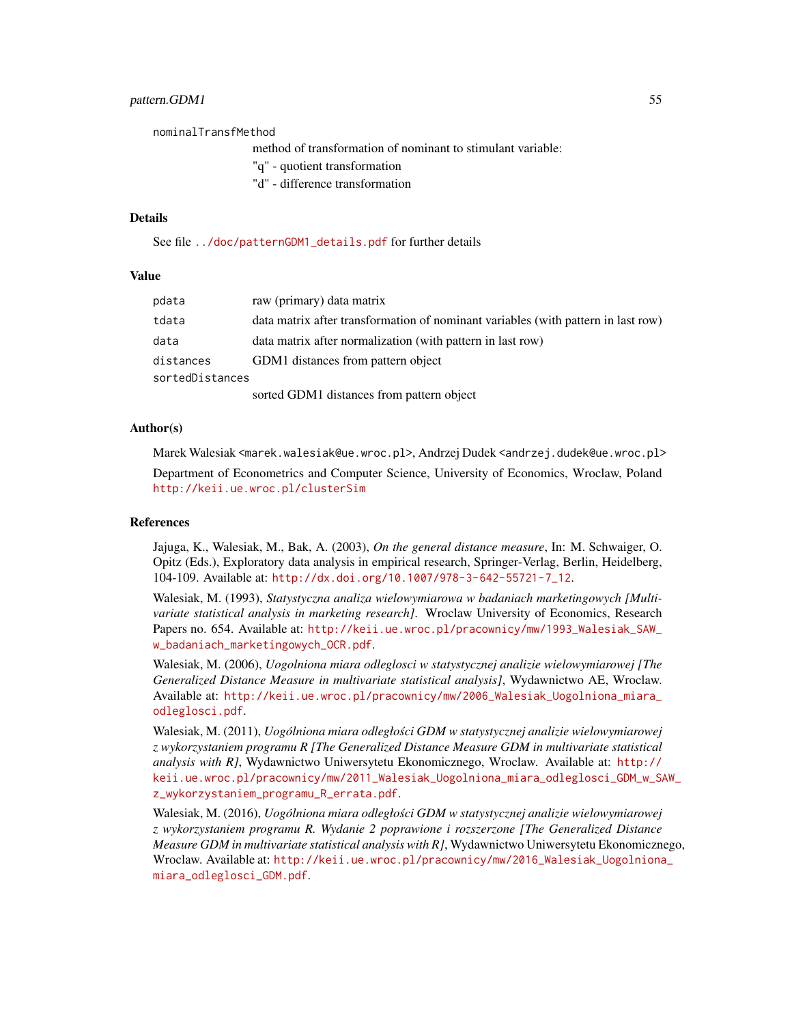## pattern.GDM1 55

nominalTransfMethod method of transformation of nominant to stimulant variable: "q" - quotient transformation

"d" - difference transformation

#### Details

See file [../doc/patternGDM1\\_details.pdf](../doc/patternGDM1_details.pdf) for further details

#### Value

| pdata           | raw (primary) data matrix                                                         |
|-----------------|-----------------------------------------------------------------------------------|
| tdata           | data matrix after transformation of nominant variables (with pattern in last row) |
| data            | data matrix after normalization (with pattern in last row)                        |
| distances       | GDM1 distances from pattern object                                                |
| sortedDistances |                                                                                   |
|                 | sorted GDM1 distances from pattern object                                         |

#### Author(s)

Marek Walesiak <marek.walesiak@ue.wroc.pl>, Andrzej Dudek <andrzej.dudek@ue.wroc.pl> Department of Econometrics and Computer Science, University of Economics, Wroclaw, Poland <http://keii.ue.wroc.pl/clusterSim>

#### References

Jajuga, K., Walesiak, M., Bak, A. (2003), *On the general distance measure*, In: M. Schwaiger, O. Opitz (Eds.), Exploratory data analysis in empirical research, Springer-Verlag, Berlin, Heidelberg, 104-109. Available at: [http://dx.doi.org/10.1007/978-3-642-55721-7\\_12](http://dx.doi.org/10.1007/978-3-642-55721-7_12).

Walesiak, M. (1993), *Statystyczna analiza wielowymiarowa w badaniach marketingowych [Multivariate statistical analysis in marketing research]*. Wroclaw University of Economics, Research Papers no. 654. Available at: [http://keii.ue.wroc.pl/pracownicy/mw/1993\\_Walesiak\\_SAW\\_](http://keii.ue.wroc.pl/pracownicy/mw/1993_Walesiak_SAW_w_badaniach_marketingowych_OCR.pdf) [w\\_badaniach\\_marketingowych\\_OCR.pdf](http://keii.ue.wroc.pl/pracownicy/mw/1993_Walesiak_SAW_w_badaniach_marketingowych_OCR.pdf).

Walesiak, M. (2006), *Uogolniona miara odleglosci w statystycznej analizie wielowymiarowej [The Generalized Distance Measure in multivariate statistical analysis]*, Wydawnictwo AE, Wroclaw. Available at: [http://keii.ue.wroc.pl/pracownicy/mw/2006\\_Walesiak\\_Uogolniona\\_miara\\_](http://keii.ue.wroc.pl/pracownicy/mw/2006_Walesiak_Uogolniona_miara_odleglosci.pdf) [odleglosci.pdf](http://keii.ue.wroc.pl/pracownicy/mw/2006_Walesiak_Uogolniona_miara_odleglosci.pdf).

Walesiak, M. (2011), *Uogólniona miara odległosci GDM w statystycznej analizie wielowymiarowej ´ z wykorzystaniem programu R [The Generalized Distance Measure GDM in multivariate statistical analysis with R]*, Wydawnictwo Uniwersytetu Ekonomicznego, Wroclaw. Available at: [http://](http://keii.ue.wroc.pl/pracownicy/mw/2011_Walesiak_Uogolniona_miara_odleglosci_GDM_w_SAW_z_wykorzystaniem_programu_R_errata.pdf) [keii.ue.wroc.pl/pracownicy/mw/2011\\_Walesiak\\_Uogolniona\\_miara\\_odleglosci\\_GDM\\_w\\_SA](http://keii.ue.wroc.pl/pracownicy/mw/2011_Walesiak_Uogolniona_miara_odleglosci_GDM_w_SAW_z_wykorzystaniem_programu_R_errata.pdf)W\_ [z\\_wykorzystaniem\\_programu\\_R\\_errata.pdf](http://keii.ue.wroc.pl/pracownicy/mw/2011_Walesiak_Uogolniona_miara_odleglosci_GDM_w_SAW_z_wykorzystaniem_programu_R_errata.pdf).

Walesiak, M. (2016), *Uogólniona miara odległosci GDM w statystycznej analizie wielowymiarowej ´ z wykorzystaniem programu R. Wydanie 2 poprawione i rozszerzone [The Generalized Distance Measure GDM in multivariate statistical analysis with R]*, Wydawnictwo Uniwersytetu Ekonomicznego, Wroclaw. Available at: [http://keii.ue.wroc.pl/pracownicy/mw/2016\\_Walesiak\\_Uogolniona](http://keii.ue.wroc.pl/pracownicy/mw/2016_Walesiak_Uogolniona_miara_odleglosci_GDM.pdf)\_ [miara\\_odleglosci\\_GDM.pdf](http://keii.ue.wroc.pl/pracownicy/mw/2016_Walesiak_Uogolniona_miara_odleglosci_GDM.pdf).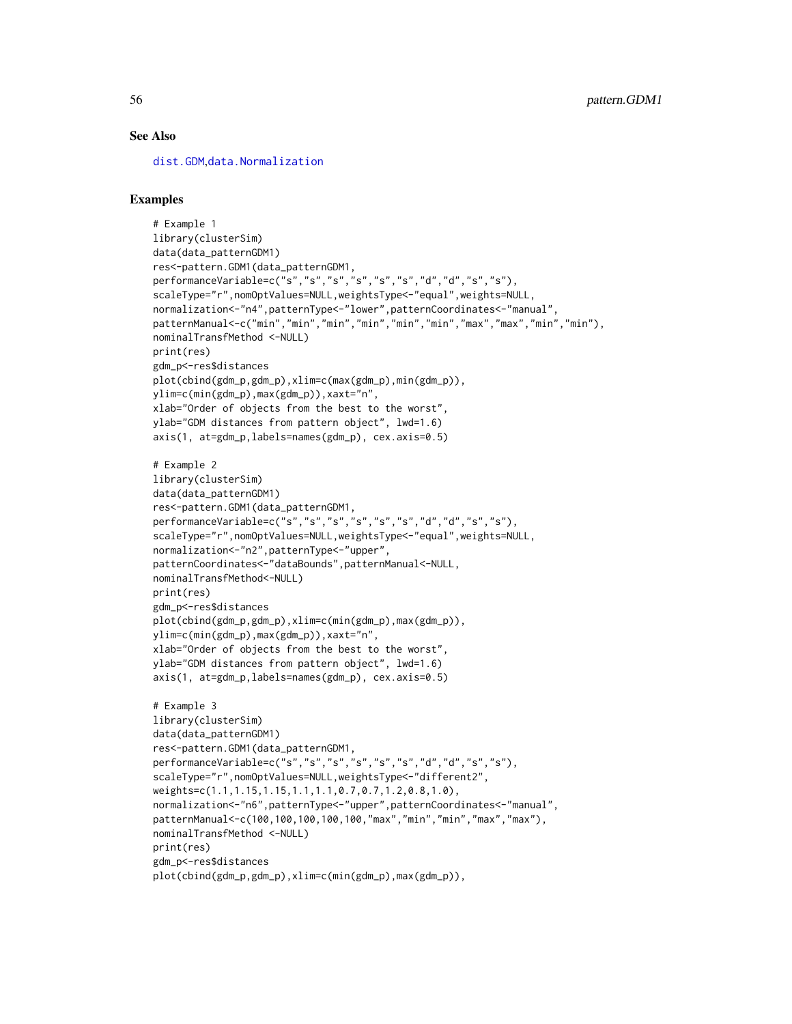## See Also

[dist.GDM](#page-21-0),[data.Normalization](#page-11-0)

```
# Example 1
library(clusterSim)
data(data_patternGDM1)
res<-pattern.GDM1(data_patternGDM1,
performanceVariable=c("s","s","s","s","s","s","d","d","s","s"),
scaleType="r",nomOptValues=NULL,weightsType<-"equal",weights=NULL,
normalization<-"n4",patternType<-"lower",patternCoordinates<-"manual",
patternManual<-c("min","min","min","min","min","min","max","max","min","min"),
nominalTransfMethod <-NULL)
print(res)
gdm_p<-res$distances
plot(cbind(gdm_p,gdm_p),xlim=c(max(gdm_p),min(gdm_p)),
ylim=c(min(gdm_p),max(gdm_p)),xaxt="n",
xlab="Order of objects from the best to the worst",
ylab="GDM distances from pattern object", lwd=1.6)
axis(1, at=gdm_p,labels=names(gdm_p), cex.axis=0.5)
# Example 2
library(clusterSim)
data(data_patternGDM1)
res<-pattern.GDM1(data_patternGDM1,
performanceVariable=c("s","s","s","s","s","s","d","d","s","s"),
scaleType="r",nomOptValues=NULL,weightsType<-"equal",weights=NULL,
normalization<-"n2",patternType<-"upper",
patternCoordinates<-"dataBounds",patternManual<-NULL,
nominalTransfMethod<-NULL)
print(res)
gdm_p<-res$distances
plot(cbind(gdm_p,gdm_p),xlim=c(min(gdm_p),max(gdm_p)),
ylim=c(min(gdm_p),max(gdm_p)),xaxt="n",
xlab="Order of objects from the best to the worst",
ylab="GDM distances from pattern object", lwd=1.6)
axis(1, at=gdm_p,labels=names(gdm_p), cex.axis=0.5)
# Example 3
library(clusterSim)
data(data_patternGDM1)
res<-pattern.GDM1(data_patternGDM1,
performanceVariable=c("s","s","s","s","s","s","d","d","s","s"),
scaleType="r",nomOptValues=NULL,weightsType<-"different2",
weights=c(1.1,1.15,1.15,1.1,1.1,0.7,0.7,1.2,0.8,1.0),
normalization<-"n6",patternType<-"upper",patternCoordinates<-"manual",
patternManual<-c(100,100,100,100,100,"max","min","min","max","max"),
nominalTransfMethod <-NULL)
print(res)
gdm_p<-res$distances
plot(cbind(gdm_p,gdm_p),xlim=c(min(gdm_p),max(gdm_p)),
```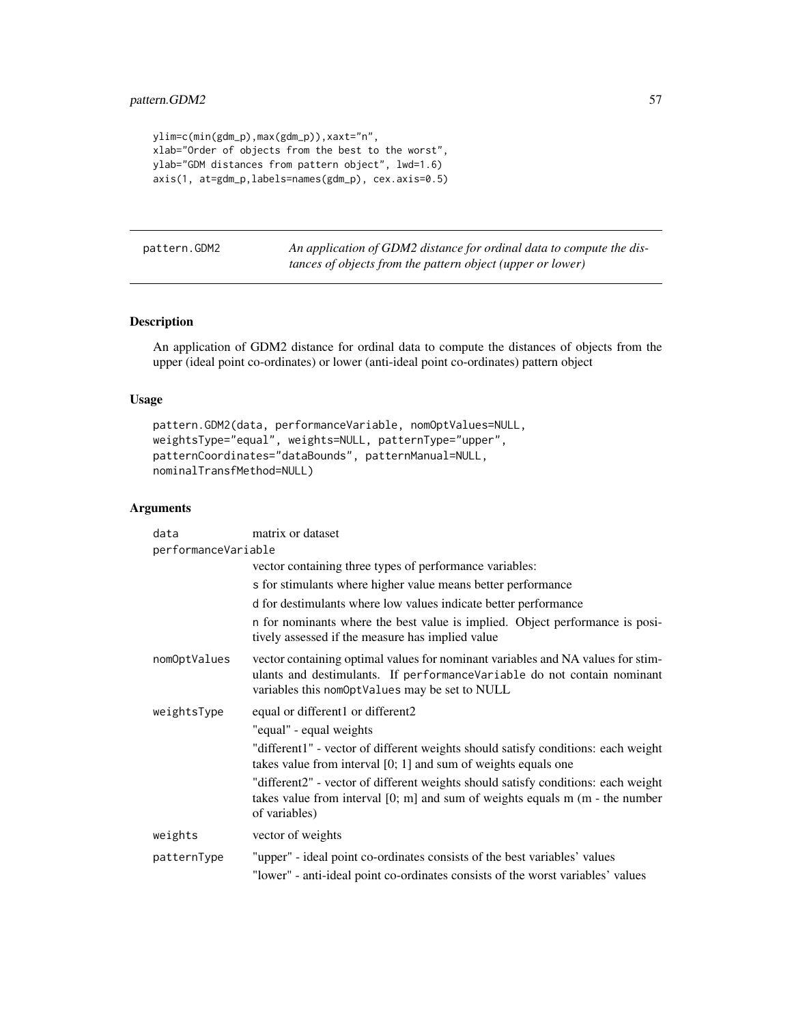```
ylim=c(min(gdm_p),max(gdm_p)),xaxt="n",
xlab="Order of objects from the best to the worst",
ylab="GDM distances from pattern object", lwd=1.6)
axis(1, at=gdm_p,labels=names(gdm_p), cex.axis=0.5)
```
pattern.GDM2 *An application of GDM2 distance for ordinal data to compute the distances of objects from the pattern object (upper or lower)*

# Description

An application of GDM2 distance for ordinal data to compute the distances of objects from the upper (ideal point co-ordinates) or lower (anti-ideal point co-ordinates) pattern object

#### Usage

```
pattern.GDM2(data, performanceVariable, nomOptValues=NULL,
weightsType="equal", weights=NULL, patternType="upper",
patternCoordinates="dataBounds", patternManual=NULL,
nominalTransfMethod=NULL)
```

| data                | matrix or dataset                                                                                                                                                                                            |
|---------------------|--------------------------------------------------------------------------------------------------------------------------------------------------------------------------------------------------------------|
| performanceVariable |                                                                                                                                                                                                              |
|                     | vector containing three types of performance variables:                                                                                                                                                      |
|                     | s for stimulants where higher value means better performance                                                                                                                                                 |
|                     | d for destimulants where low values indicate better performance                                                                                                                                              |
|                     | n for nominants where the best value is implied. Object performance is posi-<br>tively assessed if the measure has implied value                                                                             |
| nomOptValues        | vector containing optimal values for nominant variables and NA values for stim-<br>ulants and destimulants. If performanceVariable do not contain nominant<br>variables this nomOptValues may be set to NULL |
| weightsType         | equal or different1 or different2                                                                                                                                                                            |
|                     | "equal" - equal weights                                                                                                                                                                                      |
|                     | "different1" - vector of different weights should satisfy conditions: each weight<br>takes value from interval $[0; 1]$ and sum of weights equals one                                                        |
|                     | "different2" - vector of different weights should satisfy conditions: each weight<br>takes value from interval $[0; m]$ and sum of weights equals $m$ ( $m$ - the number<br>of variables)                    |
| weights             | vector of weights                                                                                                                                                                                            |
| patternType         | "upper" - ideal point co-ordinates consists of the best variables' values                                                                                                                                    |
|                     | "lower" - anti-ideal point co-ordinates consists of the worst variables' values                                                                                                                              |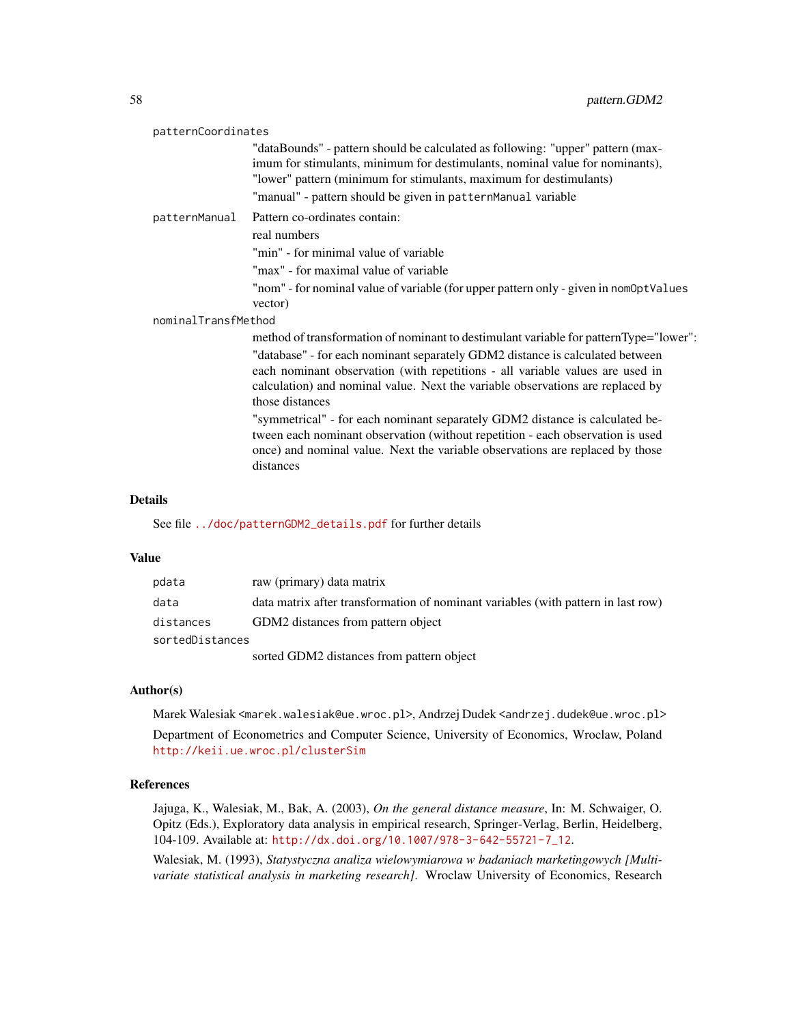| patternCoordinates  |                                                                                                                                                                                                                                                                                                                                                                                                                                                                                                                                                                                                                              |  |
|---------------------|------------------------------------------------------------------------------------------------------------------------------------------------------------------------------------------------------------------------------------------------------------------------------------------------------------------------------------------------------------------------------------------------------------------------------------------------------------------------------------------------------------------------------------------------------------------------------------------------------------------------------|--|
|                     | "dataBounds" - pattern should be calculated as following: "upper" pattern (max-<br>imum for stimulants, minimum for destimulants, nominal value for nominants),<br>"lower" pattern (minimum for stimulants, maximum for destimulants)                                                                                                                                                                                                                                                                                                                                                                                        |  |
|                     | "manual" - pattern should be given in patternManual variable                                                                                                                                                                                                                                                                                                                                                                                                                                                                                                                                                                 |  |
| patternManual       | Pattern co-ordinates contain:                                                                                                                                                                                                                                                                                                                                                                                                                                                                                                                                                                                                |  |
|                     | real numbers                                                                                                                                                                                                                                                                                                                                                                                                                                                                                                                                                                                                                 |  |
|                     | "min" - for minimal value of variable                                                                                                                                                                                                                                                                                                                                                                                                                                                                                                                                                                                        |  |
|                     | "max" - for maximal value of variable                                                                                                                                                                                                                                                                                                                                                                                                                                                                                                                                                                                        |  |
|                     | "nom" - for nominal value of variable (for upper pattern only - given in nom0ptValues                                                                                                                                                                                                                                                                                                                                                                                                                                                                                                                                        |  |
|                     | vector)                                                                                                                                                                                                                                                                                                                                                                                                                                                                                                                                                                                                                      |  |
| nominalTransfMethod |                                                                                                                                                                                                                                                                                                                                                                                                                                                                                                                                                                                                                              |  |
|                     | method of transformation of nominant to destimulant variable for patternType="lower":<br>"database" - for each nominant separately GDM2 distance is calculated between<br>each nominant observation (with repetitions - all variable values are used in<br>calculation) and nominal value. Next the variable observations are replaced by<br>those distances<br>"symmetrical" - for each nominant separately GDM2 distance is calculated be-<br>tween each nominant observation (without repetition - each observation is used<br>once) and nominal value. Next the variable observations are replaced by those<br>distances |  |
|                     |                                                                                                                                                                                                                                                                                                                                                                                                                                                                                                                                                                                                                              |  |

## Details

See file [../doc/patternGDM2\\_details.pdf](../doc/patternGDM2_details.pdf) for further details

# Value

| pdata           | raw (primary) data matrix                                                         |
|-----------------|-----------------------------------------------------------------------------------|
| data            | data matrix after transformation of nominant variables (with pattern in last row) |
| distances       | GDM2 distances from pattern object                                                |
| sortedDistances |                                                                                   |
|                 | sorted GDM2 distances from pattern object                                         |

# Author(s)

Marek Walesiak <marek.walesiak@ue.wroc.pl>, Andrzej Dudek <andrzej.dudek@ue.wroc.pl>

Department of Econometrics and Computer Science, University of Economics, Wroclaw, Poland <http://keii.ue.wroc.pl/clusterSim>

#### References

Jajuga, K., Walesiak, M., Bak, A. (2003), *On the general distance measure*, In: M. Schwaiger, O. Opitz (Eds.), Exploratory data analysis in empirical research, Springer-Verlag, Berlin, Heidelberg, 104-109. Available at: [http://dx.doi.org/10.1007/978-3-642-55721-7\\_12](http://dx.doi.org/10.1007/978-3-642-55721-7_12).

Walesiak, M. (1993), *Statystyczna analiza wielowymiarowa w badaniach marketingowych [Multivariate statistical analysis in marketing research]*. Wroclaw University of Economics, Research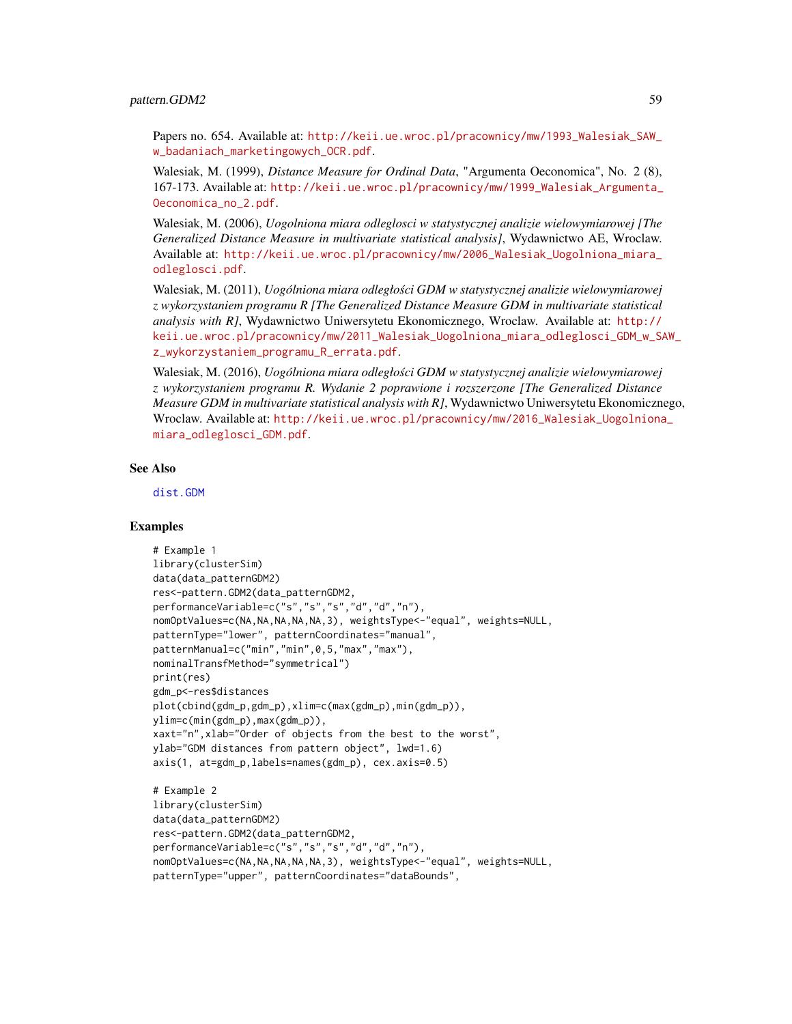#### pattern.GDM2 59

Papers no. 654. Available at: [http://keii.ue.wroc.pl/pracownicy/mw/1993\\_Walesiak\\_SAW\\_](http://keii.ue.wroc.pl/pracownicy/mw/1993_Walesiak_SAW_w_badaniach_marketingowych_OCR.pdf) [w\\_badaniach\\_marketingowych\\_OCR.pdf](http://keii.ue.wroc.pl/pracownicy/mw/1993_Walesiak_SAW_w_badaniach_marketingowych_OCR.pdf).

Walesiak, M. (1999), *Distance Measure for Ordinal Data*, "Argumenta Oeconomica", No. 2 (8), 167-173. Available at: [http://keii.ue.wroc.pl/pracownicy/mw/1999\\_Walesiak\\_Argumenta\\_](http://keii.ue.wroc.pl/pracownicy/mw/1999_Walesiak_Argumenta_Oeconomica_no_2.pdf) [Oeconomica\\_no\\_2.pdf](http://keii.ue.wroc.pl/pracownicy/mw/1999_Walesiak_Argumenta_Oeconomica_no_2.pdf).

Walesiak, M. (2006), *Uogolniona miara odleglosci w statystycznej analizie wielowymiarowej [The Generalized Distance Measure in multivariate statistical analysis]*, Wydawnictwo AE, Wroclaw. Available at: [http://keii.ue.wroc.pl/pracownicy/mw/2006\\_Walesiak\\_Uogolniona\\_miara\\_](http://keii.ue.wroc.pl/pracownicy/mw/2006_Walesiak_Uogolniona_miara_odleglosci.pdf) [odleglosci.pdf](http://keii.ue.wroc.pl/pracownicy/mw/2006_Walesiak_Uogolniona_miara_odleglosci.pdf).

Walesiak, M. (2011), *Uogólniona miara odległosci GDM w statystycznej analizie wielowymiarowej ´ z wykorzystaniem programu R [The Generalized Distance Measure GDM in multivariate statistical analysis with R]*, Wydawnictwo Uniwersytetu Ekonomicznego, Wroclaw. Available at: [http://](http://keii.ue.wroc.pl/pracownicy/mw/2011_Walesiak_Uogolniona_miara_odleglosci_GDM_w_SAW_z_wykorzystaniem_programu_R_errata.pdf) [keii.ue.wroc.pl/pracownicy/mw/2011\\_Walesiak\\_Uogolniona\\_miara\\_odleglosci\\_GDM\\_w\\_SA](http://keii.ue.wroc.pl/pracownicy/mw/2011_Walesiak_Uogolniona_miara_odleglosci_GDM_w_SAW_z_wykorzystaniem_programu_R_errata.pdf)W\_ [z\\_wykorzystaniem\\_programu\\_R\\_errata.pdf](http://keii.ue.wroc.pl/pracownicy/mw/2011_Walesiak_Uogolniona_miara_odleglosci_GDM_w_SAW_z_wykorzystaniem_programu_R_errata.pdf).

Walesiak, M. (2016), *Uogólniona miara odległosci GDM w statystycznej analizie wielowymiarowej ´ z wykorzystaniem programu R. Wydanie 2 poprawione i rozszerzone [The Generalized Distance Measure GDM in multivariate statistical analysis with R]*, Wydawnictwo Uniwersytetu Ekonomicznego, Wroclaw. Available at: [http://keii.ue.wroc.pl/pracownicy/mw/2016\\_Walesiak\\_Uogolniona](http://keii.ue.wroc.pl/pracownicy/mw/2016_Walesiak_Uogolniona_miara_odleglosci_GDM.pdf)\_ [miara\\_odleglosci\\_GDM.pdf](http://keii.ue.wroc.pl/pracownicy/mw/2016_Walesiak_Uogolniona_miara_odleglosci_GDM.pdf).

## See Also

[dist.GDM](#page-21-0)

```
# Example 1
library(clusterSim)
data(data_patternGDM2)
res<-pattern.GDM2(data_patternGDM2,
performanceVariable=c("s","s","s","d","d","n"),
nomOptValues=c(NA,NA,NA,NA,NA,3), weightsType<-"equal", weights=NULL,
patternType="lower", patternCoordinates="manual",
patternManual=c("min","min",0,5,"max","max"),
nominalTransfMethod="symmetrical")
print(res)
gdm_p<-res$distances
plot(cbind(gdm_p,gdm_p),xlim=c(max(gdm_p),min(gdm_p)),
ylim=c(min(gdm_p),max(gdm_p)),
xaxt="n",xlab="Order of objects from the best to the worst",
ylab="GDM distances from pattern object", lwd=1.6)
axis(1, at=gdm_p,labels=names(gdm_p), cex.axis=0.5)
# Example 2
library(clusterSim)
data(data_patternGDM2)
res<-pattern.GDM2(data_patternGDM2,
```

```
performanceVariable=c("s","s","s","d","d","n"),
nomOptValues=c(NA,NA,NA,NA,NA,3), weightsType<-"equal", weights=NULL,
patternType="upper", patternCoordinates="dataBounds",
```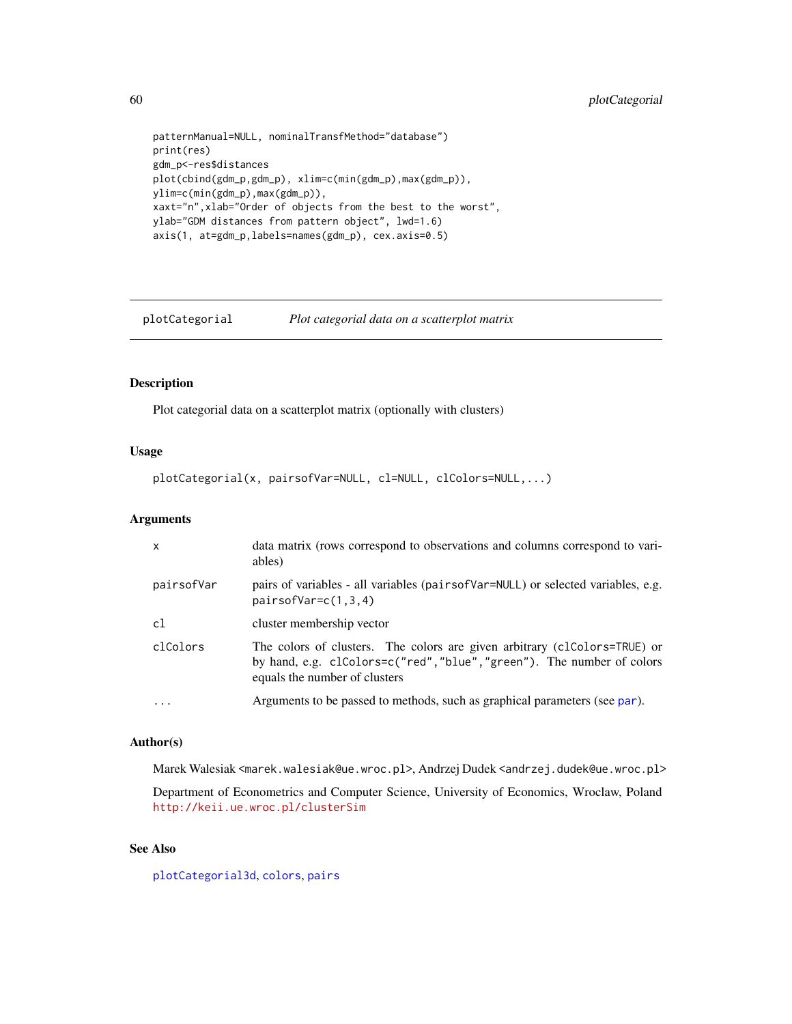```
patternManual=NULL, nominalTransfMethod="database")
print(res)
gdm_p<-res$distances
plot(cbind(gdm_p,gdm_p), xlim=c(min(gdm_p),max(gdm_p)),
ylim=c(min(gdm_p),max(gdm_p)),
xaxt="n",xlab="Order of objects from the best to the worst",
ylab="GDM distances from pattern object", lwd=1.6)
axis(1, at=gdm_p,labels=names(gdm_p), cex.axis=0.5)
```
<span id="page-59-0"></span>plotCategorial *Plot categorial data on a scatterplot matrix*

## Description

Plot categorial data on a scatterplot matrix (optionally with clusters)

## Usage

```
plotCategorial(x, pairsofVar=NULL, cl=NULL, clColors=NULL,...)
```
## Arguments

| $\mathsf{x}$ | data matrix (rows correspond to observations and columns correspond to vari-<br>ables)                                                                                               |
|--------------|--------------------------------------------------------------------------------------------------------------------------------------------------------------------------------------|
| pairsofVar   | pairs of variables - all variables (pairs of Var=NULL) or selected variables, e.g.<br>$pairsofVar=c(1,3,4)$                                                                          |
| c1           | cluster membership vector                                                                                                                                                            |
| clColors     | The colors of clusters. The colors are given arbitrary (clColors=TRUE) or<br>by hand, e.g. clColors=c("red", "blue", "green"). The number of colors<br>equals the number of clusters |
| $\ddotsc$    | Arguments to be passed to methods, such as graphical parameters (see par).                                                                                                           |

## Author(s)

Marek Walesiak <marek.walesiak@ue.wroc.pl>, Andrzej Dudek <andrzej.dudek@ue.wroc.pl>

Department of Econometrics and Computer Science, University of Economics, Wroclaw, Poland <http://keii.ue.wroc.pl/clusterSim>

## See Also

[plotCategorial3d](#page-60-0), [colors](#page-0-0), [pairs](#page-0-0)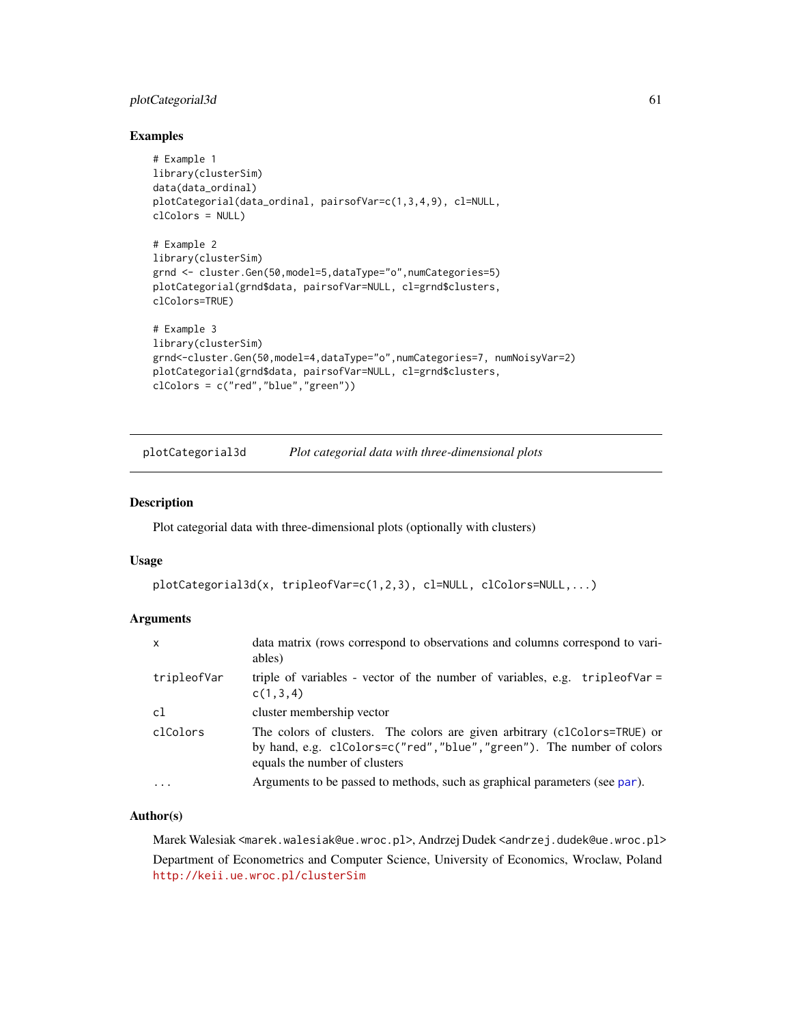# plotCategorial3d 61

## Examples

```
# Example 1
library(clusterSim)
data(data_ordinal)
plotCategorial(data_ordinal, pairsofVar=c(1,3,4,9), cl=NULL,
clColors = NULL)
# Example 2
library(clusterSim)
grnd <- cluster.Gen(50,model=5,dataType="o",numCategories=5)
plotCategorial(grnd$data, pairsofVar=NULL, cl=grnd$clusters,
clColors=TRUE)
# Example 3
library(clusterSim)
grnd<-cluster.Gen(50,model=4,dataType="o",numCategories=7, numNoisyVar=2)
plotCategorial(grnd$data, pairsofVar=NULL, cl=grnd$clusters,
clColors = c("red","blue","green"))
```
<span id="page-60-0"></span>plotCategorial3d *Plot categorial data with three-dimensional plots*

#### Description

Plot categorial data with three-dimensional plots (optionally with clusters)

## Usage

```
plotCategorial3d(x, tripleofVar=c(1,2,3), cl=NULL, clColors=NULL,...)
```
# Arguments

| $\mathsf{x}$ | data matrix (rows correspond to observations and columns correspond to vari-<br>ables)                                                                                               |
|--------------|--------------------------------------------------------------------------------------------------------------------------------------------------------------------------------------|
| tripleofVar  | triple of variables - vector of the number of variables, e.g. $tripleo fVar =$<br>c(1,3,4)                                                                                           |
| c1           | cluster membership vector                                                                                                                                                            |
| clColors     | The colors of clusters. The colors are given arbitrary (clColors=TRUE) or<br>by hand, e.g. clColors=c("red", "blue", "green"). The number of colors<br>equals the number of clusters |
| .            | Arguments to be passed to methods, such as graphical parameters (see par).                                                                                                           |

## Author(s)

Marek Walesiak <marek.walesiak@ue.wroc.pl>, Andrzej Dudek <andrzej.dudek@ue.wroc.pl> Department of Econometrics and Computer Science, University of Economics, Wroclaw, Poland <http://keii.ue.wroc.pl/clusterSim>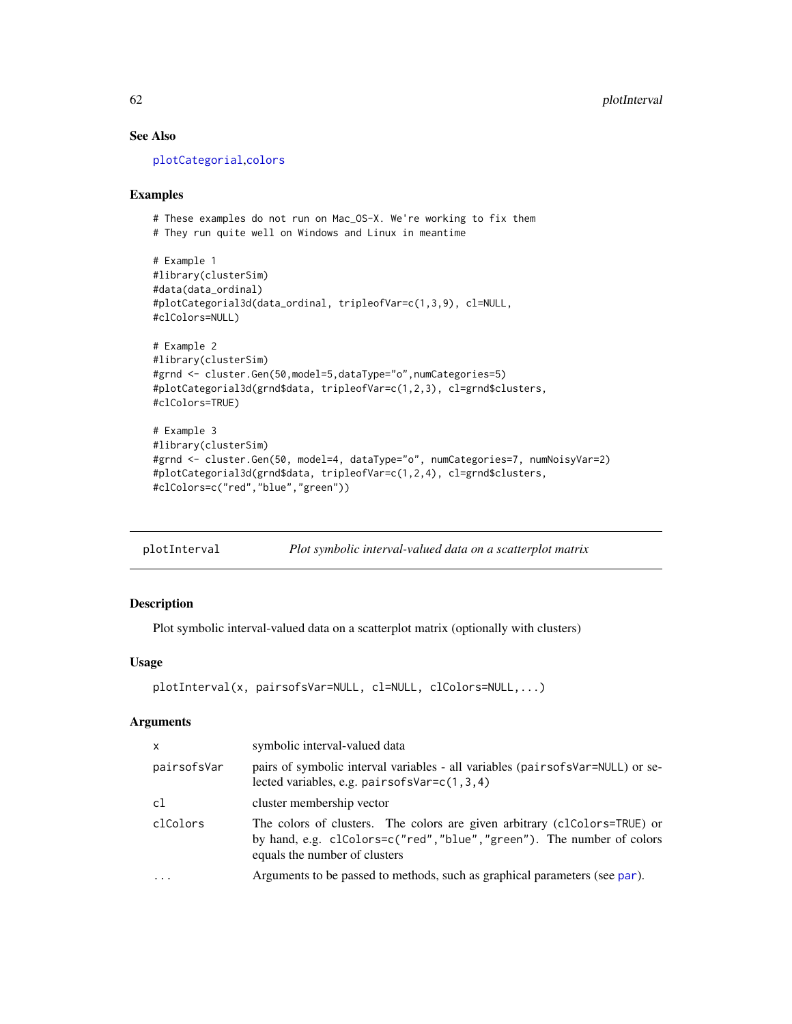# See Also

[plotCategorial](#page-59-0),[colors](#page-0-0)

## Examples

```
# These examples do not run on Mac_OS-X. We're working to fix them
# They run quite well on Windows and Linux in meantime
# Example 1
#library(clusterSim)
#data(data_ordinal)
#plotCategorial3d(data_ordinal, tripleofVar=c(1,3,9), cl=NULL,
#clColors=NULL)
# Example 2
#library(clusterSim)
#grnd <- cluster.Gen(50,model=5,dataType="o",numCategories=5)
#plotCategorial3d(grnd$data, tripleofVar=c(1,2,3), cl=grnd$clusters,
#clColors=TRUE)
# Example 3
#library(clusterSim)
#grnd <- cluster.Gen(50, model=4, dataType="o", numCategories=7, numNoisyVar=2)
#plotCategorial3d(grnd$data, tripleofVar=c(1,2,4), cl=grnd$clusters,
#clColors=c("red","blue","green"))
```
plotInterval *Plot symbolic interval-valued data on a scatterplot matrix*

# Description

Plot symbolic interval-valued data on a scatterplot matrix (optionally with clusters)

# Usage

```
plotInterval(x, pairsofsVar=NULL, cl=NULL, clColors=NULL,...)
```

| $\mathsf{x}$ | symbolic interval-valued data                                                                                                                                                        |
|--------------|--------------------------------------------------------------------------------------------------------------------------------------------------------------------------------------|
| pairsofsVar  | pairs of symbolic interval variables - all variables (pairsofsVar=NULL) or se-<br>lected variables, e.g. pairsofs $Var=c(1,3,4)$                                                     |
| c1           | cluster membership vector                                                                                                                                                            |
| clColors     | The colors of clusters. The colors are given arbitrary (clColors=TRUE) or<br>by hand, e.g. clColors=c("red", "blue", "green"). The number of colors<br>equals the number of clusters |
| $\ddots$     | Arguments to be passed to methods, such as graphical parameters (see par).                                                                                                           |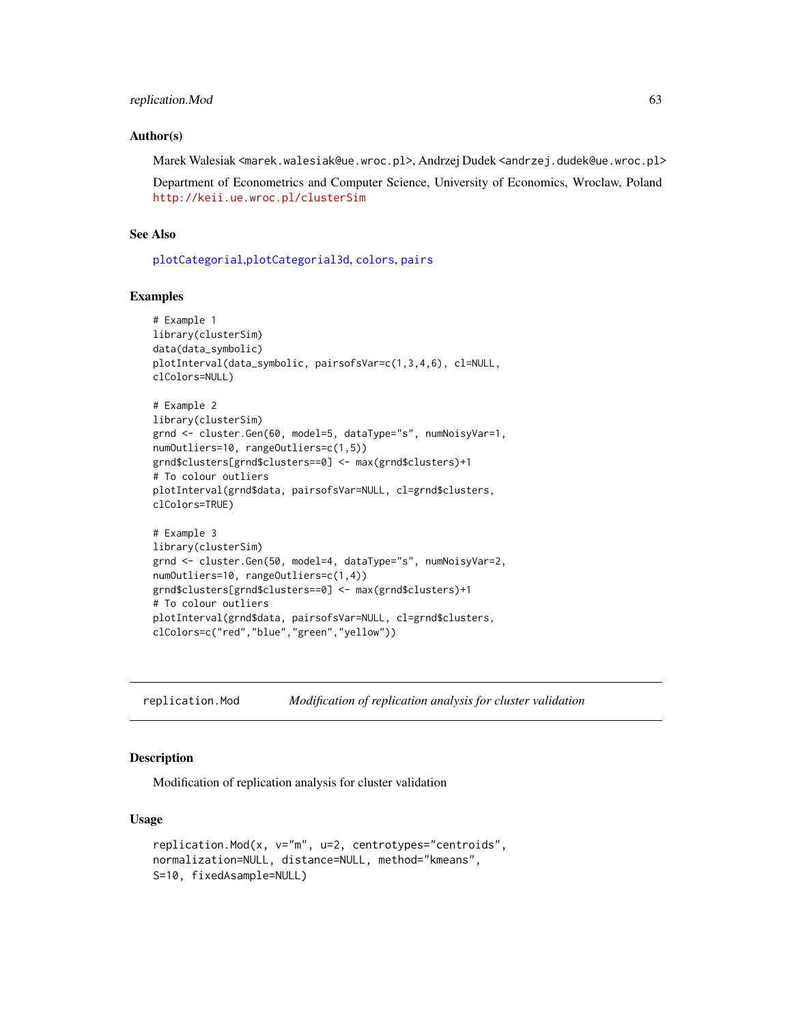#### Author(s)

Marek Walesiak <marek.walesiak@ue.wroc.pl>, Andrzej Dudek <andrzej.dudek@ue.wroc.pl>

Department of Econometrics and Computer Science, University of Economics, Wroclaw, Poland <http://keii.ue.wroc.pl/clusterSim>

# See Also

[plotCategorial](#page-59-0),[plotCategorial3d](#page-60-0), [colors](#page-0-0), [pairs](#page-0-0)

#### Examples

```
# Example 1
library(clusterSim)
data(data_symbolic)
plotInterval(data_symbolic, pairsofsVar=c(1,3,4,6), cl=NULL,
clColors=NULL)
# Example 2
library(clusterSim)
grnd <- cluster.Gen(60, model=5, dataType="s", numNoisyVar=1,
numOutliers=10, rangeOutliers=c(1,5))
grnd$clusters[grnd$clusters==0] <- max(grnd$clusters)+1
# To colour outliers
plotInterval(grnd$data, pairsofsVar=NULL, cl=grnd$clusters,
clColors=TRUE)
# Example 3
library(clusterSim)
grnd <- cluster.Gen(50, model=4, dataType="s", numNoisyVar=2,
numOutliers=10, rangeOutliers=c(1,4))
grnd$clusters[grnd$clusters==0] <- max(grnd$clusters)+1
# To colour outliers
plotInterval(grnd$data, pairsofsVar=NULL, cl=grnd$clusters,
clColors=c("red","blue","green","yellow"))
```
replication.Mod *Modification of replication analysis for cluster validation*

## **Description**

Modification of replication analysis for cluster validation

#### Usage

```
replication.Mod(x, v="m", u=2, centrotypes="centroids",
normalization=NULL, distance=NULL, method="kmeans",
S=10, fixedAsample=NULL)
```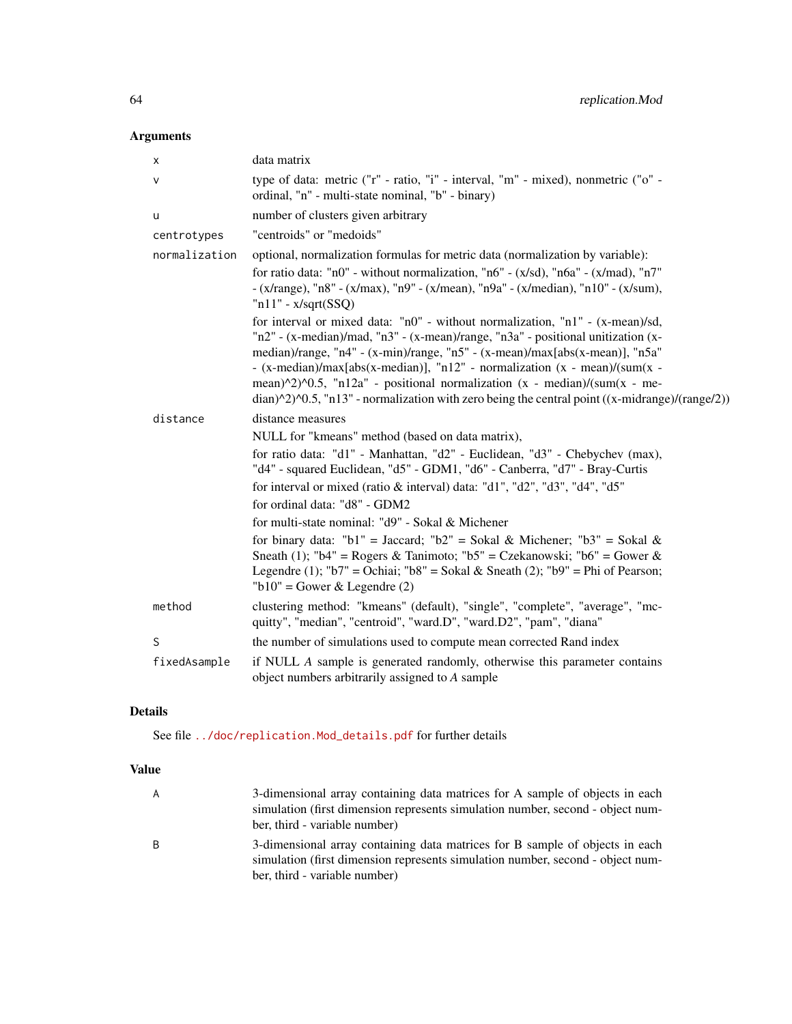# Arguments

| х             | data matrix                                                                                                                                                                                                                                                                                                                                                                                                                                                                                                                                                      |
|---------------|------------------------------------------------------------------------------------------------------------------------------------------------------------------------------------------------------------------------------------------------------------------------------------------------------------------------------------------------------------------------------------------------------------------------------------------------------------------------------------------------------------------------------------------------------------------|
| v             | type of data: metric ("r" - ratio, "i" - interval, "m" - mixed), nonmetric ("o" -<br>ordinal, "n" - multi-state nominal, "b" - binary)                                                                                                                                                                                                                                                                                                                                                                                                                           |
| u             | number of clusters given arbitrary                                                                                                                                                                                                                                                                                                                                                                                                                                                                                                                               |
| centrotypes   | "centroids" or "medoids"                                                                                                                                                                                                                                                                                                                                                                                                                                                                                                                                         |
| normalization | optional, normalization formulas for metric data (normalization by variable):<br>for ratio data: "n0" - without normalization, "n6" - $(x/sd)$ , "n6a" - $(x/mad)$ , "n7"<br>- (x/range), "n8" - (x/max), "n9" - (x/mean), "n9a" - (x/median), "n10" - (x/sum),<br>$"n11" - x/sqrt(SSQ)$                                                                                                                                                                                                                                                                         |
|               | for interval or mixed data: "n0" - without normalization, "n1" - (x-mean)/sd,<br>"n2" - (x-median)/mad, "n3" - (x-mean)/range, "n3a" - positional unitization (x-<br>median)/range, "n4" - (x-min)/range, "n5" - (x-mean)/max[abs(x-mean)], "n5a"<br>- (x-median)/max[abs(x-median)], "n12" - normalization (x - mean)/(sum(x -<br>mean) $\frac{1}{2}$ $\frac{0.5}{0.5}$ , "n12a" - positional normalization (x - median)/(sum(x - me-<br>$\frac{\text{diam}}{2}$ (range/2)). The 13" - normalization with zero being the central point ((x-midrange)/(range/2)) |
| distance      | distance measures                                                                                                                                                                                                                                                                                                                                                                                                                                                                                                                                                |
|               | NULL for "kmeans" method (based on data matrix),                                                                                                                                                                                                                                                                                                                                                                                                                                                                                                                 |
|               | for ratio data: "d1" - Manhattan, "d2" - Euclidean, "d3" - Chebychev (max),<br>"d4" - squared Euclidean, "d5" - GDM1, "d6" - Canberra, "d7" - Bray-Curtis                                                                                                                                                                                                                                                                                                                                                                                                        |
|               | for interval or mixed (ratio & interval) data: "d1", "d2", "d3", "d4", "d5"                                                                                                                                                                                                                                                                                                                                                                                                                                                                                      |
|               | for ordinal data: "d8" - GDM2                                                                                                                                                                                                                                                                                                                                                                                                                                                                                                                                    |
|               | for multi-state nominal: "d9" - Sokal & Michener                                                                                                                                                                                                                                                                                                                                                                                                                                                                                                                 |
|               | for binary data: "b1" = Jaccard; "b2" = Sokal & Michener; "b3" = Sokal &<br>Sneath (1); "b4" = Rogers & Tanimoto; "b5" = Czekanowski; "b6" = Gower &<br>Legendre (1); "b7" = Ochiai; "b8" = Sokal & Sneath (2); "b9" = Phi of Pearson;<br>" $b10$ " = Gower & Legendre (2)                                                                                                                                                                                                                                                                                       |
| method        | clustering method: "kmeans" (default), "single", "complete", "average", "mc-<br>quitty", "median", "centroid", "ward.D", "ward.D2", "pam", "diana"                                                                                                                                                                                                                                                                                                                                                                                                               |
| S             | the number of simulations used to compute mean corrected Rand index                                                                                                                                                                                                                                                                                                                                                                                                                                                                                              |
| fixedAsample  | if NULL A sample is generated randomly, otherwise this parameter contains<br>object numbers arbitrarily assigned to A sample                                                                                                                                                                                                                                                                                                                                                                                                                                     |

# Details

See file [../doc/replication.Mod\\_details.pdf](../doc/replication.Mod_details.pdf) for further details

# Value

| A | 3-dimensional array containing data matrices for A sample of objects in each<br>simulation (first dimension represents simulation number, second - object num-<br>ber, third - variable number) |
|---|-------------------------------------------------------------------------------------------------------------------------------------------------------------------------------------------------|
| B | 3-dimensional array containing data matrices for B sample of objects in each<br>simulation (first dimension represents simulation number, second - object num-<br>ber, third - variable number) |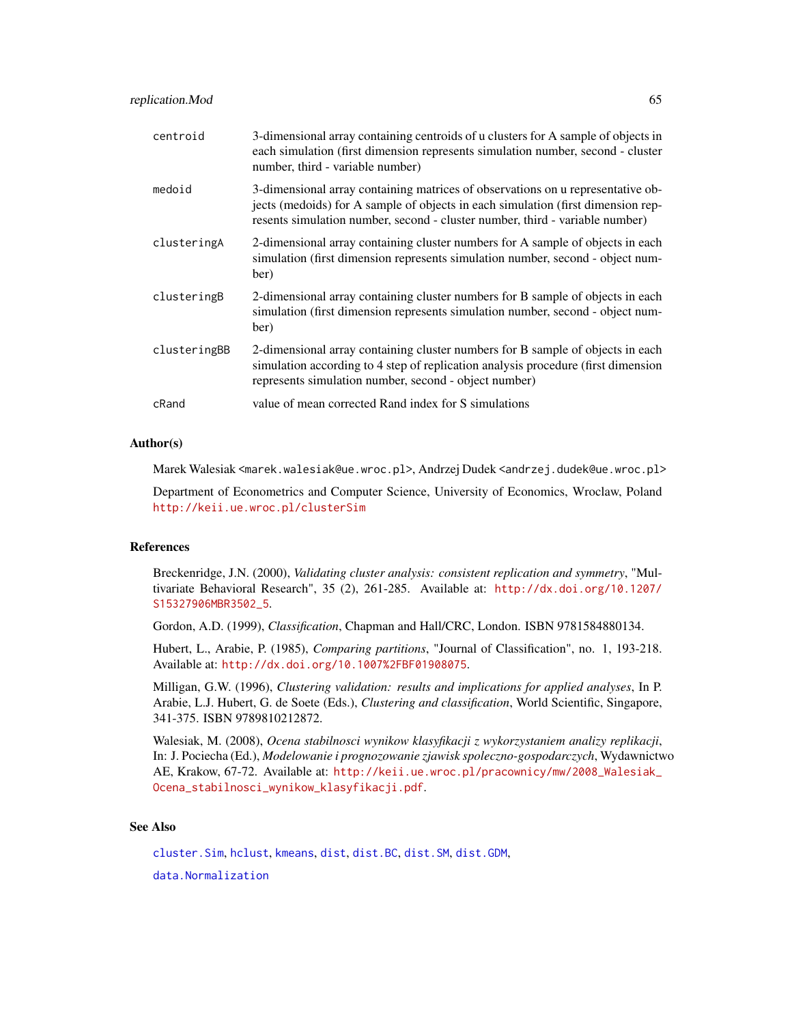| centroid     | 3-dimensional array containing centroids of u clusters for A sample of objects in<br>each simulation (first dimension represents simulation number, second - cluster<br>number, third - variable number)                                            |
|--------------|-----------------------------------------------------------------------------------------------------------------------------------------------------------------------------------------------------------------------------------------------------|
| medoid       | 3-dimensional array containing matrices of observations on u representative ob-<br>jects (medoids) for A sample of objects in each simulation (first dimension rep-<br>resents simulation number, second - cluster number, third - variable number) |
| clusteringA  | 2-dimensional array containing cluster numbers for A sample of objects in each<br>simulation (first dimension represents simulation number, second - object num-<br>ber)                                                                            |
| clusteringB  | 2-dimensional array containing cluster numbers for B sample of objects in each<br>simulation (first dimension represents simulation number, second - object num-<br>ber)                                                                            |
| clusteringBB | 2-dimensional array containing cluster numbers for B sample of objects in each<br>simulation according to 4 step of replication analysis procedure (first dimension<br>represents simulation number, second - object number)                        |
| cRand        | value of mean corrected Rand index for S simulations                                                                                                                                                                                                |

#### Author(s)

Marek Walesiak <marek.walesiak@ue.wroc.pl>, Andrzej Dudek <andrzej.dudek@ue.wroc.pl>

Department of Econometrics and Computer Science, University of Economics, Wroclaw, Poland <http://keii.ue.wroc.pl/clusterSim>

# References

Breckenridge, J.N. (2000), *Validating cluster analysis: consistent replication and symmetry*, "Multivariate Behavioral Research", 35 (2), 261-285. Available at: [http://dx.doi.org/10.1207/](http://dx.doi.org/10.1207/S15327906MBR3502_5) [S15327906MBR3502\\_5](http://dx.doi.org/10.1207/S15327906MBR3502_5).

Gordon, A.D. (1999), *Classification*, Chapman and Hall/CRC, London. ISBN 9781584880134.

Hubert, L., Arabie, P. (1985), *Comparing partitions*, "Journal of Classification", no. 1, 193-218. Available at: <http://dx.doi.org/10.1007%2FBF01908075>.

Milligan, G.W. (1996), *Clustering validation: results and implications for applied analyses*, In P. Arabie, L.J. Hubert, G. de Soete (Eds.), *Clustering and classification*, World Scientific, Singapore, 341-375. ISBN 9789810212872.

Walesiak, M. (2008), *Ocena stabilnosci wynikow klasyfikacji z wykorzystaniem analizy replikacji*, In: J. Pociecha (Ed.), *Modelowanie i prognozowanie zjawisk spoleczno-gospodarczych*, Wydawnictwo AE, Krakow, 67-72. Available at: [http://keii.ue.wroc.pl/pracownicy/mw/2008\\_Walesiak\\_](http://keii.ue.wroc.pl/pracownicy/mw/2008_Walesiak_Ocena_stabilnosci_wynikow_klasyfikacji.pdf) [Ocena\\_stabilnosci\\_wynikow\\_klasyfikacji.pdf](http://keii.ue.wroc.pl/pracownicy/mw/2008_Walesiak_Ocena_stabilnosci_wynikow_klasyfikacji.pdf).

# See Also

[cluster.Sim](#page-7-0), [hclust](#page-0-0), [kmeans](#page-0-0), [dist](#page-0-0), [dist.BC](#page-20-0), [dist.SM](#page-23-0), [dist.GDM](#page-21-0), [data.Normalization](#page-11-0)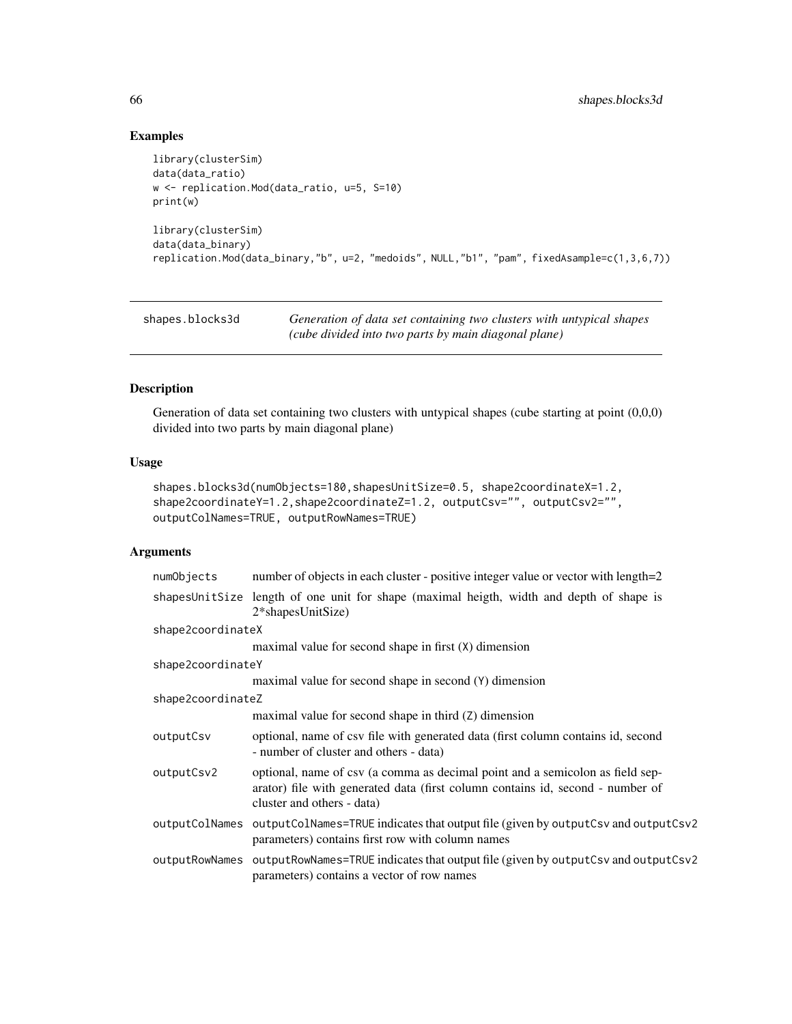# Examples

```
library(clusterSim)
data(data_ratio)
w <- replication.Mod(data_ratio, u=5, S=10)
print(w)
library(clusterSim)
data(data_binary)
replication.Mod(data_binary,"b", u=2, "medoids", NULL,"b1", "pam", fixedAsample=c(1,3,6,7))
```
<span id="page-65-0"></span>shapes.blocks3d *Generation of data set containing two clusters with untypical shapes (cube divided into two parts by main diagonal plane)*

## Description

Generation of data set containing two clusters with untypical shapes (cube starting at point (0,0,0) divided into two parts by main diagonal plane)

# Usage

```
shapes.blocks3d(numObjects=180,shapesUnitSize=0.5, shape2coordinateX=1.2,
shape2coordinateY=1.2,shape2coordinateZ=1.2, outputCsv="", outputCsv2="",
outputColNames=TRUE, outputRowNames=TRUE)
```

| numObjects        | number of objects in each cluster - positive integer value or vector with length=2                                                                                                            |
|-------------------|-----------------------------------------------------------------------------------------------------------------------------------------------------------------------------------------------|
|                   | shapesUnitSize length of one unit for shape (maximal heigth, width and depth of shape is<br>$2*$ shapesUnitSize)                                                                              |
| shape2coordinateX |                                                                                                                                                                                               |
|                   | maximal value for second shape in first (X) dimension                                                                                                                                         |
| shape2coordinateY |                                                                                                                                                                                               |
|                   | maximal value for second shape in second (Y) dimension                                                                                                                                        |
| shape2coordinateZ |                                                                                                                                                                                               |
|                   | maximal value for second shape in third (Z) dimension                                                                                                                                         |
| outputCsv         | optional, name of csv file with generated data (first column contains id, second<br>- number of cluster and others - data)                                                                    |
| outputCsv2        | optional, name of csv (a comma as decimal point and a semicolon as field sep-<br>arator) file with generated data (first column contains id, second - number of<br>cluster and others - data) |
| outputColNames    | outputColNames=TRUE indicates that output file (given by outputCsv and outputCsv2<br>parameters) contains first row with column names                                                         |
| outputRowNames    | outputRowNames=TRUE indicates that output file (given by outputCsv and outputCsv2<br>parameters) contains a vector of row names                                                               |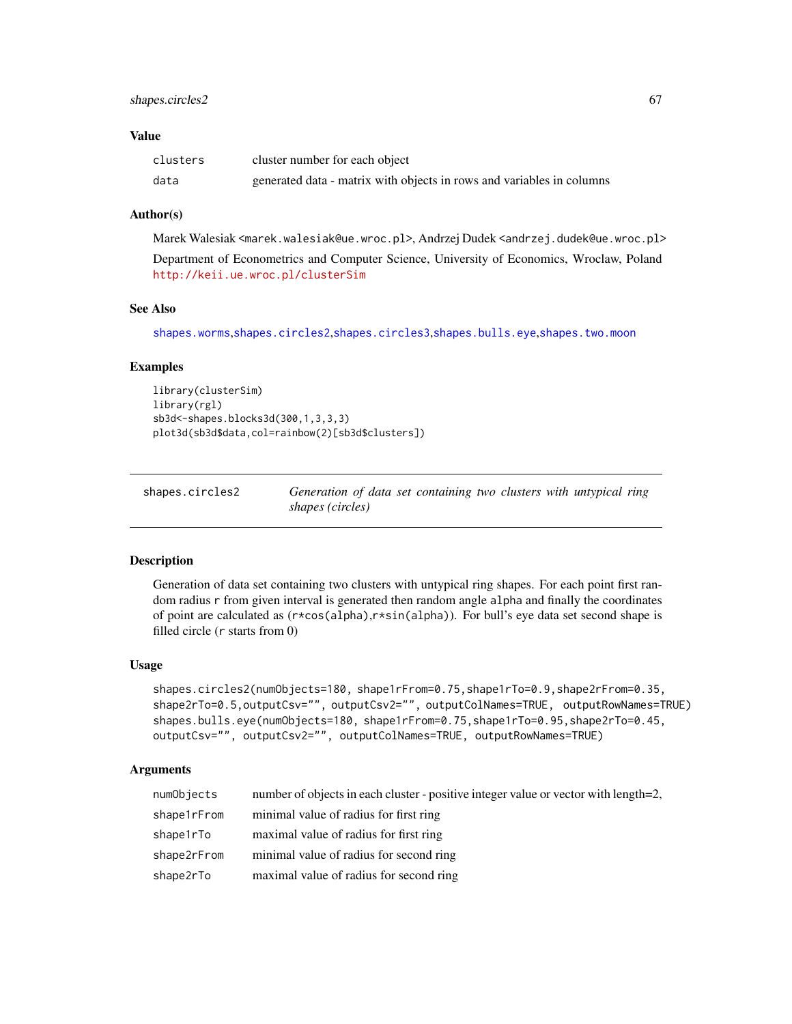## shapes.circles2 67

## Value

| clusters | cluster number for each object                                        |
|----------|-----------------------------------------------------------------------|
| data     | generated data - matrix with objects in rows and variables in columns |

## Author(s)

Marek Walesiak <marek.walesiak@ue.wroc.pl>, Andrzej Dudek <andrzej.dudek@ue.wroc.pl> Department of Econometrics and Computer Science, University of Economics, Wroclaw, Poland <http://keii.ue.wroc.pl/clusterSim>

# See Also

[shapes.worms](#page-70-0),[shapes.circles2](#page-66-0),[shapes.circles3](#page-67-0),[shapes.bulls.eye](#page-66-1),[shapes.two.moon](#page-69-0)

#### Examples

```
library(clusterSim)
library(rgl)
sb3d<-shapes.blocks3d(300,1,3,3,3)
plot3d(sb3d$data,col=rainbow(2)[sb3d$clusters])
```
<span id="page-66-0"></span>

| shapes.circles2 | Generation of data set containing two clusters with untypical ring |  |
|-----------------|--------------------------------------------------------------------|--|
|                 | shapes (circles)                                                   |  |

#### <span id="page-66-1"></span>Description

Generation of data set containing two clusters with untypical ring shapes. For each point first random radius r from given interval is generated then random angle alpha and finally the coordinates of point are calculated as (r\*cos(alpha),r\*sin(alpha)). For bull's eye data set second shape is filled circle (r starts from 0)

#### Usage

```
shapes.circles2(numObjects=180, shape1rFrom=0.75,shape1rTo=0.9,shape2rFrom=0.35,
shape2rTo=0.5,outputCsv="", outputCsv2="", outputColNames=TRUE, outputRowNames=TRUE)
shapes.bulls.eye(numObjects=180, shape1rFrom=0.75,shape1rTo=0.95,shape2rTo=0.45,
outputCsv="", outputCsv2="", outputColNames=TRUE, outputRowNames=TRUE)
```

| numObjects  | number of objects in each cluster - positive integer value or vector with length=2, |
|-------------|-------------------------------------------------------------------------------------|
| shape1rFrom | minimal value of radius for first ring                                              |
| shape1rTo   | maximal value of radius for first ring                                              |
| shape2rFrom | minimal value of radius for second ring                                             |
| shape2rTo   | maximal value of radius for second ring                                             |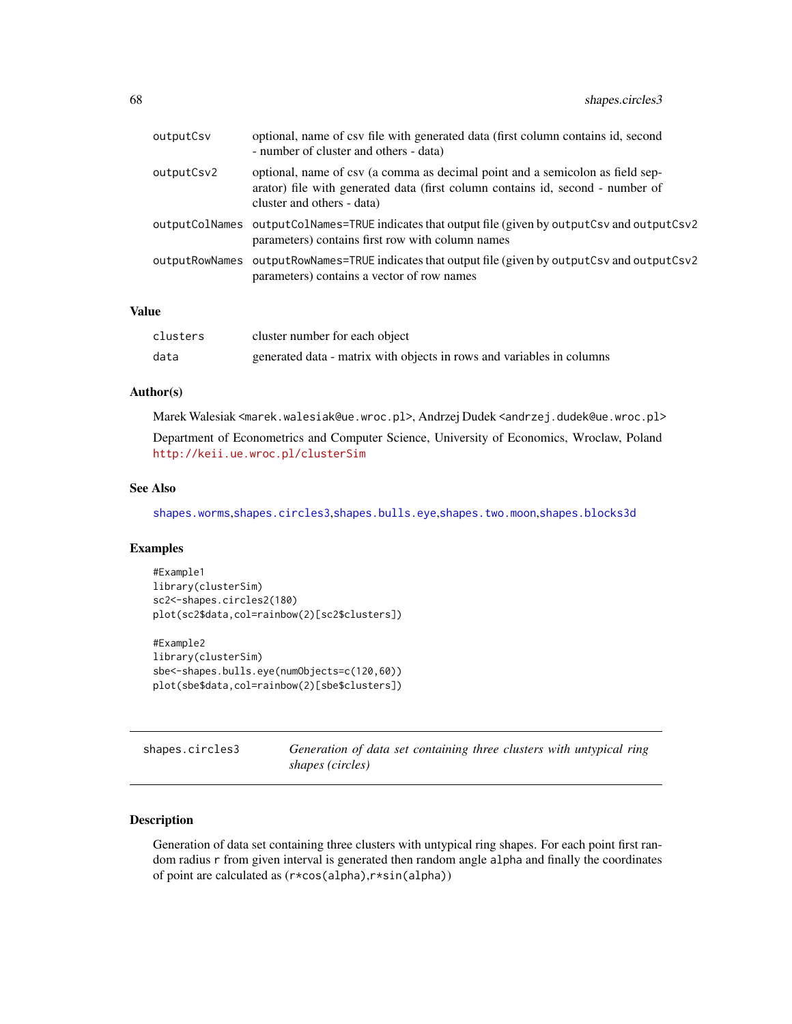| outputCsv  | optional, name of csv file with generated data (first column contains id, second<br>- number of cluster and others - data)                                                                    |
|------------|-----------------------------------------------------------------------------------------------------------------------------------------------------------------------------------------------|
| outputCsv2 | optional, name of csv (a comma as decimal point and a semicolon as field sep-<br>arator) file with generated data (first column contains id, second - number of<br>cluster and others - data) |
|            | outputColNames outputColNames=TRUE indicates that output file (given by outputCsv and outputCsv2<br>parameters) contains first row with column names                                          |
|            | outputRowNames outputRowNames=TRUE indicates that output file (given by outputCsv and outputCsv2<br>parameters) contains a vector of row names                                                |
|            |                                                                                                                                                                                               |

#### Value

| clusters | cluster number for each object                                        |
|----------|-----------------------------------------------------------------------|
| data     | generated data - matrix with objects in rows and variables in columns |

## Author(s)

Marek Walesiak <marek.walesiak@ue.wroc.pl>, Andrzej Dudek <andrzej.dudek@ue.wroc.pl>

Department of Econometrics and Computer Science, University of Economics, Wroclaw, Poland <http://keii.ue.wroc.pl/clusterSim>

## See Also

[shapes.worms](#page-70-0),[shapes.circles3](#page-67-0),[shapes.bulls.eye](#page-66-1),[shapes.two.moon](#page-69-0),[shapes.blocks3d](#page-65-0)

## Examples

```
#Example1
library(clusterSim)
sc2<-shapes.circles2(180)
plot(sc2$data,col=rainbow(2)[sc2$clusters])
#Example2
```

```
library(clusterSim)
sbe<-shapes.bulls.eye(numObjects=c(120,60))
plot(sbe$data,col=rainbow(2)[sbe$clusters])
```
<span id="page-67-0"></span>shapes.circles3 *Generation of data set containing three clusters with untypical ring shapes (circles)*

## Description

Generation of data set containing three clusters with untypical ring shapes. For each point first random radius r from given interval is generated then random angle alpha and finally the coordinates of point are calculated as (r\*cos(alpha),r\*sin(alpha))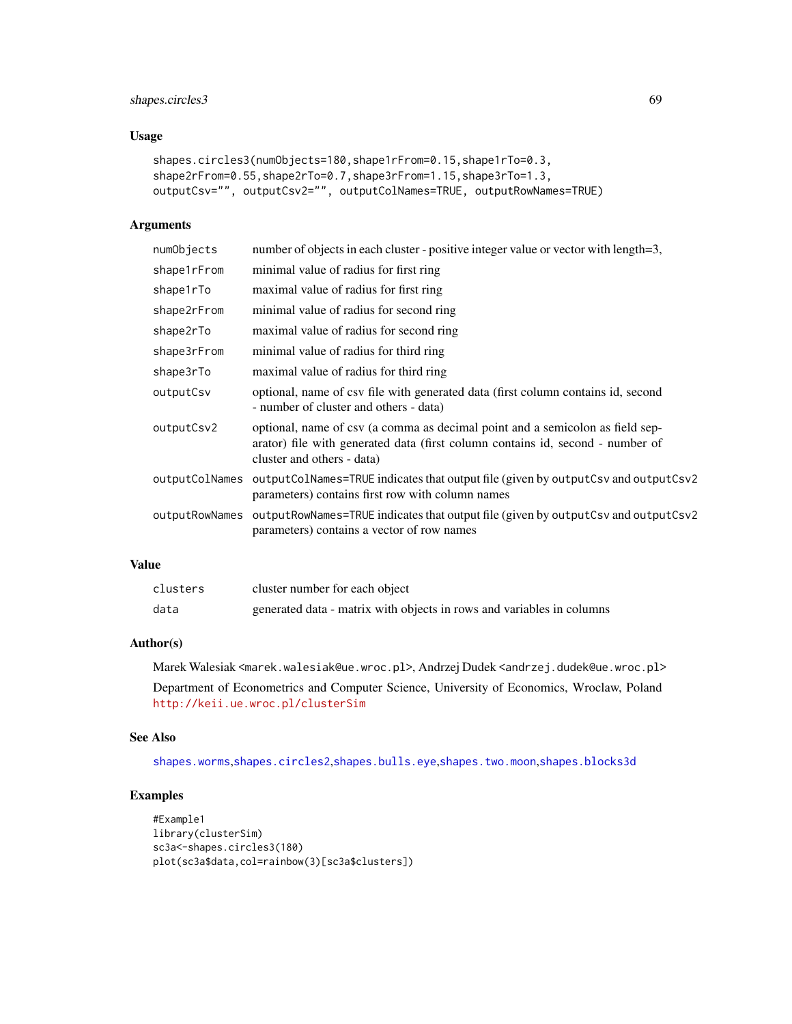# shapes.circles3 69

# Usage

```
shapes.circles3(numObjects=180,shape1rFrom=0.15,shape1rTo=0.3,
shape2rFrom=0.55,shape2rTo=0.7,shape3rFrom=1.15,shape3rTo=1.3,
outputCsv="", outputCsv2="", outputColNames=TRUE, outputRowNames=TRUE)
```
## Arguments

| numObjects     | number of objects in each cluster - positive integer value or vector with length=3,                                                                                                           |
|----------------|-----------------------------------------------------------------------------------------------------------------------------------------------------------------------------------------------|
| shape1rFrom    | minimal value of radius for first ring                                                                                                                                                        |
| shape1rTo      | maximal value of radius for first ring                                                                                                                                                        |
| shape2rFrom    | minimal value of radius for second ring                                                                                                                                                       |
| shape2rTo      | maximal value of radius for second ring                                                                                                                                                       |
| shape3rFrom    | minimal value of radius for third ring                                                                                                                                                        |
| shape3rTo      | maximal value of radius for third ring                                                                                                                                                        |
| outputCsv      | optional, name of csv file with generated data (first column contains id, second<br>- number of cluster and others - data)                                                                    |
| outputCsv2     | optional, name of csv (a comma as decimal point and a semicolon as field sep-<br>arator) file with generated data (first column contains id, second - number of<br>cluster and others - data) |
| outputColNames | outputColNames=TRUE indicates that output file (given by outputCsv and outputCsv2<br>parameters) contains first row with column names                                                         |
| outputRowNames | outputRowNames=TRUE indicates that output file (given by outputCsv and outputCsv2<br>parameters) contains a vector of row names                                                               |
|                |                                                                                                                                                                                               |

# Value

| clusters | cluster number for each object                                        |
|----------|-----------------------------------------------------------------------|
| data     | generated data - matrix with objects in rows and variables in columns |

# Author(s)

Marek Walesiak <marek.walesiak@ue.wroc.pl>, Andrzej Dudek <andrzej.dudek@ue.wroc.pl> Department of Econometrics and Computer Science, University of Economics, Wroclaw, Poland <http://keii.ue.wroc.pl/clusterSim>

#### See Also

[shapes.worms](#page-70-0),[shapes.circles2](#page-66-0),[shapes.bulls.eye](#page-66-1),[shapes.two.moon](#page-69-0),[shapes.blocks3d](#page-65-0)

```
#Example1
library(clusterSim)
sc3a<-shapes.circles3(180)
plot(sc3a$data,col=rainbow(3)[sc3a$clusters])
```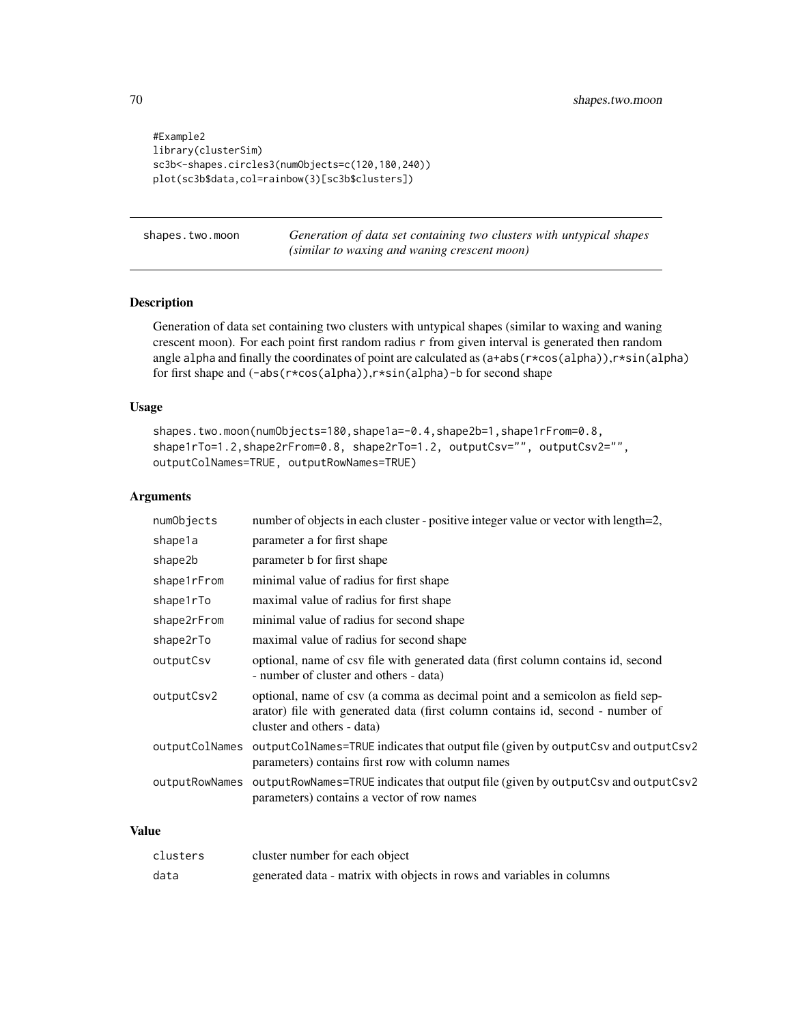```
#Example2
library(clusterSim)
sc3b<-shapes.circles3(numObjects=c(120,180,240))
plot(sc3b$data,col=rainbow(3)[sc3b$clusters])
```
<span id="page-69-0"></span>shapes.two.moon *Generation of data set containing two clusters with untypical shapes (similar to waxing and waning crescent moon)*

# Description

Generation of data set containing two clusters with untypical shapes (similar to waxing and waning crescent moon). For each point first random radius r from given interval is generated then random angle alpha and finally the coordinates of point are calculated as (a+abs(r\*cos(alpha)),r\*sin(alpha) for first shape and (-abs(r\*cos(alpha)),r\*sin(alpha)-b for second shape

# Usage

```
shapes.two.moon(numObjects=180,shape1a=-0.4,shape2b=1,shape1rFrom=0.8,
shape1rTo=1.2,shape2rFrom=0.8, shape2rTo=1.2, outputCsv="", outputCsv2="",
outputColNames=TRUE, outputRowNames=TRUE)
```
# Arguments

| numObjects     | number of objects in each cluster - positive integer value or vector with length=2,                                                                                                           |
|----------------|-----------------------------------------------------------------------------------------------------------------------------------------------------------------------------------------------|
| shape1a        | parameter a for first shape                                                                                                                                                                   |
| shape2b        | parameter b for first shape                                                                                                                                                                   |
| shape1rFrom    | minimal value of radius for first shape                                                                                                                                                       |
| shape1rTo      | maximal value of radius for first shape                                                                                                                                                       |
| shape2rFrom    | minimal value of radius for second shape                                                                                                                                                      |
| shape2rTo      | maximal value of radius for second shape                                                                                                                                                      |
| outputCsv      | optional, name of csv file with generated data (first column contains id, second<br>- number of cluster and others - data)                                                                    |
| outputCsv2     | optional, name of csv (a comma as decimal point and a semicolon as field sep-<br>arator) file with generated data (first column contains id, second - number of<br>cluster and others - data) |
| outputColNames | outputColNames=TRUE indicates that output file (given by outputCsv and outputCsv2<br>parameters) contains first row with column names                                                         |
| outputRowNames | outputRowNames=TRUE indicates that output file (given by outputCsv and outputCsv2<br>parameters) contains a vector of row names                                                               |
|                |                                                                                                                                                                                               |

# Value

| clusters | cluster number for each object                                        |
|----------|-----------------------------------------------------------------------|
| data     | generated data - matrix with objects in rows and variables in columns |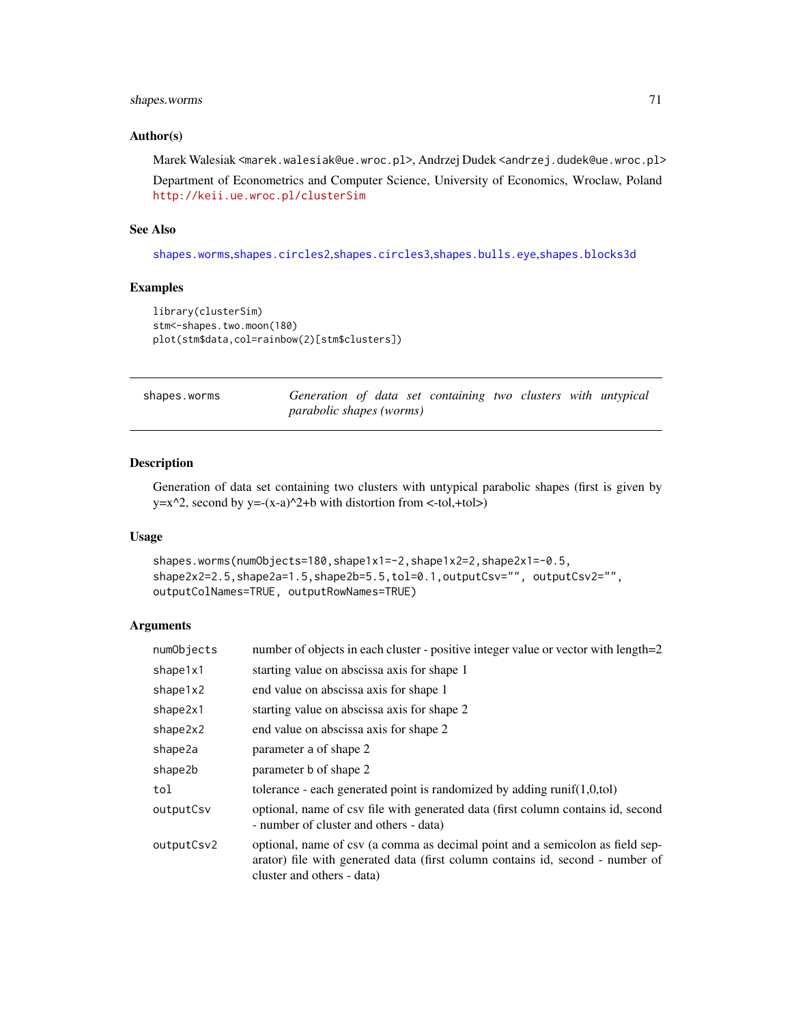# shapes.worms 71

#### Author(s)

Marek Walesiak <marek.walesiak@ue.wroc.pl>, Andrzej Dudek <andrzej.dudek@ue.wroc.pl> Department of Econometrics and Computer Science, University of Economics, Wroclaw, Poland <http://keii.ue.wroc.pl/clusterSim>

## See Also

[shapes.worms](#page-70-0),[shapes.circles2](#page-66-0),[shapes.circles3](#page-67-0),[shapes.bulls.eye](#page-66-1),[shapes.blocks3d](#page-65-0)

# Examples

```
library(clusterSim)
stm<-shapes.two.moon(180)
plot(stm$data,col=rainbow(2)[stm$clusters])
```
<span id="page-70-0"></span>

| shapes.worms | Generation of data set containing two clusters with untypical |  |  |  |  |
|--------------|---------------------------------------------------------------|--|--|--|--|
|              | parabolic shapes (worms)                                      |  |  |  |  |

#### Description

Generation of data set containing two clusters with untypical parabolic shapes (first is given by y= $x^2$ , second by y=- $(x-a)^2+b$  with distortion from <-tol,+tol>)

#### Usage

```
shapes.worms(numObjects=180,shape1x1=-2,shape1x2=2,shape2x1=-0.5,
shape2x2=2.5,shape2a=1.5,shape2b=5.5,tol=0.1,outputCsv="", outputCsv2="",
outputColNames=TRUE, outputRowNames=TRUE)
```

| numObjects | number of objects in each cluster - positive integer value or vector with length=2                                                                                                            |
|------------|-----------------------------------------------------------------------------------------------------------------------------------------------------------------------------------------------|
| shape1x1   | starting value on abscissa axis for shape 1                                                                                                                                                   |
| shape1x2   | end value on abscissa axis for shape 1                                                                                                                                                        |
| shape2x1   | starting value on abscissa axis for shape 2                                                                                                                                                   |
| shape2x2   | end value on abscissa axis for shape 2                                                                                                                                                        |
| shape2a    | parameter a of shape 2                                                                                                                                                                        |
| shape2b    | parameter b of shape 2                                                                                                                                                                        |
| tol        | tolerance - each generated point is randomized by adding $runif(1,0,tol)$                                                                                                                     |
| outputCsv  | optional, name of csy file with generated data (first column contains id, second<br>- number of cluster and others - data)                                                                    |
| outputCsv2 | optional, name of csv (a comma as decimal point and a semicolon as field sep-<br>arator) file with generated data (first column contains id, second - number of<br>cluster and others - data) |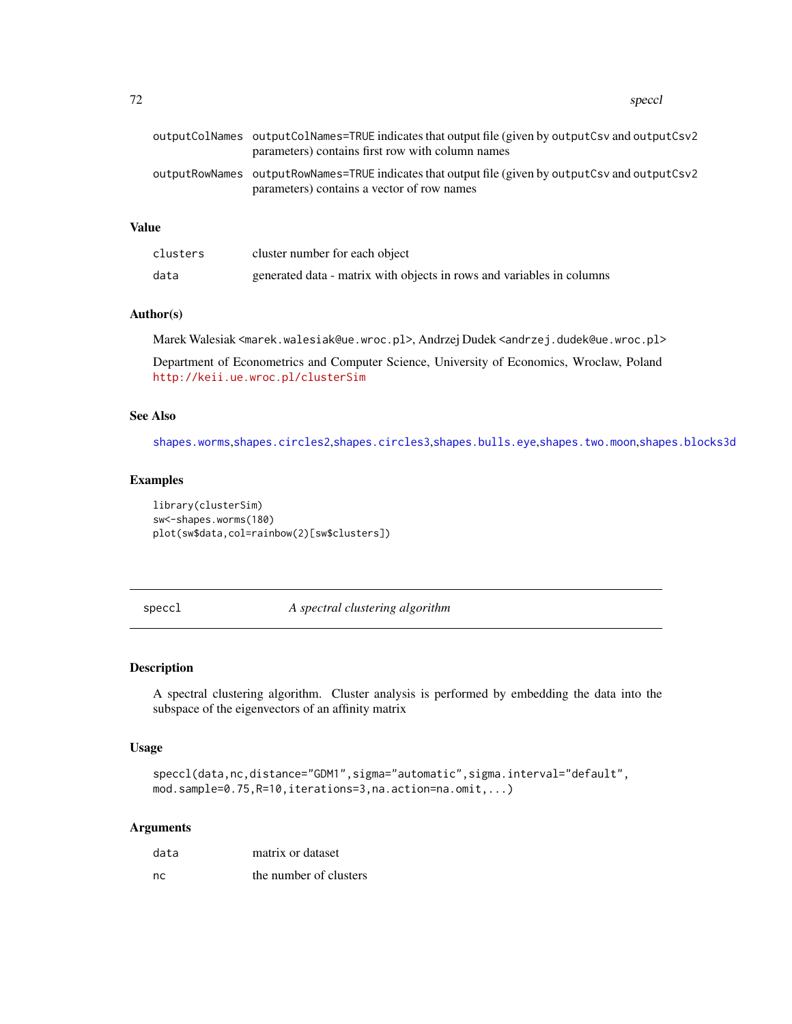72 speccle and the specific specific specific specific specific specific specific specific specific specific specific specific specific specific specific specific specific specific specific specific specific specific speci

# Value

| clusters | cluster number for each object                                        |
|----------|-----------------------------------------------------------------------|
| data     | generated data - matrix with objects in rows and variables in columns |

## Author(s)

Marek Walesiak <marek.walesiak@ue.wroc.pl>, Andrzej Dudek <andrzej.dudek@ue.wroc.pl>

Department of Econometrics and Computer Science, University of Economics, Wroclaw, Poland <http://keii.ue.wroc.pl/clusterSim>

## See Also

[shapes.worms](#page-70-0),[shapes.circles2](#page-66-0),[shapes.circles3](#page-67-0),[shapes.bulls.eye](#page-66-1),[shapes.two.moon](#page-69-0),[shapes.blocks3d](#page-65-0)

#### Examples

library(clusterSim) sw<-shapes.worms(180) plot(sw\$data,col=rainbow(2)[sw\$clusters])

speccl *A spectral clustering algorithm*

# Description

A spectral clustering algorithm. Cluster analysis is performed by embedding the data into the subspace of the eigenvectors of an affinity matrix

# Usage

```
speccl(data,nc,distance="GDM1",sigma="automatic",sigma.interval="default",
mod.sample=0.75,R=10,iterations=3,na.action=na.omit,...)
```

| data | matrix or dataset      |
|------|------------------------|
| nc   | the number of clusters |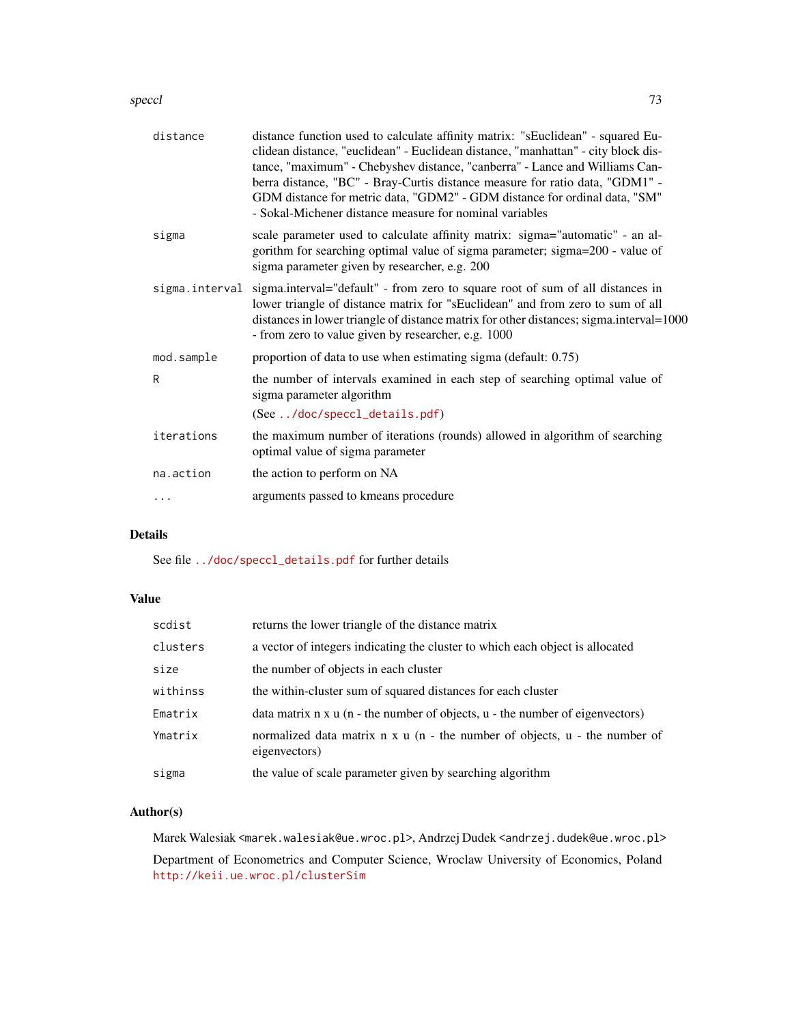#### speccl 73

| distance       | distance function used to calculate affinity matrix: "sEuclidean" - squared Eu-<br>clidean distance, "euclidean" - Euclidean distance, "manhattan" - city block dis-<br>tance, "maximum" - Chebyshev distance, "canberra" - Lance and Williams Can-<br>berra distance, "BC" - Bray-Curtis distance measure for ratio data, "GDM1" -<br>GDM distance for metric data, "GDM2" - GDM distance for ordinal data, "SM"<br>- Sokal-Michener distance measure for nominal variables |
|----------------|------------------------------------------------------------------------------------------------------------------------------------------------------------------------------------------------------------------------------------------------------------------------------------------------------------------------------------------------------------------------------------------------------------------------------------------------------------------------------|
| sigma          | scale parameter used to calculate affinity matrix: sigma="automatic" - an al-<br>gorithm for searching optimal value of sigma parameter; sigma=200 - value of<br>sigma parameter given by researcher, e.g. 200                                                                                                                                                                                                                                                               |
| sigma.interval | sigma.interval="default" - from zero to square root of sum of all distances in<br>lower triangle of distance matrix for "sEuclidean" and from zero to sum of all<br>distances in lower triangle of distance matrix for other distances; sigma.interval=1000<br>- from zero to value given by researcher, e.g. 1000                                                                                                                                                           |
| mod.sample     | proportion of data to use when estimating sigma (default: 0.75)                                                                                                                                                                                                                                                                                                                                                                                                              |
| R              | the number of intervals examined in each step of searching optimal value of<br>sigma parameter algorithm                                                                                                                                                                                                                                                                                                                                                                     |
|                | (See /doc/speccl_details.pdf)                                                                                                                                                                                                                                                                                                                                                                                                                                                |
| iterations     | the maximum number of iterations (rounds) allowed in algorithm of searching<br>optimal value of sigma parameter                                                                                                                                                                                                                                                                                                                                                              |
| na.action      | the action to perform on NA                                                                                                                                                                                                                                                                                                                                                                                                                                                  |
|                |                                                                                                                                                                                                                                                                                                                                                                                                                                                                              |

# Details

See file [../doc/speccl\\_details.pdf](../doc/speccl_details.pdf) for further details

## Value

| scdist   | returns the lower triangle of the distance matrix                                           |
|----------|---------------------------------------------------------------------------------------------|
| clusters | a vector of integers indicating the cluster to which each object is allocated               |
| size     | the number of objects in each cluster                                                       |
| withinss | the within-cluster sum of squared distances for each cluster                                |
| Ematrix  | data matrix $n \times u$ (n - the number of objects, $u$ - the number of eigenvectors)      |
| Ymatrix  | normalized data matrix n x u (n - the number of objects, u - the number of<br>eigenvectors) |
| sigma    | the value of scale parameter given by searching algorithm                                   |

# Author(s)

Marek Walesiak <marek.walesiak@ue.wroc.pl>, Andrzej Dudek <andrzej.dudek@ue.wroc.pl>

Department of Econometrics and Computer Science, Wroclaw University of Economics, Poland <http://keii.ue.wroc.pl/clusterSim>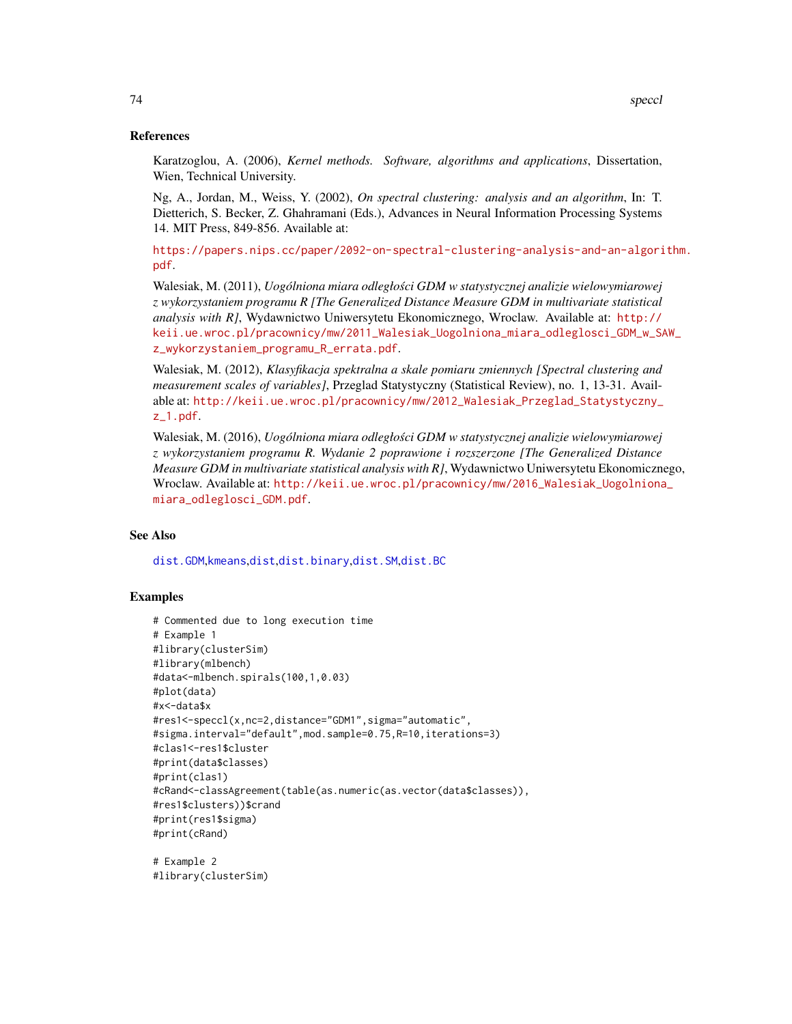## <span id="page-73-0"></span>References

Karatzoglou, A. (2006), *Kernel methods. Software, algorithms and applications*, Dissertation, Wien, Technical University.

Ng, A., Jordan, M., Weiss, Y. (2002), *On spectral clustering: analysis and an algorithm*, In: T. Dietterich, S. Becker, Z. Ghahramani (Eds.), Advances in Neural Information Processing Systems 14. MIT Press, 849-856. Available at:

[https://papers.nips.cc/paper/2092-on-spectral-clustering-analysis-and-an-algori](https://papers.nips.cc/paper/2092-on-spectral-clustering-analysis-and-an-algorithm.pdf)thm. [pdf](https://papers.nips.cc/paper/2092-on-spectral-clustering-analysis-and-an-algorithm.pdf).

Walesiak, M. (2011), *Uogólniona miara odległosci GDM w statystycznej analizie wielowymiarowej ´ z wykorzystaniem programu R [The Generalized Distance Measure GDM in multivariate statistical analysis with R]*, Wydawnictwo Uniwersytetu Ekonomicznego, Wroclaw. Available at: [http://](http://keii.ue.wroc.pl/pracownicy/mw/2011_Walesiak_Uogolniona_miara_odleglosci_GDM_w_SAW_z_wykorzystaniem_programu_R_errata.pdf) [keii.ue.wroc.pl/pracownicy/mw/2011\\_Walesiak\\_Uogolniona\\_miara\\_odleglosci\\_GDM\\_w\\_SA](http://keii.ue.wroc.pl/pracownicy/mw/2011_Walesiak_Uogolniona_miara_odleglosci_GDM_w_SAW_z_wykorzystaniem_programu_R_errata.pdf)W\_ [z\\_wykorzystaniem\\_programu\\_R\\_errata.pdf](http://keii.ue.wroc.pl/pracownicy/mw/2011_Walesiak_Uogolniona_miara_odleglosci_GDM_w_SAW_z_wykorzystaniem_programu_R_errata.pdf).

Walesiak, M. (2012), *Klasyfikacja spektralna a skale pomiaru zmiennych [Spectral clustering and measurement scales of variables]*, Przeglad Statystyczny (Statistical Review), no. 1, 13-31. Available at: [http://keii.ue.wroc.pl/pracownicy/mw/2012\\_Walesiak\\_Przeglad\\_Statystyczny\\_](http://keii.ue.wroc.pl/pracownicy/mw/2012_Walesiak_Przeglad_Statystyczny_z_1.pdf) [z\\_1.pdf](http://keii.ue.wroc.pl/pracownicy/mw/2012_Walesiak_Przeglad_Statystyczny_z_1.pdf).

Walesiak, M. (2016), *Uogólniona miara odległosci GDM w statystycznej analizie wielowymiarowej ´ z wykorzystaniem programu R. Wydanie 2 poprawione i rozszerzone [The Generalized Distance Measure GDM in multivariate statistical analysis with R]*, Wydawnictwo Uniwersytetu Ekonomicznego, Wroclaw. Available at: [http://keii.ue.wroc.pl/pracownicy/mw/2016\\_Walesiak\\_Uogolniona](http://keii.ue.wroc.pl/pracownicy/mw/2016_Walesiak_Uogolniona_miara_odleglosci_GDM.pdf)\_ [miara\\_odleglosci\\_GDM.pdf](http://keii.ue.wroc.pl/pracownicy/mw/2016_Walesiak_Uogolniona_miara_odleglosci_GDM.pdf).

## See Also

[dist.GDM](#page-21-0),[kmeans](#page-0-0),[dist](#page-0-0),[dist.binary](#page-0-0),[dist.SM](#page-23-0),[dist.BC](#page-20-0)

## Examples

```
# Commented due to long execution time
# Example 1
#library(clusterSim)
#library(mlbench)
#data<-mlbench.spirals(100,1,0.03)
#plot(data)
#x<-data$x
#res1<-speccl(x,nc=2,distance="GDM1",sigma="automatic",
#sigma.interval="default",mod.sample=0.75,R=10,iterations=3)
#clas1<-res1$cluster
#print(data$classes)
#print(clas1)
#cRand<-classAgreement(table(as.numeric(as.vector(data$classes)),
#res1$clusters))$crand
#print(res1$sigma)
#print(cRand)
```
# Example 2 #library(clusterSim)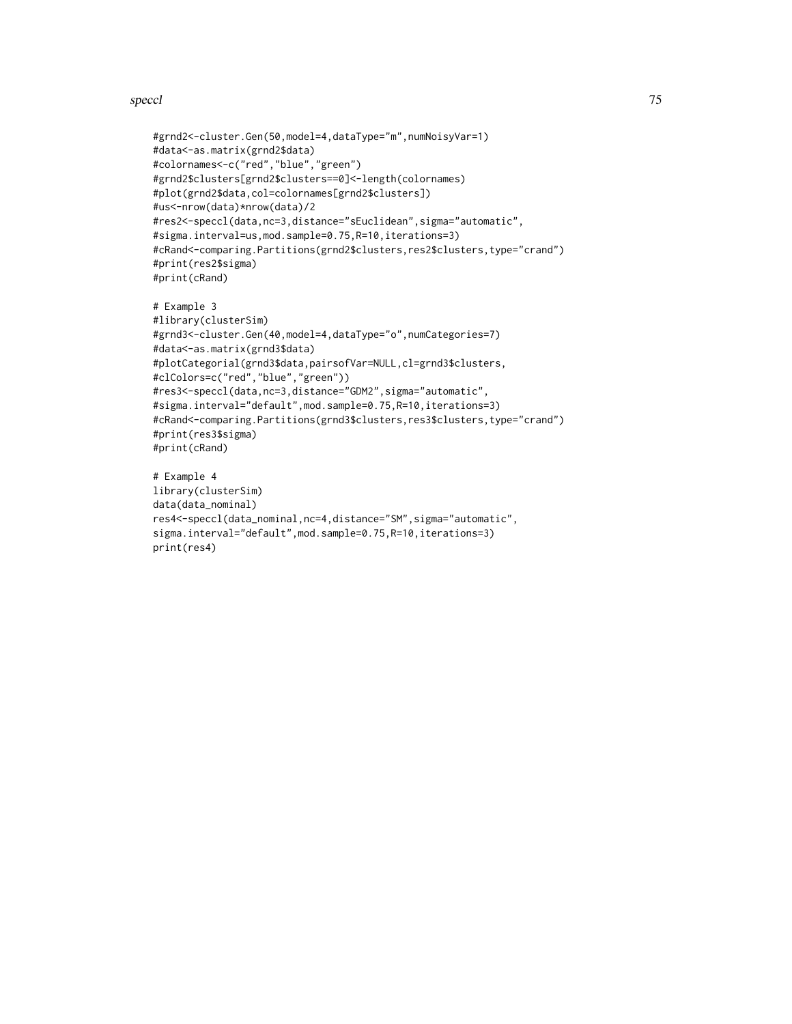#### speccl 75

```
#grnd2<-cluster.Gen(50,model=4,dataType="m",numNoisyVar=1)
#data<-as.matrix(grnd2$data)
#colornames<-c("red","blue","green")
#grnd2$clusters[grnd2$clusters==0]<-length(colornames)
#plot(grnd2$data,col=colornames[grnd2$clusters])
#us<-nrow(data)*nrow(data)/2
#res2<-speccl(data,nc=3,distance="sEuclidean",sigma="automatic",
#sigma.interval=us,mod.sample=0.75,R=10,iterations=3)
#cRand<-comparing.Partitions(grnd2$clusters,res2$clusters,type="crand")
#print(res2$sigma)
#print(cRand)
```

```
# Example 3
#library(clusterSim)
#grnd3<-cluster.Gen(40,model=4,dataType="o",numCategories=7)
#data<-as.matrix(grnd3$data)
#plotCategorial(grnd3$data,pairsofVar=NULL,cl=grnd3$clusters,
#clColors=c("red","blue","green"))
#res3<-speccl(data,nc=3,distance="GDM2",sigma="automatic",
#sigma.interval="default",mod.sample=0.75,R=10,iterations=3)
#cRand<-comparing.Partitions(grnd3$clusters,res3$clusters,type="crand")
#print(res3$sigma)
#print(cRand)
```

```
# Example 4
library(clusterSim)
data(data_nominal)
res4<-speccl(data_nominal,nc=4,distance="SM",sigma="automatic",
sigma.interval="default",mod.sample=0.75,R=10,iterations=3)
print(res4)
```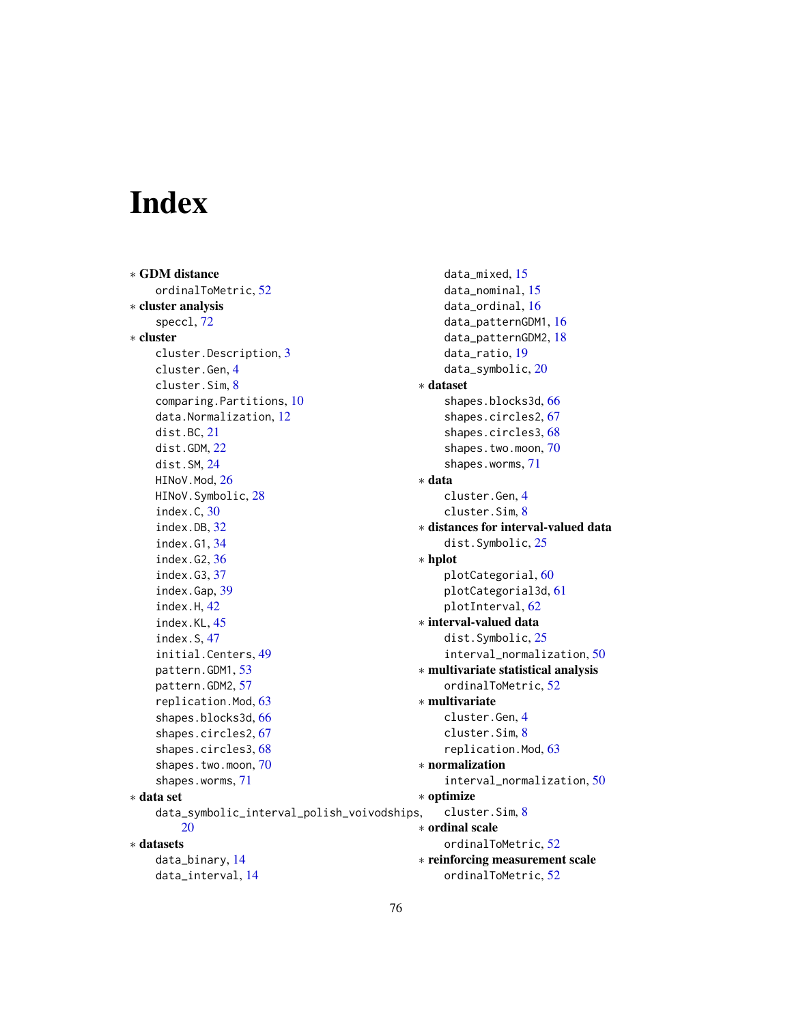# Index

∗ GDM distance ordinalToMetric, [52](#page-51-0) ∗ cluster analysis speccl, [72](#page-71-0) ∗ cluster cluster.Description, [3](#page-2-0) cluster.Gen, [4](#page-3-0) cluster.Sim, [8](#page-7-0) comparing.Partitions, [10](#page-9-0) data.Normalization, [12](#page-11-0) dist.BC, [21](#page-20-1) dist.GDM, [22](#page-21-1) dist.SM, [24](#page-23-1) HINoV.Mod, [26](#page-25-0) HINoV.Symbolic, [28](#page-27-0) index.C, [30](#page-29-0) index.DB, [32](#page-31-0) index.G1, [34](#page-33-0) index.G2, [36](#page-35-0) index.G3, [37](#page-36-0) index.Gap, [39](#page-38-0) index.H, [42](#page-41-0) index.KL, [45](#page-44-0) index.S, [47](#page-46-0) initial.Centers, [49](#page-48-0) pattern.GDM1, [53](#page-52-0) pattern.GDM2, [57](#page-56-0) replication.Mod, [63](#page-62-0) shapes.blocks3d, [66](#page-65-0) shapes.circles2, [67](#page-66-0) shapes.circles3, [68](#page-67-0) shapes.two.moon, [70](#page-69-0) shapes.worms, [71](#page-70-0) ∗ data set data\_symbolic\_interval\_polish\_voivodships, [20](#page-19-0) ∗ datasets data\_binary, [14](#page-13-0) data\_interval, [14](#page-13-0)

data\_mixed, [15](#page-14-0) data\_nominal, [15](#page-14-0) data\_ordinal, [16](#page-15-0) data\_patternGDM1, [16](#page-15-0) data\_patternGDM2, [18](#page-17-0) data\_ratio, [19](#page-18-0) data\_symbolic, [20](#page-19-0) ∗ dataset shapes.blocks3d, [66](#page-65-0) shapes.circles2, [67](#page-66-0) shapes.circles3, [68](#page-67-0) shapes.two.moon, [70](#page-69-0) shapes.worms, [71](#page-70-0) ∗ data cluster.Gen, [4](#page-3-0) cluster.Sim, [8](#page-7-0) ∗ distances for interval-valued data dist.Symbolic, [25](#page-24-0) ∗ hplot plotCategorial, [60](#page-59-0) plotCategorial3d, [61](#page-60-0) plotInterval, [62](#page-61-0) ∗ interval-valued data dist.Symbolic, [25](#page-24-0) interval\_normalization, [50](#page-49-0) ∗ multivariate statistical analysis ordinalToMetric, [52](#page-51-0) ∗ multivariate cluster.Gen, [4](#page-3-0) cluster.Sim, [8](#page-7-0) replication.Mod, [63](#page-62-0) ∗ normalization interval\_normalization, [50](#page-49-0) ∗ optimize cluster.Sim, [8](#page-7-0) ∗ ordinal scale ordinalToMetric, [52](#page-51-0) ∗ reinforcing measurement scale ordinalToMetric, [52](#page-51-0)